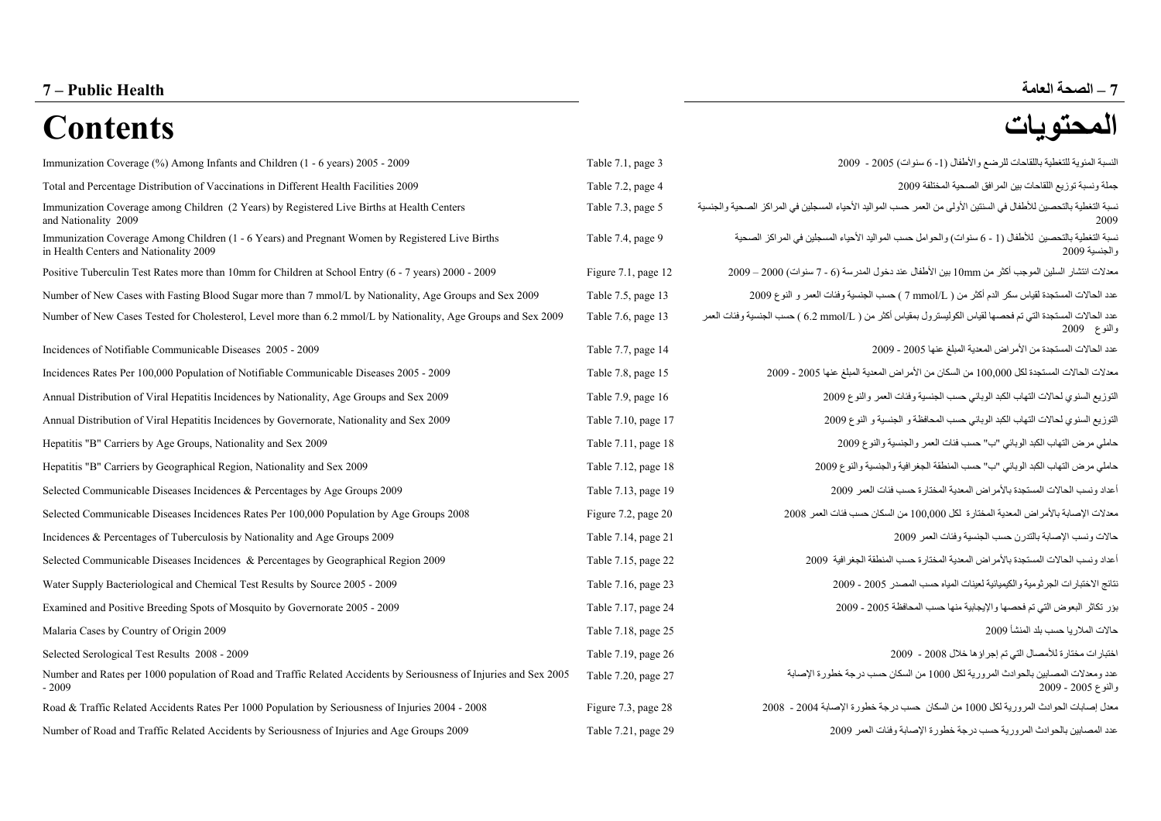## **الصحة العامة 7 Health Public – 7 –**

# **المحتويات Contents**

| Immunization Coverage (%) Among Infants and Children (1 - 6 years) 2005 - 2009                                                            | Table 7.1, page 3        | النسبة المئوية للتغطية باللقاحات للرضع والأطفال (1- 6 سنوات) 2005 - 2009                                                   |
|-------------------------------------------------------------------------------------------------------------------------------------------|--------------------------|----------------------------------------------------------------------------------------------------------------------------|
| Total and Percentage Distribution of Vaccinations in Different Health Facilities 2009                                                     | Table 7.2, page 4        | جملة ونسبة توزيع اللقاحات بين المرافق الصحية المختلفة 2009                                                                 |
| Immunization Coverage among Children (2 Years) by Registered Live Births at Health Centers<br>and Nationality 2009                        | Table 7.3, page 5        | نسبة التغطية بالتحصين للأطفال في السنتين الأولى من العمر حسب المواليد الأحياء المسجلين في المراكز الصحية والجنسية<br>2009  |
| Immunization Coverage Among Children (1 - 6 Years) and Pregnant Women by Registered Live Births<br>in Health Centers and Nationality 2009 | Table 7.4, page 9        | نسبة التغطية بالتحصين  للأطفال (1 - 6 سنوات) والحوامل حسب المواليد الأحياء المسجلين في المراكز  الصحية<br>والجنسية 2009    |
| Positive Tuberculin Test Rates more than 10mm for Children at School Entry (6 - 7 years) 2000 - 2009                                      | Figure $7.1$ , page $12$ | معدلات انتشار  السلين الموجب أكثر من 10mm بين الأطفال عند دخول المدرسة (6 - 7 سنوات) 2000 – 2009                           |
| Number of New Cases with Fasting Blood Sugar more than 7 mmol/L by Nationality, Age Groups and Sex 2009                                   | Table 7.5, page 13       | عدد الحالات المستجدة لقياس سكر الدم أكثر من ( 7\mmol/L ) حسب الجنسية وفئات العمر و النوع 2009                              |
| Number of New Cases Tested for Cholesterol, Level more than 6.2 mmol/L by Nationality, Age Groups and Sex 2009                            | Table 7.6, page 13       | عدد الحالات المستجدة التي تم فحصمها لقياس الكوليسترول بمقياس أكثر من ( 6.2 mmol/L ) حسب الجنسية وفئات العمر<br>والنوع 2009 |
| Incidences of Notifiable Communicable Diseases 2005 - 2009                                                                                | Table 7.7, page 14       | عدد الحالات المستجدة من الأمر اص المعدية المبلغ عنها 2005 - 2009                                                           |
| Incidences Rates Per 100,000 Population of Notifiable Communicable Diseases 2005 - 2009                                                   | Table 7.8, page 15       | معدلات الحالات المستجدة لكل 100,000 من السكان من الأمر اض المعدية المبلغ عنها 2005 - 2009                                  |
| Annual Distribution of Viral Hepatitis Incidences by Nationality, Age Groups and Sex 2009                                                 | Table 7.9, page 16       | التوزيع السنوي لحالات التهاب الكبد الوبائي حسب الجنسية وفئات العمر والنوع 2009                                             |
| Annual Distribution of Viral Hepatitis Incidences by Governorate, Nationality and Sex 2009                                                | Table 7.10, page 17      | التوزيع السنوي لحالات التهاب الكبد الوبائي حسب المحافظة و الجنسية و النوع 2009                                             |
| Hepatitis "B" Carriers by Age Groups, Nationality and Sex 2009                                                                            | Table 7.11, page 18      | حاملي مرض التهاب الكبد الوبائي "ب" حسب فنات العمر والجنسية والنوع 2009                                                     |
| Hepatitis "B" Carriers by Geographical Region, Nationality and Sex 2009                                                                   | Table 7.12, page 18      | حاملي مرض التهاب الكبد الوبائي "ب" حسب المنطقة الجغرافية والجنسية والنوع 2009                                              |
| Selected Communicable Diseases Incidences & Percentages by Age Groups 2009                                                                | Table 7.13, page 19      | أعداد ونسب الحالات المستجدة بالأمراض المعدية المختارة حسب فئات العمر 2009                                                  |
| Selected Communicable Diseases Incidences Rates Per 100,000 Population by Age Groups 2008                                                 | Figure 7.2, page 20      | معدلات الإصابة بالأمراض المعدية المختارة لكل 100,000 من السكان حسب فنات العمر 2008                                         |
| Incidences & Percentages of Tuberculosis by Nationality and Age Groups 2009                                                               | Table 7.14, page 21      | حالات ونسب الإصابة بالتدرن حسب الجنسية وفئات العمر 2009                                                                    |
| Selected Communicable Diseases Incidences & Percentages by Geographical Region 2009                                                       | Table 7.15, page 22      | أعداد ونسب الحالات المستجدة بالأمراض المعدية المختارة حسب المنطقة الجغرافية 2009                                           |
| Water Supply Bacteriological and Chemical Test Results by Source 2005 - 2009                                                              | Table 7.16, page 23      | نتائج الاختبارات الجرثومية والكيميائية لعينات المياه حسب المصدر 2005 - 2009                                                |
| Examined and Positive Breeding Spots of Mosquito by Governorate 2005 - 2009                                                               | Table 7.17, page 24      | بؤر تكاثر البعوض التي تم فحصها والإيجابية منها حسب المحافظة 2005 - 2009                                                    |
| Malaria Cases by Country of Origin 2009                                                                                                   | Table 7.18, page 25      | حالات الملاريا حسب بلد المنشأ 2009                                                                                         |
| Selected Serological Test Results 2008 - 2009                                                                                             | Table 7.19, page 26      | اختبارات مختارة للأمصال التي تم إجراؤها خلال 2008 - 2009                                                                   |
| Number and Rates per 1000 population of Road and Traffic Related Accidents by Seriousness of Injuries and Sex 2005<br>$-2009$             | Table 7.20, page 27      | عدد ومعدلات المصابين بالحوادث المرورية لكل 1000 من السكان حسب درجة خطورة الإصابة<br>والنوع 2005 - 2009                     |
| Road & Traffic Related Accidents Rates Per 1000 Population by Seriousness of Injuries 2004 - 2008                                         | Figure 7.3, page 28      | معدل إصابات الحوادث المرورية لكل 1000 من السكان حسب درجة خطورة الإصابة 2004 - 2008                                         |
| Number of Road and Traffic Related Accidents by Seriousness of Injuries and Age Groups 2009                                               | Table 7.21, page 29      | عدد المصابين بالحوادث المرورية حسب درجة خطورة الإصابة وفئات العمر 2009                                                     |

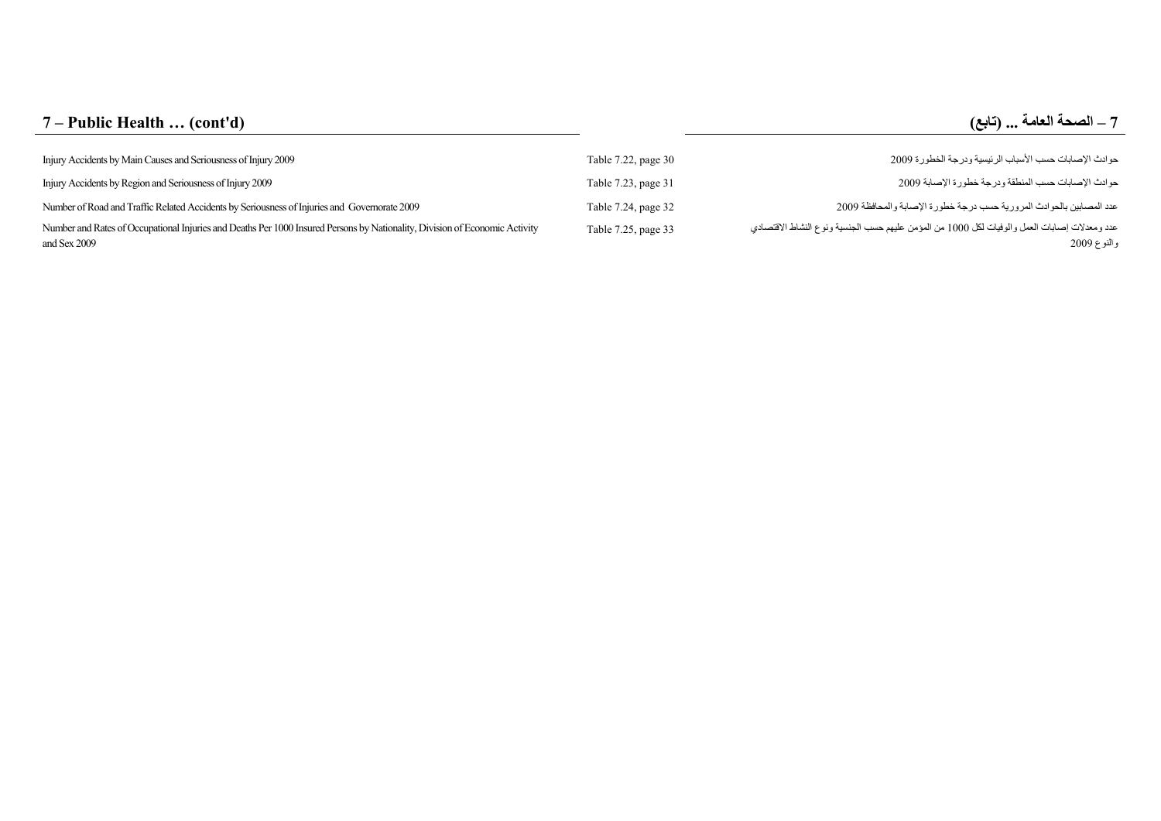## **7 – Public Health … (cont'd) ( تابع (... العامة الصحة – 7**

| Injury Accidents by Main Causes and Seriousness of Injury 2009                                                                              | Table 7.22, page 30 | حوادث الإصابات حسب الأسباب الرئيسية ودرجة الخطورة 2009                                                      |
|---------------------------------------------------------------------------------------------------------------------------------------------|---------------------|-------------------------------------------------------------------------------------------------------------|
| Injury Accidents by Region and Seriousness of Injury 2009                                                                                   | Table 7.23, page 31 | حو ادث الإصبابات حسب المنطقة و در جة خطور ة الإصبابة 2009                                                   |
| Number of Road and Traffic Related Accidents by Seriousness of Injuries and Governorate 2009                                                | Table 7.24, page 32 | عدد المصابين بالحوادث المرورية حسب درجة خطورة الإصابة والمحافظة 2009                                        |
| Number and Rates of Occupational Injuries and Deaths Per 1000 Insured Persons by Nationality, Division of Economic Activity<br>and Sex 2009 | Table 7.25, page 33 | عدد ومعدلات إصابات العمل والوفيات لكل 1000 من المؤمن عليهم حسب الجنسية ونوع النشاط الاقتصادي<br>والنوع 2009 |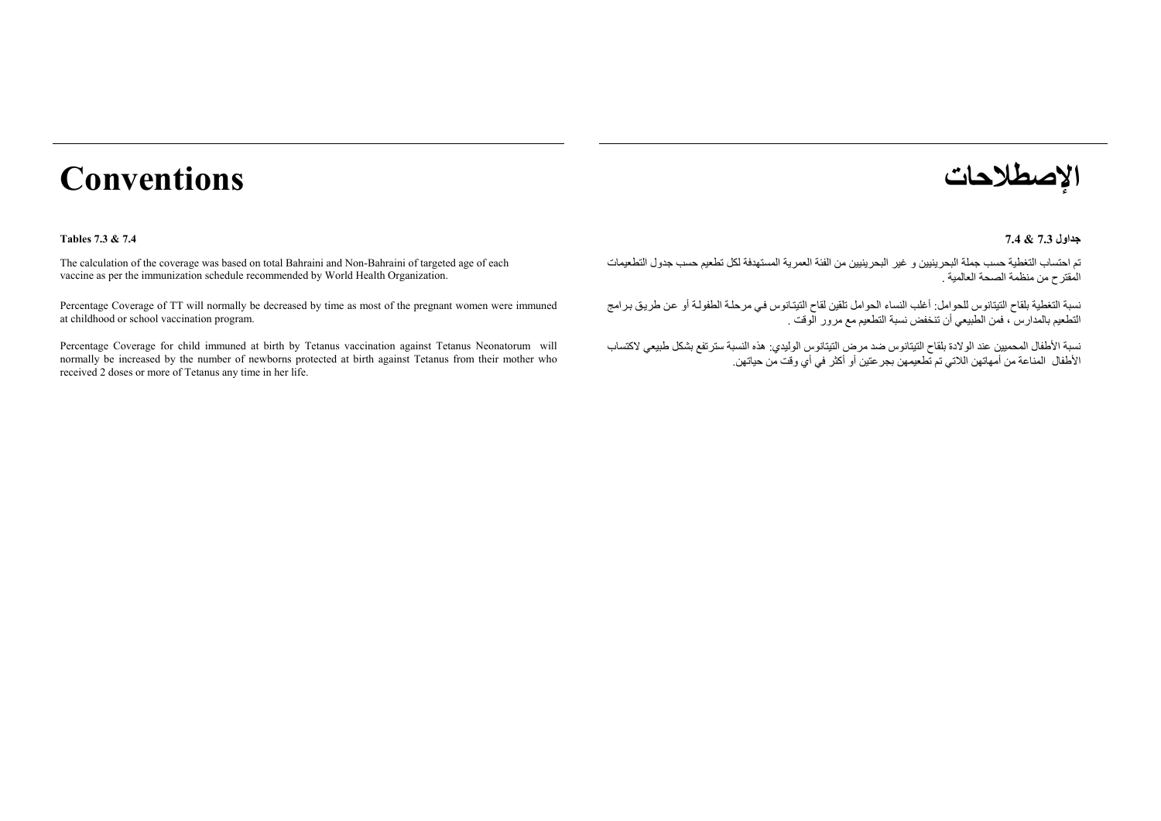# **الإصطلاحات Conventions**

#### **A** Tables 7.3 & 7.4 **B**  $\overline{a}$   $\overline{a}$   $\overline{a}$   $\overline{a}$   $\overline{a}$   $\overline{a}$   $\overline{a}$   $\overline{a}$   $\overline{a}$   $\overline{a}$   $\overline{a}$   $\overline{a}$   $\overline{a}$   $\overline{a}$   $\overline{a}$   $\overline{a}$   $\overline{a}$   $\overline{a}$   $\overline{a}$   $\overline{a}$   $\overline{a}$   $\overline{a}$

The calculation of the coverage was based on total Bahraini and Non-Bahraini of targeted age of each vaccine as per the immunization schedule recommended by World Health Organization.

Percentage Coverage of TT will normally be decreased by time as most of the pregnant women were immuned at childhood or school vaccination program.

Percentage Coverage for child immuned at birth by Tetanus vaccination against Tetanus Neonatorum will normally be increased by the number of newborns protected at birth against Tetanus from their mother who received 2 doses or more of Tetanus any time in her life.



#### **جداول 7.3**

تم احتساب التغطية حسب جملة البحرينيين <sup>و</sup> غير البحرينيين من الفئة العمرية المستهدفة لكل تطعيم حسب جدول التطعيمات المقترح من منظمة الصحة العالمية .

نسبة التغطية بلقاح التيتانوس للحوامل: أغلب النساء الحوامل تلقين لقاح التيتانوس في مرحلـة الطفولـة أو عن طريق برامج التطعيم بالمدارس ، فمن الطبيعي أن تنخفض نسبة التطعيم مع مرور الوقت .

نسبة الأطفال المحميين عند الولادة بلقاح التيتانوس ضد مرض التيتانوس الوليدي: هذه النسبة سترتفع بشكل طبيعي لاآتساب الأطفال المناعة من أمهاتهن اللاتي تم تطعيمهن بجرعتين أو أآثر في أي وقت من حياتهن.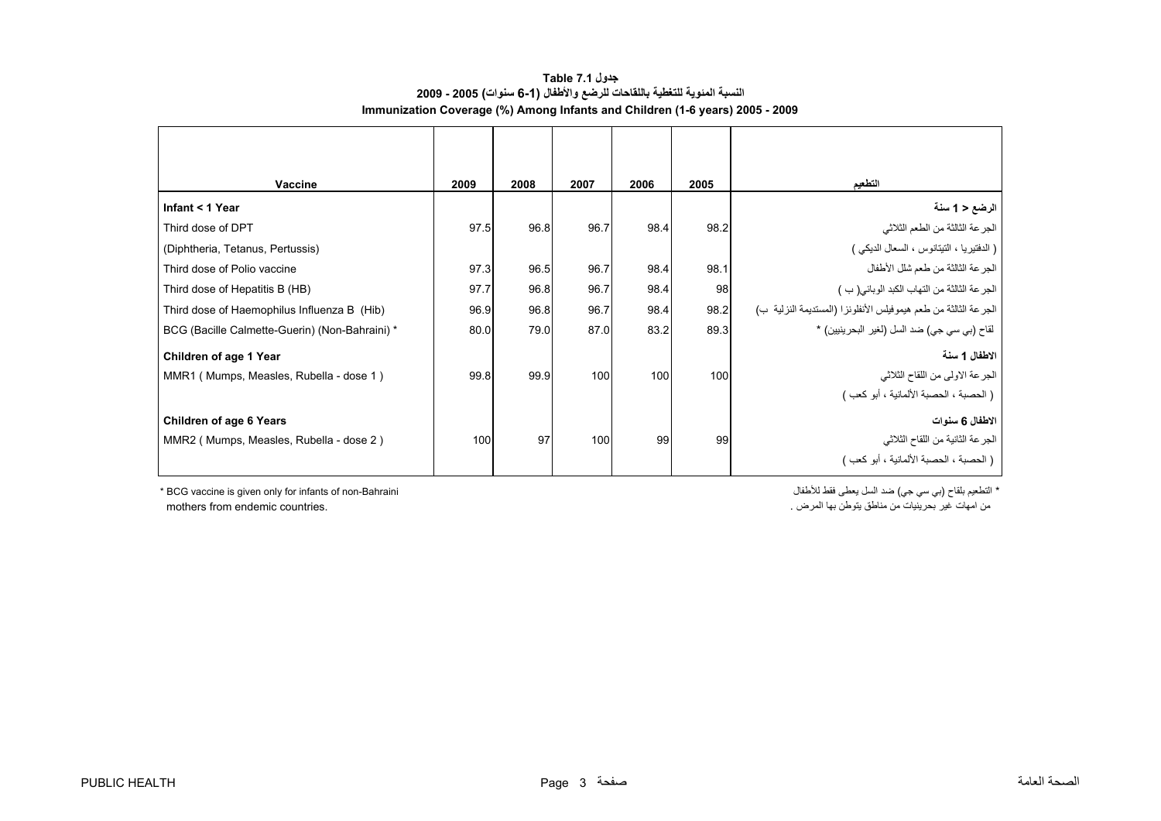#### **جدول 7.1 Table النسبة المئوية للتغطية باللقاحات للرضع والأطفال (6-1 سنوات) 2005 - 2009 Immunization Coverage (%) Among Infants and Children (1-6 years) 2005 - 2009**

<span id="page-3-0"></span>

| Vaccine                                        | 2009 | 2008 | 2007 | 2006 | 2005 | التطعيم                                                         |
|------------------------------------------------|------|------|------|------|------|-----------------------------------------------------------------|
| Infant < 1 Year                                |      |      |      |      |      | الرضع < 1 سنة                                                   |
| Third dose of DPT                              | 97.5 | 96.8 | 96.7 | 98.4 | 98.2 | الجرعة الثالثة من الطعم الثلاثي                                 |
| (Diphtheria, Tetanus, Pertussis)               |      |      |      |      |      | ( الدفتيريا ، التيتانوس ، السعال الديكي )                       |
| Third dose of Polio vaccine                    | 97.3 | 96.5 | 96.7 | 98.4 | 98.1 | الجرعة الثالثة من طعم شلل الأطفال                               |
| Third dose of Hepatitis B (HB)                 | 97.7 | 96.8 | 96.7 | 98.4 | 98   | الجرعة الثالثة من التهاب الكبد الوبائي(ب)                       |
| Third dose of Haemophilus Influenza B (Hib)    | 96.9 | 96.8 | 96.7 | 98.4 | 98.2 | الجرعة الثالثة من طعم هيموفيلس الأنفلونزا (المستديمة النزلية ب) |
| BCG (Bacille Calmette-Guerin) (Non-Bahraini) * | 80.0 | 79.0 | 87.0 | 83.2 | 89.3 | لقاح (بي سي جي) ضد السل (لغير  البحرينيين) *                    |
| Children of age 1 Year                         |      |      |      |      |      | الاطفال 1 سنة                                                   |
| MMR1 (Mumps, Measles, Rubella - dose 1)        | 99.8 | 99.9 | 100  | 100  | 100  | الجرعة الاولى من اللقاح الثلاثي                                 |
|                                                |      |      |      |      |      | [ ( الحصبة ، الحصبة الألمانية ، أبو كعب )                       |
| <b>Children of age 6 Years</b>                 |      |      |      |      |      | الاطفال 6 سنوات                                                 |
| MMR2 (Mumps, Measles, Rubella - dose 2)        | 100  | 97   | 100  | 99   | 99   | الجرعة الثانية من اللقاح الثلاثي                                |
|                                                |      |      |      |      |      | [ ( الحصبة ، الحصبة الألمانية ، أبو كعب )                       |

\* التطعيم بلقاح (بي سي جي) ضد السل يعطي فقط للأطفال " BCG vaccine is given only for infants of non-Bahraini \* من امهات غير بحرينيات من مناطق يتوطن بها المرض . .<br>من امهات غير بحرينيات من مناطق يتوطن بها المرض .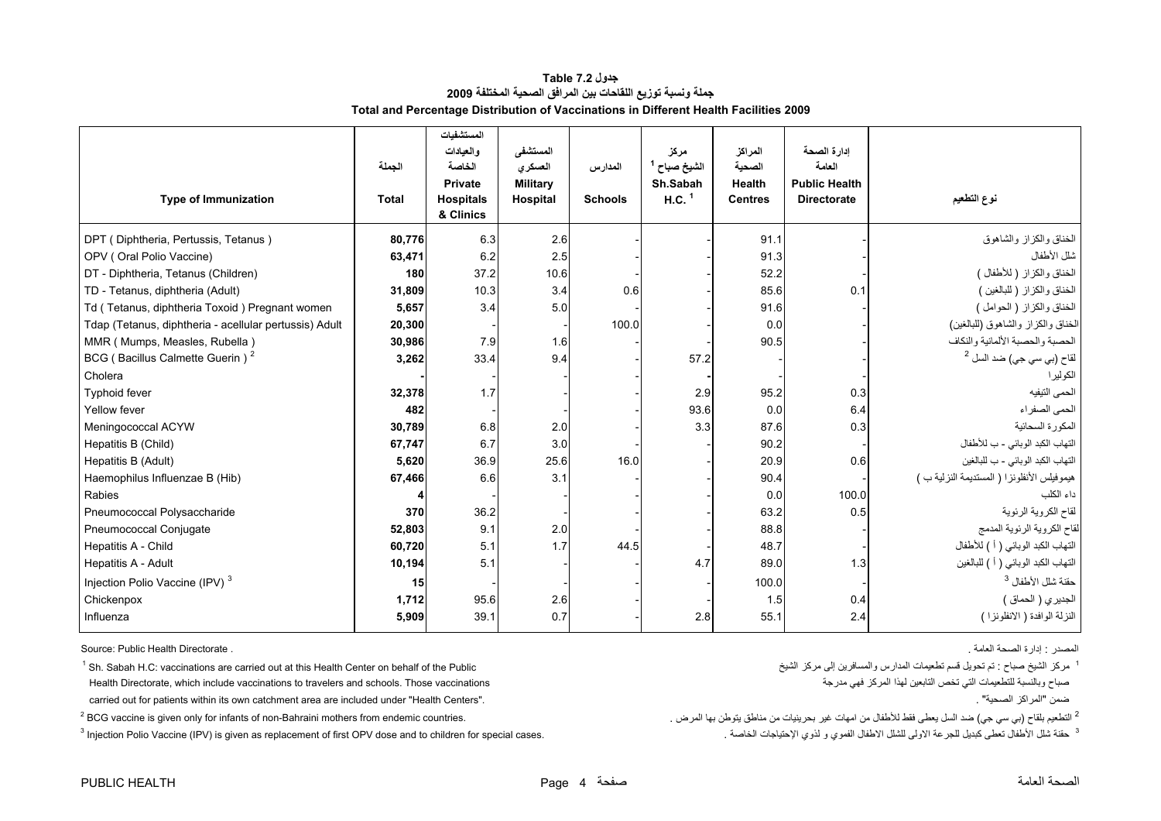#### **جدول 7.2 Table جملة ونسبة توزيع اللقاحات بين المرافق الصحية المختلفة <sup>2009</sup> Total and Percentage Distribution of Vaccinations in Different Health Facilities 2009**

<span id="page-4-0"></span>

| <b>Type of Immunization</b>                            | الجملة<br><b>Total</b> | المستشفيات<br>و العبادات<br>الخاصة<br><b>Private</b><br><b>Hospitals</b><br>& Clinics | المستشفى<br>العسكري<br><b>Military</b><br>Hospital | المدارس<br><b>Schools</b> | مركز<br>الشيخ صباح <sup>1</sup><br>Sh.Sabah<br>H.C. <sup>1</sup> | المراكز<br>الصحية<br><b>Health</b><br><b>Centres</b> | ادارة الصحة<br>العامة<br><b>Public Health</b><br><b>Directorate</b> | نوع التطعيم                                 |
|--------------------------------------------------------|------------------------|---------------------------------------------------------------------------------------|----------------------------------------------------|---------------------------|------------------------------------------------------------------|------------------------------------------------------|---------------------------------------------------------------------|---------------------------------------------|
| DPT (Diphtheria, Pertussis, Tetanus)                   | 80,776                 | 6.3                                                                                   | 2.6                                                |                           |                                                                  | 91.1                                                 |                                                                     | الخناق والكزاز والشاهوق                     |
| OPV (Oral Polio Vaccine)                               | 63,471                 | 6.2                                                                                   | 2.5                                                |                           |                                                                  | 91.3                                                 |                                                                     | شلل الأطفال                                 |
| DT - Diphtheria, Tetanus (Children)                    | 180                    | 37.2                                                                                  | 10.6                                               |                           |                                                                  | 52.2                                                 |                                                                     | الخناق والكزاز (للأطفال)                    |
| TD - Tetanus, diphtheria (Adult)                       | 31,809                 | 10.3                                                                                  | 3.4                                                | 0.6                       |                                                                  | 85.6                                                 | 0.1                                                                 | الخناق والكزاز (للبالغين)                   |
| Td (Tetanus, diphtheria Toxoid) Pregnant women         | 5,657                  | 3.4                                                                                   | 5.0                                                |                           |                                                                  | 91.6                                                 |                                                                     | الخناق والكزاز (الحوامل)                    |
| Tdap (Tetanus, diphtheria - acellular pertussis) Adult | 20,300                 |                                                                                       |                                                    | 100.0                     |                                                                  | 0.0 <sub>l</sub>                                     |                                                                     | الخناق والكزاز والشاهوق (للبالغين)          |
| MMR (Mumps, Measles, Rubella)                          | 30,986                 | 7.9                                                                                   | 1.6                                                |                           |                                                                  | 90.5                                                 |                                                                     | الحصبة والحصبة الألمانية والنكاف            |
| BCG (Bacillus Calmette Guerin) <sup>2</sup>            | 3,262                  | 33.4                                                                                  | 9.4                                                |                           | 57.2                                                             |                                                      |                                                                     | لقاح (بي سي جي) ضد السل <sup>2</sup>        |
| Cholera                                                |                        |                                                                                       |                                                    |                           |                                                                  |                                                      |                                                                     | الكولير ا                                   |
| <b>Typhoid fever</b>                                   | 32,378                 | 1.7                                                                                   |                                                    |                           | 2.9                                                              | 95.2                                                 | 0.3                                                                 | الحمى النيفيه                               |
| Yellow fever                                           | 482                    |                                                                                       |                                                    |                           | 93.6                                                             | 0.0                                                  | 6.4                                                                 | الحمى الصفراء                               |
| Meningococcal ACYW                                     | 30,789                 | 6.8                                                                                   | 2.0                                                |                           | 3.3                                                              | 87.6                                                 | 0.3                                                                 | المكورة السحائية                            |
| Hepatitis B (Child)                                    | 67,747                 | 6.7                                                                                   | 3.0                                                |                           |                                                                  | 90.2                                                 |                                                                     | التهاب الكبد الوبائي - ب للأطفال            |
| Hepatitis B (Adult)                                    | 5,620                  | 36.9                                                                                  | 25.6                                               | 16.0                      |                                                                  | 20.9                                                 | 0.6                                                                 | التهاب الكبد الوبائي - ب للبالغين           |
| Haemophilus Influenzae B (Hib)                         | 67,466                 | 6.6                                                                                   | 3.1                                                |                           |                                                                  | 90.4                                                 |                                                                     | هيموفيلس الأنفلونزا ( المستديمة النزلية ب ) |
| Rabies                                                 |                        |                                                                                       |                                                    |                           |                                                                  | 0.0                                                  | 100.0                                                               | داء الكلب                                   |
| Pneumococcal Polysaccharide                            | 370                    | 36.2                                                                                  |                                                    |                           |                                                                  | 63.2                                                 | 0.5                                                                 | لقاح الكروية الرئوية                        |
| Pneumococcal Conjugate                                 | 52,803                 | 9.1                                                                                   | 2.0                                                |                           |                                                                  | 88.8                                                 |                                                                     | لقاح الكروية الرئوية المدمج                 |
| Hepatitis A - Child                                    | 60,720                 | 5.1                                                                                   | 1.7                                                | 44.5                      |                                                                  | 48.7                                                 |                                                                     | التهاب الكبد الوبائي ( أ ) للأطفال          |
| Hepatitis A - Adult                                    | 10,194                 | 5.1                                                                                   |                                                    |                           | 4.7                                                              | 89.0                                                 | 1.3                                                                 | التهاب الكبد الوبائي ( أ ) للبالغين         |
| Injection Polio Vaccine (IPV) <sup>3</sup>             | 15                     |                                                                                       |                                                    |                           |                                                                  | 100.0                                                |                                                                     | حقنة شلل الأطفال <sup>3</sup>               |
| Chickenpox                                             | 1,712                  | 95.6                                                                                  | 2.6                                                |                           |                                                                  | 1.5                                                  | 0.4                                                                 | الجديري (الحماق)                            |
| Influenza                                              | 5,909                  | 39.1                                                                                  | 0.7                                                |                           | 2.8                                                              | 55.1                                                 | 2.4                                                                 | النزلة الوافدة ( الانظونزا )                |

المصدر : إدارة الصحة العامة . . Directorate Health Public :Source

 $1$  Sh. Sabah H.C: vaccinations are carried out at this Health Center on behalf of the Public Health Directorate, which include vaccinations to travelers and schools. Those vaccinations مدرجة فهي المرآز لهذا التابعين تخص التي للتطعيمات وبالنسبة صباح

carried out for patients within its own catchment area are included under "Health Centers". . "الصحية المراآز "ضمن

 $^3$  Injection Polio Vaccine (IPV) is given as replacement of first OPV dose and to children for special cases. كقة شلل الأطفال تعطى كبديل للجرعة الاولى للشلل الأطفال الفموي و لذوي الإحتياجات الخاصة .

مركز الشيخ صباح : تم تحويل قسم تطعيمات المدارس والمسافرين إلى مركز الشيخ

<sup>2</sup> التطعيم بلقاح (بي سي جي) ضد السل يعطى فقط للأطفال من امهات غير بحرينيات من مناطق يتوطن بها المرض . .countries endemic countries . .countries وبي سي جي) ضد السل يعطى فقط للأطفال من امهات غير بحرينيات من مناطق يتوطن بها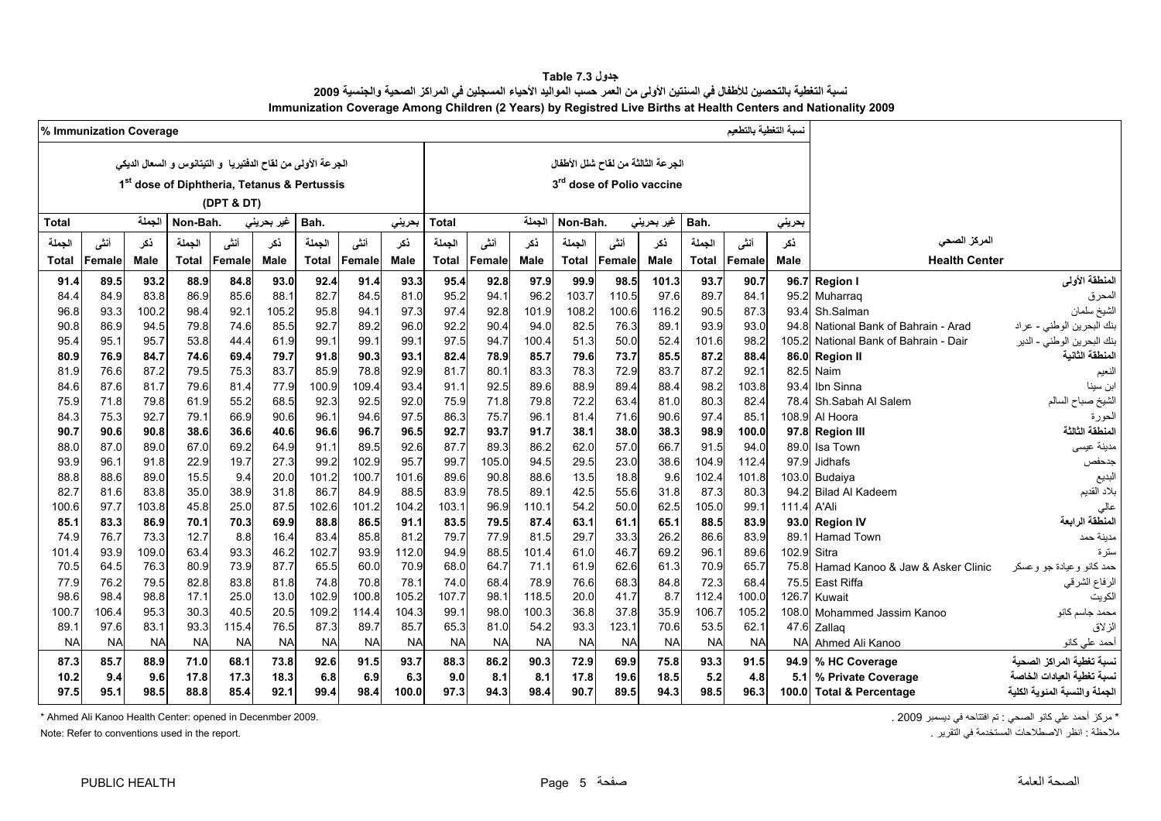| جدول 7.3 Table                                                                                                         |
|------------------------------------------------------------------------------------------------------------------------|
| نسبة التغطية بالتحصين للأطفال في السنتين الأولى من العمر حسب المواليد الأحياء المسجلين في المراكز الصحية والجنسية 2009 |
| Immunization Coverage Among Children (2 Years) by Registred Live Births at Health Centers and Nationality 2009         |

<span id="page-5-0"></span>

|           | % Immunization Coverage |             |              |            |                    |                                                             |           |           |              |           |             |              |                                       |            |              |           |             |                                  |                              |
|-----------|-------------------------|-------------|--------------|------------|--------------------|-------------------------------------------------------------|-----------|-----------|--------------|-----------|-------------|--------------|---------------------------------------|------------|--------------|-----------|-------------|----------------------------------|------------------------------|
|           |                         |             |              |            |                    | الجرعة الأولى من لقاح الدفتيريا و التيتانوس و السعال الديكي |           |           |              |           |             |              | الجرعة الثالثة من لقاح شلل الأطفال    |            |              |           |             |                                  |                              |
|           |                         |             |              |            |                    |                                                             |           |           |              |           |             |              |                                       |            |              |           |             |                                  |                              |
|           |                         |             |              |            |                    | 1 <sup>st</sup> dose of Diphtheria, Tetanus & Pertussis     |           |           |              |           |             |              | 3 <sup>rd</sup> dose of Polio vaccine |            |              |           |             |                                  |                              |
|           |                         |             |              | (DPT & DT) |                    |                                                             |           |           |              |           |             |              |                                       |            |              |           |             |                                  |                              |
| Total     |                         | الجملة      | Non-Bah.     |            | غیر بحرین <i>ی</i> | Bah.                                                        |           | بحرينى    | <b>Total</b> |           | الجملة      | Non-Bah.     |                                       | غیر بحرینی | Bah.         |           | بحريني      |                                  |                              |
| الجملة    | أنشى                    | نكر         | الجملة       | أننى       | ذكر                | الجملة                                                      | أننى      | نكر       | الجملة       | أنثى      | نكر         | الجملة       | أننى                                  | نكر        | الجملة       | أنشى      | نكر         | المركز الصحى                     |                              |
| Total     | Female                  | <b>Male</b> | <b>Total</b> | Female     | Male               | <b>Total</b>                                                | Female    | Male      | <b>Total</b> | Female    | <b>Male</b> | <b>Total</b> | Female                                | Male       | <b>Total</b> | Female    | <b>Male</b> | <b>Health Center</b>             |                              |
| 91.4      | 89.5                    | 93.2        | 88.9         | 84.8       | 93.0               | 92.4                                                        | 91.4      | 93.3      | 95.4         | 92.8      | 97.9        | 99.9         | 98.5                                  | 101.3      | 93.7         | 90.7      |             | 96.7 Region I                    | المنطقة الأولى               |
| 84.4      | 84.9                    | 83.8        | 86.9         | 85.6       | 88.1               | 82.7                                                        | 84.5      | 81.0      | 95.2         | 94.       | 96.2        | 103.7        | 110.5                                 | 97.6       | 89.7         | 84.1      | 95.2        | Muharrag                         | المحرق                       |
| 96.8      | 93.3                    | 100.2       | 98.4         | 92.1       | 105.2              | 95.8                                                        | 94.1      | 97.3      | 97.4         | 92.8      | 101.9       | 108.2        | 100.6                                 | 116.2      | 90.5         | 87.3      | 93.4        | Sh.Salman                        | لشيخ سلمان                   |
| 90.8      | 86.9                    | 94.5        | 79.8         | 74.6       | 85.5               | 92.7                                                        | 89.2      | 96.0      | 92.2         | 90.4      | 94.0        | 82.5         | 76.3                                  | 89.1       | 93.9         | 93.0      | 94.8        | National Bank of Bahrain - Arad  | بنك البحرين الوطني - عراد    |
| 95.4      | 95.1                    | 95.7        | 53.8         | 44.4       | 61.9               | 99.1                                                        | 99.1      | 99.1      | 97.5         | 94.7      | 100.4       | 51.3         | 50.0                                  | 52.4       | 101.6        | 98.2      | 105.2       | National Bank of Bahrain - Dair  | نك البحرين الوطني - الدير    |
| 80.9      | 76.9                    | 84.7        | 74.6         | 69.4       | 79.7               | 91.8                                                        | 90.3      | 93.1      | 82.4         | 78.9      | 85.7        | 79.6         | 73.7                                  | 85.5       | 87.2         | 88.4      | 86.0        | <b>Region II</b>                 | لمنطقة الثانية               |
| 81.9      | 76.6                    | 87.2        | 79.5         | 75.3       | 83.7               | 85.9                                                        | 78.8      | 92.9      | 81.7         | 80.1      | 83.3        | 78.3         | 72.9                                  | 83.7       | 87.2         | 92.1      | 82.5        | Naim                             | لنعيم                        |
| 84.6      | 87.6                    | 81.7        | 79.6         | 81.4       | 77.9               | 100.9                                                       | 109.4     | 93.4      | 91.1         | 92.5      | 89.6        | 88.9         | 89.4                                  | 88.4       | 98.2         | 103.8     | 934         | Ibn Sinna                        | بن سينا                      |
| 75.9      | 71.8                    | 79.8        | 61.9         | 55.2       | 68.5               | 92.3                                                        | 92.5      | 92.0      | 75.9         | 71.8      | 79.8        | 72.2         | 63.4                                  | 81.0       | 80.3         | 82.4      | 78.4        | Sh.Sabah Al Salem                | الشيخ صباح السالم            |
| 84.3      | 75.3                    | 92.7        | 79.1         | 66.9       | 90.6               | 96.1                                                        | 94.6      | 97.5      | 86.3         | 75.7      | 96.1        | 81.4         | 71.6                                  | 90.6       | 97.4         | 85.1      | 108.9       | Al Hoora                         | لحورة                        |
| 90.7      | 90.6                    | 90.8        | 38.6         | 36.6       | 40.6               | 96.6                                                        | 96.7      | 96.5      | 92.7         | 93.7      | 91.7        | 38.1         | 38.0                                  | 38.3       | 98.9         | 100.0     | 97.8        | <b>Region III</b>                | لمنطقة الثالثة               |
| 88.0      | 87.0                    | 89.0        | 67.0         | 69.2       | 64.9               | 91.1                                                        | 89.5      | 92.6      | 87.7         | 89.3      | 86.2        | 62.0         | 57.0                                  | 66.7       | 91.5         | 94.0      | 89.0        | Isa Town                         | مدينة عيسى                   |
| 93.9      | 96.1                    | 91.8        | 22.9         | 19.7       | 27.3               | 99.2                                                        | 102.9     | 95.7      | 99.7         | 105.0     | 94.5        | 29.5         | 23.0                                  | 38.6       | 104.9        | 112.4     | 97.9        | <b>Jidhafs</b>                   | جدحفص                        |
| 88.8      | 88.6                    | 89.0        | 15.5         | 9.4        | 20.0               | 101.2                                                       | 100.7     | 101.6     | 89.6         | 90.8      | 88.6        | 13.5         | 18.8                                  | 9.6        | 102.4        | 101.8     | 103.0       | Budaiya                          | البديع                       |
| 82.7      | 81.6                    | 83.8        | 35.0         | 38.9       | 31.8               | 86.7                                                        | 84.9      | 88.5      | 83.9         | 78.5      | 89.1        | 42.5         | 55.6                                  | 31.8       | 87.3         | 80.3      | 94.2        | <b>Bilad Al Kadeem</b>           | بلاد القديم                  |
| 100.6     | 97.7                    | 103.8       | 45.8         | 25.0       | 87.5               | 102.6                                                       | 101.2     | 104.2     | 103.1        | 96.9      | 110.1       | 54.2         | 50.0                                  | 62.5       | 105.0        | 99.1      | 111.4       | A'Ali                            | عالى                         |
| 85.1      | 83.3                    | 86.9        | 70.1         | 70.3       | 69.9               | 88.8                                                        | 86.5      | 91.1      | 83.5         | 79.5      | 87.4        | 63.1         | 61.1                                  | 65.1       | 88.5         | 83.9      | 93.0        | <b>Region IV</b>                 | المنطقة الرابعة              |
| 74.9      | 76.7                    | 73.3        | 12.7         | 8.8        | 16.4               | 83.4                                                        | 85.8      | 81.2      | 79.7         | 77.9      | 81.5        | 29.7         | 33.3                                  | 26.2       | 86.6         | 83.9      | 89.1        | Hamad Town                       | مدينة حمد                    |
| 101.4     | 93.9                    | 109.0       | 63.4         | 93.3       | 46.2               | 102.7                                                       | 93.9      | 112.0     | 94.9         | 88.5      | 101.4       | 61.0         | 46.7                                  | 69.2       | 96.1         | 89.6      | 102.9       | Sitra                            | ىئز ة                        |
| 70.5      | 64.5                    | 76.3        | 80.9         | 73.9       | 87.7               | 65.5                                                        | 60.0      | 70.9      | 68.0         | 64.7      | 71.1        | 61.9         | 62.6                                  | 61.3       | 70.9         | 65.7      | 75.8        | Hamad Kanoo & Jaw & Asker Clinic | ممد كانو وعيادة جو وعسكر     |
| 77.9      | 76.2                    | 79.5        | 82.8         | 83.8       | 81.8               | 74.8                                                        | 70.8      | 78.1      | 74.0         | 68.4      | 78.9        | 76.6         | 68.3                                  | 84.8       | 72.3         | 68.4      | 75.5        | East Riffa                       | الرفاع الشرقي                |
| 98.6      | 98.4                    | 98.8        | 17.1         | 25.0       | 13.0               | 102.9                                                       | 100.8     | 105.2     | 107.7        | 98.       | 118.5       | 20.0         | 41.7                                  | 8.7        | 112.4        | 100.0     | 126.7       | Kuwait                           | الكويت                       |
| 100.7     | 106.4                   | 95.3        | 30.3         | 40.5       | 20.5               | 109.2                                                       | 114.4     | 104.3     | 99.1         | 98.0      | 100.3       | 36.8         | 37.8                                  | 35.9       | 106.7        | 105.2     | 108.0       | Mohammed Jassim Kanoo            | محمد جاسم كانو               |
| 89.1      | 97.6                    | 83.1        | 93.3         | 115.4      | 76.5               | 87.3                                                        | 89.7      | 85.7      | 65.3         | 81.0      | 54.2        | 93.3         | 123.1                                 | 70.6       | 53.5         | 62.1      | 47.6        | Zallaq                           | ازلاق                        |
| <b>NA</b> | <b>NA</b>               | <b>NA</b>   | <b>NA</b>    | <b>NA</b>  | <b>NA</b>          | <b>NA</b>                                                   | <b>NA</b> | <b>NA</b> | <b>NA</b>    | <b>NA</b> | <b>NA</b>   | <b>NA</b>    | <b>NA</b>                             | <b>NA</b>  | <b>NA</b>    | <b>NA</b> | <b>NA</b>   | Ahmed Ali Kanoo                  | أحمد على كانو                |
| 87.3      | 85.7                    | 88.9        | 71.0         | 68.1       | 73.8               | 92.6                                                        | 91.5      | 93.7      | 88.3         | 86.2      | 90.3        | 72.9         | 69.9                                  | 75.8       | 93.3         | 91.5      | 94.9        | % HC Coverage                    | سبة تغطية المراكز الصحية     |
| 10.2      | 9.4                     | 9.6         | 17.8         | 17.3       | 18.3               | 6.8                                                         | 6.9       | 6.3       | 9.0          | 8.1       | 8.1         | 17.8         | 19.6                                  | 18.5       | 5.2          | 4.8       | 5.1         | % Private Coverage               | سبة تغطية العيادات الخاصة    |
| 97.5      | 95.1                    | 98.5        | 88.8         | 85.4       | 92.1               | 99.4                                                        | 98.4      | 100.0     | 97.3         | 94.3      | 98.4        | 90.7         | 89.5                                  | 94.3       | 98.5         | 96.3      |             | 100.0 Total & Percentage         | لجملة والنسبة المئوية الكلية |

\* مركز أحمد علي كانو الصحي : تم افتتاحه في ديسمبر 2009 . 2009 . 2009 . 2009 . Ahmed Ali Kanoo Health Center: opened in Decenmber 2009 .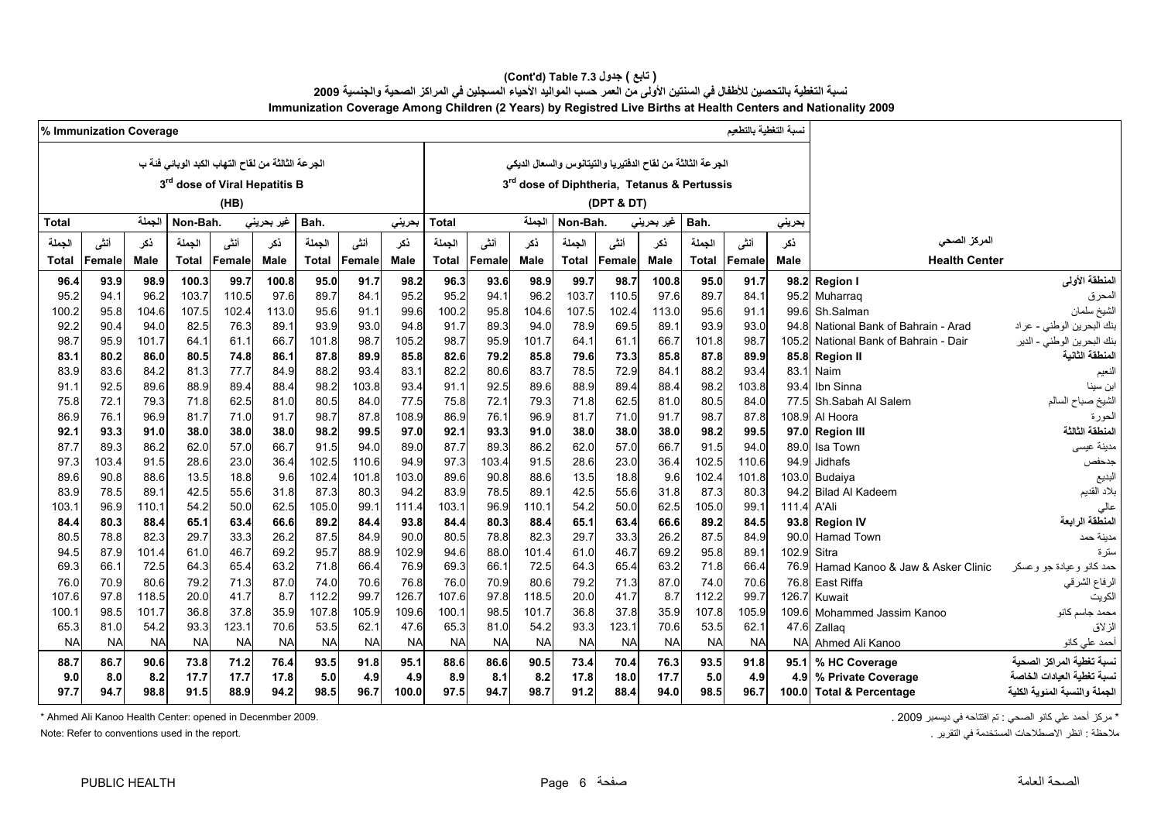#### **Immunization Coverage Among Children (2 Years) by Registred Live Births at Health Centers and Nationality 2009 (Cont'd) Table 7.3 جدول ) تابع(**  نسبة التغطية بالتحصين للأطفال في السنتين الأولى من العمر حسب المواليد الأحياء المسجلين في المراكز الصحية والجنسية 2009

|               | % Immunization Coverage |               |              |                                                   |              |               |               |               |               |              |               |              |                                                            |              |               | نسبة التغطية بالتطعيم |               |                                  |                               |
|---------------|-------------------------|---------------|--------------|---------------------------------------------------|--------------|---------------|---------------|---------------|---------------|--------------|---------------|--------------|------------------------------------------------------------|--------------|---------------|-----------------------|---------------|----------------------------------|-------------------------------|
|               |                         |               |              | لجر عة الثالثة من لقاح التهاب الكبد الوبائي فئة ب |              |               |               |               |               |              |               |              | الجرعة الثالثة من لقاح الدفتيريا والتيتانوس والسعال الديكي |              |               |                       |               |                                  |                               |
|               |                         |               |              |                                                   |              |               |               |               |               |              |               |              |                                                            |              |               |                       |               |                                  |                               |
|               |                         |               |              | 3rd dose of Viral Hepatitis B                     |              |               |               |               |               |              |               |              | 3rd dose of Diphtheria, Tetanus & Pertussis                |              |               |                       |               |                                  |                               |
|               |                         |               |              | (HB)                                              |              |               |               |               |               |              |               |              | (DPT & DT)                                                 |              |               |                       |               |                                  |                               |
| <b>Total</b>  |                         | الجملة        | Non-Bah.     |                                                   | غير بحريني   | Bah.          |               | بحرينى        | Total         |              | الجملة        | Non-Bah.     |                                                            | غير بحريني   | Bah.          |                       | بحريني        |                                  |                               |
| الجملة        | أنشى                    | نكر           | الجملة       | أننى                                              | نكر          | الجملة        | أنشى          | ذكر           | الجملة        | أنشى         | نكر           | الجملة       | أنشى                                                       | نكر          | الجملة        | أنشى                  | ذكر           | المركز الصحى                     |                               |
| Total         | Female                  | Male          | <b>Total</b> | Female                                            | <b>Male</b>  | Total         | Female        | Male          | <b>Total</b>  | Female       | Male          | Total        | Female                                                     | Male         | <b>Total</b>  | Female                | Male          | <b>Health Center</b>             |                               |
| 96.4          | 93.9                    | 98.9          | 100.3        | 99.7                                              | 100.8        | 95.0          | 91.7          | 98.2          | 96.3          | 93.6         | 98.9          | 99.7         | 98.7                                                       | 100.8        | 95.0          | 91.7                  | 98.2          | <b>Region I</b>                  | المنطقة الأولى                |
| 95.2          | 94.1                    | 96.2          | 103.7        | 110.5                                             | 97.6         | 89.7          | 84.1          | 95.2          | 95.2          | 94.1         | 96.2          | 103.7        | 110.5                                                      | 97.6         | 89.7          | 84.1                  | 95.2          | Muharraq                         | المحرق                        |
| 100.2         | 95.8                    | 104.6         | 107.5        | 102.4                                             | 113.0        | 95.6          | 91.1          | 99.6          | 100.2         | 95.8         | 104.6         | 107.5        | 102.4                                                      | 113.0        | 95.6          | 91.1                  | 99.6          | Sh.Salman                        | الشيخ سلمان                   |
| 92.2          | 90.4                    | 94.0          | 82.5         | 76.3                                              | 89.1         | 93.9          | 93.0          | 94.8          | 91.7          | 89.3         | 94.0          | 78.9         | 69.5                                                       | 89.1         | 93.9          | 93.0                  | 94.8          | National Bank of Bahrain - Arad  | بنك البحرين الوطني - عراد     |
| 98.7          | 95.9                    | 101.7         | 64.1         | 61.1                                              | 66.7         | 101.8         | 98.7          | 105.2         | 98.7          | 95.9         | 101.7         | 64.1         | 61.1                                                       | 66.7         | 101.8         | 98.7                  | 105.2         | National Bank of Bahrain - Dair  | بنك البحرين الوطني - الدير    |
| 83.1          | 80.2                    | 86.0          | 80.5         | 74.8                                              | 86.1         | 87.8          | 89.9          | 85.8          | 82.6          | 79.2         | 85.8          | 79.6         | 73.3                                                       | 85.8         | 87.8          | 89.9                  | 85.8          | <b>Region II</b>                 | لمنطقة الثانية                |
| 83.9          | 83.6                    | 84.2          | 81.3         | 77.7                                              | 84.9         | 88.2          | 93.4          | 83.1          | 82.2          | 80.6         | 83.7          | 78.5         | 72.9                                                       | 84.1         | 88.2          | 93.4                  | 83.1          | Naim                             | للعيم                         |
| 91.1          | 92.5                    | 89.6          | 88.9         | 89.4                                              | 88.4         | 98.2          | 103.8         | 93.4          | 91.1          | 92.5         | 89.6          | 88.9         | 89.4                                                       | 88.4         | 98.2          | 103.8                 | 93.4          | Ibn Sinna                        | بن سينا                       |
| 75.8          | 72.1                    | 79.3          | 71.8         | 62.5                                              | 81.0         | 80.5          | 84.0          | 77.5          | 75.8          | 72.1         | 79.3          | 71.8         | 62.5                                                       | 81.0         | 80.5          | 84.0                  | 77.5          | Sh.Sabah Al Salem                | الشيخ صباح                    |
| 86.9          | 76.1                    | 96.9          | 81.7         | 71.0                                              | 91.7         | 98.7          | 87.8          | 108.9         | 86.9          | 76.1         | 96.9          | 81.7         | 71.0                                                       | 91.7         | 98.7          | 87.8                  | 108.9         | Al Hoora                         | لحورة                         |
| 92.1          | 93.3                    | 91.0          | 38.0         | 38.0                                              | 38.0         | 98.2          | 99.5          | 97.0          | 92.1          | 93.3         | 91.0          | 38.0         | 38.0                                                       | 38.0         | 98.2          | 99.5                  | 97.0          | <b>Region III</b>                | المنطقة الثالثة               |
| 87.7          | 89.3                    | 86.2          | 62.0         | 57.0                                              | 66.7         | 91.5          | 94.0          | 89.0          | 87.7          | 89.3         | 86.2          | 62.0         | 57.0                                                       | 66.7         | 91.5          | 94.0                  | 89.0          | Isa Town                         | مدينة عيسى                    |
| 97.3          | 103.4                   | 91.5          | 28.6         | 23.0                                              | 36.4         | 102.5         | 110.6         | 94.9          | 97.3          | 103.4        | 91.5          | 28.6         | 23.0                                                       | 36.4         | 102.5         | 110.6                 | 94.9          | Jidhafs                          | جدحفص                         |
| 89.6          | 90.8                    | 88.6          | 13.5         | 18.8                                              | 9.6          | 102.4         | 101.8         | 103.0         | 89.6          | 90.8         | 88.6          | 13.5         | 18.8                                                       | 9.6          | 102.4         | 101.8                 | 103.0         | Budaiya                          | البديع                        |
| 83.9          | 78.5                    | 89.1          | 42.5         | 55.6                                              | 31.8         | 87.3          | 80.3          | 94.2          | 83.9          | 78.5         | 89.1          | 42.5         | 55.6                                                       | 31.8         | 87.3          | 80.3                  | 94.2          | <b>Bilad Al Kadeem</b>           | بلاد القديم                   |
| 103.1         | 96.9                    | 110.1         | 54.2         | 50.0                                              | 62.5         | 105.0         | 99.1          | 111.4         | 103.1         | 96.9         | 110.1         | 54.2         | 50.0                                                       | 62.5         | 105.0         | 99.1                  | 111.4         | A'Ali                            | عالى                          |
| 84.4          | 80.3                    | 88.4          | 65.1         | 63.4                                              | 66.6         | 89.2          | 84.4          | 93.8          | 84.4          | 80.3         | 88.4          | 65.1         | 63.4                                                       | 66.6         | 89.2          | 84.5                  | 93.8          | <b>Region IV</b>                 | المنطقة الرابعة               |
| 80.5          | 78.8                    | 82.3          | 29.7         | 33.3                                              | 26.2         | 87.5          | 84.9          | 90.0          | 80.5          | 78.8         | 82.3          | 29.7         | 33.3                                                       | 26.2         | 87.5          | 84.9                  | 90.0          | <b>Hamad Town</b>                | مدينة حمد                     |
| 94.5          | 87.9                    | 101.4         | 61.0         | 46.7                                              | 69.2         | 95.7          | 88.9          | 102.9         | 94.6          | 88.0         | 101.4         | 61.0         | 46.7                                                       | 69.2         | 95.8          | 89.1                  | 102.9<br>76.9 | Sitra                            | ىئر ة                         |
| 69.3          | 66.1                    | 72.5          | 64.3         | 65.4                                              | 63.2         | 71.8          | 66.4          | 76.9          | 69.3          | 66.1         | 72.5          | 64.3         | 65.4                                                       | 63.2         | 71.8          | 66.4                  |               | Hamad Kanoo & Jaw & Asker Clinic | حمد کانو و عبادة جو و عسکر    |
| 76.0<br>107.6 | 70.9<br>97.8            | 80.6          | 79.2<br>20.0 | 71.3<br>41.7                                      | 87.0<br>8.7  | 74.0          | 70.6<br>99.7  | 76.8<br>126.7 | 76.0<br>107.6 | 70.9<br>97.8 | 80.6<br>118.5 | 79.2<br>20.0 | 71.3<br>41.7                                               | 87.0<br>8.7  | 74.0          | 70.6<br>99.7          | 76.8<br>126.7 | East Riffa                       | الرفاع الشرقي<br>الكويت       |
|               | 98.5                    | 118.5         | 36.8         | 37.8                                              |              | 112.2         |               |               | 100.1         |              |               | 36.8         | 37.8                                                       |              | 112.2         |                       | 109.6         | Kuwait                           |                               |
| 100.1<br>65.3 | 81.0                    | 101.7<br>54.2 | 93.3         | 123.1                                             | 35.9<br>70.6 | 107.8<br>53.5 | 105.9<br>62.1 | 109.6<br>47.6 | 65.3          | 98.5<br>81.0 | 101.7<br>54.2 | 93.3         | 123.1                                                      | 35.9<br>70.6 | 107.8<br>53.5 | 105.9<br>62.1         | 47.6          | Mohammed Jassim Kanoo<br>Zallag  | محمد جاسم كانو<br>الز لاق     |
| <b>NA</b>     | <b>NA</b>               | <b>NA</b>     | <b>NA</b>    | <b>NA</b>                                         | <b>NA</b>    | <b>NA</b>     | <b>NA</b>     | <b>NA</b>     | <b>NA</b>     | <b>NA</b>    | <b>NA</b>     | <b>NA</b>    | <b>NA</b>                                                  | <b>NA</b>    | <b>NA</b>     | <b>NA</b>             | <b>NA</b>     | Ahmed Ali Kanoo                  | أحمد على كانو                 |
|               |                         |               |              |                                                   |              |               |               |               |               |              |               |              |                                                            |              |               |                       |               |                                  |                               |
| 88.7          | 86.7                    | 90.6          | 73.8         | 71.2                                              | 76.4         | 93.5          | 91.8          | 95.1          | 88.6          | 86.6         | 90.5          | 73.4         | 70.4                                                       | 76.3         | 93.5          | 91.8                  | 95.1          | % HC Coverage                    | سبة تغطية المر اكز الصحية     |
| 9.0           | 8.0                     | 8.2           | 17.7         | 17.7                                              | 17.8         | 5.0           | 4.9           | 4.9           | 8.9           | 8.1          | 8.2           | 17.8         | 18.0                                                       | 17.7         | 5.0           | 4.9                   | 4.9           | % Private Coverage               | سدة تغطية العبادات الخاصة     |
| 97.7          | 94.7                    | 98.8          | 91.5         | 88.9                                              | 94.2         | 98.5          | 96.7          | 100.0         | 97.5          | 94.7         | 98.7          | 91.2         | 88.4                                                       | 94.0         | 98.5          | 96.7                  | 100.0         | <b>Total &amp; Percentage</b>    | الجملة والنسبة المئوية الكلية |

\* مركز أحمد علي كانو الصحي : تم افتتاحه في ديسمبر 2009 . 2009 . 2009 . 2009 . 2009 . 2009 . 2009 . 2009 . 2009 . ح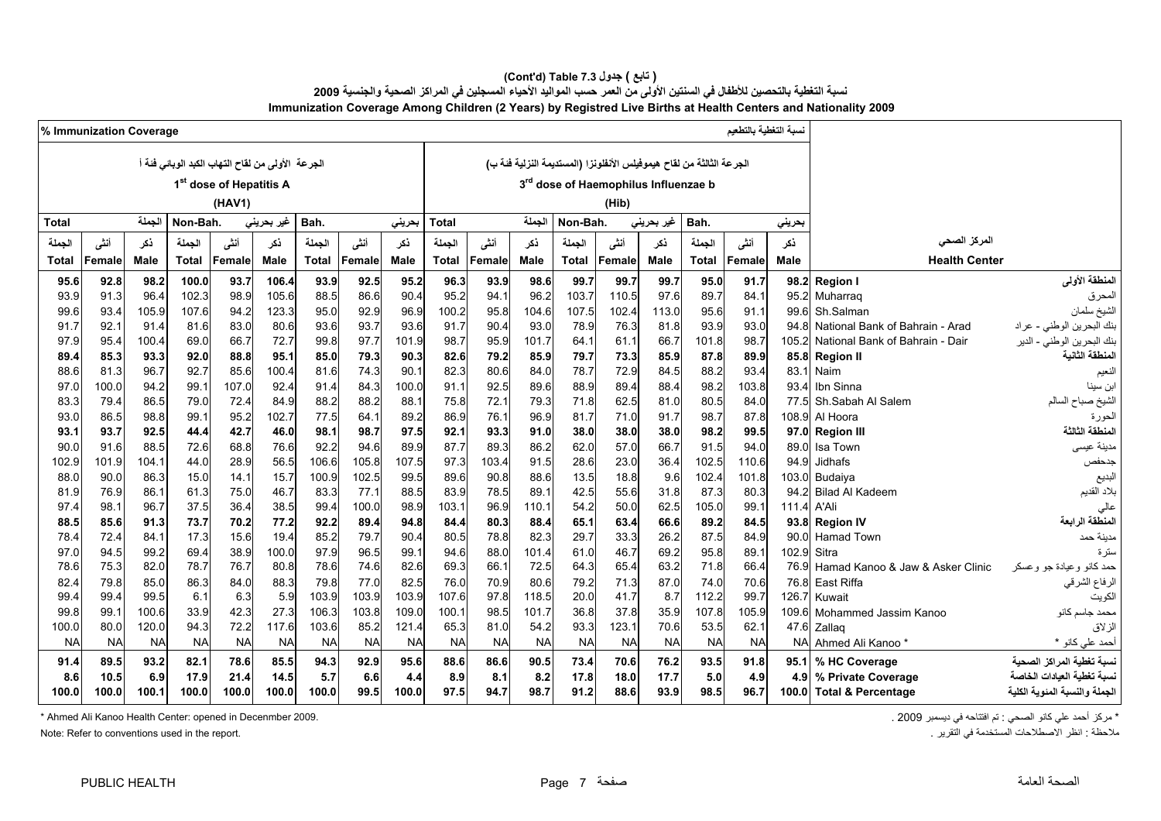**Immunization Coverage Among Children (2 Years) by Registred Live Births at Health Centers and Nationality 2009 (Cont'd) Table 7.3 جدول ) تابع(**  نسبة التغطية بالتحصين للأطفال في السنتين الأولى من العمر حسب المواليد الأحياء المسجلين في المراكز الصحية والجنسية 2009

|              | % Immunization Coverage |              |              |                                                    |              |               |               |              |              |              |              |              |                                      |             |                                                                      |               |                  |                                   |                               |
|--------------|-------------------------|--------------|--------------|----------------------------------------------------|--------------|---------------|---------------|--------------|--------------|--------------|--------------|--------------|--------------------------------------|-------------|----------------------------------------------------------------------|---------------|------------------|-----------------------------------|-------------------------------|
|              |                         |              |              | الجرعة   الأولى من لقاح التهاب الكبد الوبائي فئة أ |              |               |               |              |              |              |              |              |                                      |             | الجرعة الثالثة من لقاح هيموفيلس الأنفلونزا (المستديمة النزلية فئة ب) |               |                  |                                   |                               |
|              |                         |              |              |                                                    |              |               |               |              |              |              |              |              | 3rd dose of Haemophilus Influenzae b |             |                                                                      |               |                  |                                   |                               |
|              |                         |              |              | 1 <sup>st</sup> dose of Hepatitis A                |              |               |               |              |              |              |              |              |                                      |             |                                                                      |               |                  |                                   |                               |
|              |                         |              |              | (HAV1)                                             |              |               |               |              |              |              |              |              | (Hib)                                |             |                                                                      |               |                  |                                   |                               |
| <b>Total</b> |                         | الجملة       | Non-Bah      |                                                    | غیر بحرینی   | Bah.          |               | بحرينى       | Total        |              | الجملة       | Non-Bah.     |                                      | غیر بحرینی  | Bah.                                                                 |               | بحريني           |                                   |                               |
| الجملة       | أننى                    | ذكر          | الجملة       | أننى                                               | ذكر          | الجملة        | أننى          | ذكر          | الجملة       | أنشى         | نكر          | الجملة       | أنشى                                 | نكر         | الجملة                                                               | أنشى          | ذكر              | المركز الصحى                      |                               |
| Total        | Female                  | Male         | Total        | Female                                             | Male         | <b>Total</b>  | Female        | Male         | <b>Total</b> | Female       | Male         | <b>Total</b> | Female                               | <b>Male</b> | <b>Total</b>                                                         | Female        | <b>Male</b>      | <b>Health Center</b>              |                               |
| 95.6         | 92.8                    | 98.2         | 100.0        | 93.7                                               | 106.4        | 93.9          | 92.5          | 95.2         | 96.3         | 93.9         | 98.6         | 99.7         | 99.7                                 | 99.7        | 95.0                                                                 | 91.7          | 98.2             | <b>Region I</b>                   | المنطقة الأولى                |
| 93.9         | 91.3                    | 96.4         | 102.3        | 98.9                                               | 105.6        | 88.5          | 86.6          | 90.4         | 95.2         | 94.          | 96.2         | 103.7        | 110.5                                | 97.6        | 89.7                                                                 | 84.1          | 95.2             | Muharraq                          | المحرق                        |
| 99.6         | 93.4                    | 105.9        | 107.6        | 94.2                                               | 123.3        | 95.0          | 92.9          | 96.9         | 100.2        | 95.8         | 104.6        | 107.5        | 102.4                                | 113.0       | 95.6                                                                 | 91.1          | 99.6             | Sh.Salman                         | الشيخ سلمان                   |
| 91.7         | 92.1                    | 91.4         | 81.6         | 83.0                                               | 80.6         | 93.6          | 93.7          | 93.6         | 91.7         | 90.4         | 93.0         | 78.9         | 76.3                                 | 81.8        | 93.9                                                                 | 93.0          | 94 8             | National Bank of Bahrain - Arad   | بنك البحرين الوطني - عراد     |
| 97.9         | 95.4                    | 100.4        | 69.0         | 66.7                                               | 72.7         | 99.8          | 97.7          | 101.9        | 98.7         | 95.9         | 101.7        | 64.1         | 61.1                                 | 66.7        | 101.8                                                                | 98.7          | 105.2            | National Bank of Bahrain - Dair   | بنك البحرين الوطني - الدير    |
| 89.4         | 85.3                    | 93.3         | 92.0         | 88.8                                               | 95.1         | 85.0          | 79.3          | 90.3         | 82.6         | 79.2         | 85.9         | 79.7         | 73.3                                 | 85.9        | 87.8                                                                 | 89.9          | 85.8             | <b>Region II</b>                  | لمنطقة الثانية                |
| 88.6         | 81.3                    | 96.7         | 92.7         | 85.6                                               | 100.4        | 81.6          | 74.3          | 90.1         | 82.3         | 80.6         | 84.0         | 78.7         | 72.9                                 | 84.5        | 88.2                                                                 | 93.4          | 83.1             | Naim                              | لنعيم                         |
| 97.0         | 100.0                   | 94.2         | 99.1         | 107.0                                              | 92.4         | 91.4          | 84.3          | 100.0        | 91.1         | 92.5         | 89.6         | 88.9         | 89.4                                 | 88.4        | 98.2                                                                 | 103.8         | 93.4             | Ibn Sinna                         | بن سينا                       |
| 83.3         | 79.4                    | 86.5         | 79.0         | 72.4                                               | 84.9         | 88.2          | 88.2          | 88.1         | 75.8         | 72.7         | 79.3         | 71.8         | 62.5                                 | 81.0        | 80.5                                                                 | 84.0          | 77.5             | Sh.Sabah Al Salem                 | لشيخ صباح السالم              |
| 93.0         | 86.5                    | 98.8         | 99.1         | 95.2                                               | 102.7        | 77.5          | 64.7          | 89.2         | 86.9         | 76.1         | 96.9         | 81.7         | 71.0                                 | 91.7        | 98.7                                                                 | 87.8          | 108.9            | Al Hoora                          | لحورة                         |
| 93.1         | 93.7                    | 92.5         | 44.4         | 42.7                                               | 46.0         | 98.1          | 98.7          | 97.5         | 92.1         | 93.3         | 91.0         | 38.0         | 38.0                                 | 38.0        | 98.2                                                                 | 99.5          | 97.0             | <b>Region III</b>                 | لمنطقة الثالثة                |
| 90.0         | 91.6                    | 88.5         | 72.6         | 68.8                                               | 76.6         | 92.2          | 94.6          | 89.9         | 87.7         | 89.3         | 86.2         | 62.0         | 57.0                                 | 66.7        | 91.5                                                                 | 94.0          | 89.0             | Isa Town                          | مدينة عيسى                    |
| 102.9        | 101.9                   | 104.1        | 44.0         | 28.9                                               | 56.5         | 106.6         | 105.8         | 107.5        | 97.3         | 103.4        | 91.5         | 28.6         | 23.0                                 | 36.4        | 102.5                                                                | 110.6         | 94.9             | Jidhafs                           | جدحفص                         |
| 88.0         | 90.0<br>76.9            | 86.3<br>86.1 | 15.0<br>61.3 | 14.1<br>75.0                                       | 15.7<br>46.7 | 100.9<br>83.3 | 102.5<br>77.1 | 99.5<br>88.5 | 89.6<br>83.9 | 90.8<br>78.5 | 88.6<br>89.1 | 13.5<br>42.5 | 18.8<br>55.6                         | 9.6<br>31.8 | 102.4<br>87.3                                                        | 101.8<br>80.3 | 103.0<br>94.2    | Budaiya<br><b>Bilad Al Kadeem</b> | البديع<br>بلاد القديم         |
| 81.9<br>97.4 | 98.1                    | 96.7         | 37.5         | 36.4                                               | 38.5         | 99.4          | 100.0         | 98.9         | 103.1        | 96.9         | 110.1        | 54.2         | 50.0                                 | 62.5        | 105.0                                                                | 99.1          | 111.4            | A'Ali                             | عالى                          |
| 88.5         | 85.6                    | 91.3         | 73.7         | 70.2                                               | 77.2         | 92.2          | 89.4          | 94.8         | 84.4         | 80.3         | 88.4         | 65.1         | 63.4                                 | 66.6        | 89.2                                                                 | 84.5          | 93.8             | <b>Region IV</b>                  | لمنطقة الر ابعة               |
| 78.4         | 72.4                    | 84.1         | 17.3         | 15.6                                               | 19.4         | 85.2          | 79.7          | 90.4         | 80.5         | 78.8         | 82.3         | 29.7         | 33.3                                 | 26.2        | 87.5                                                                 | 84.9          | 90.0             | <b>Hamad Town</b>                 | مدينة حمد                     |
| 97.0         | 94.5                    | 99.2         | 69.4         | 38.9                                               | 100.0        | 97.9          | 96.5          | 99.1         | 94.6         | 88.0         | 101.4        | 61.0         | 46.7                                 | 69.2        | 95.8                                                                 | 89.1          | 102.9            | Sitra                             | ستر ۃ                         |
| 78.6         | 75.3                    | 82.0         | 78.7         | 76.7                                               | 80.8         | 78.6          | 74.6          | 82.6         | 69.3         | 66.          | 72.5         | 64.3         | 65.4                                 | 63.2        | 71.8                                                                 | 66.4          | 76.9             | Hamad Kanoo & Jaw & Asker Clinic  | حمد كانو وعيادة جو وعسكر      |
| 82.4         | 79.8                    | 85.0         | 86.3         | 84.0                                               | 88.3         | 79.8          | 77.0          | 82.5         | 76.0         | 70.9         | 80.6         | 79.2         | 71.3                                 | 87.0        | 74.0                                                                 | 70.6          | 76.8             | East Riffa                        | الرفاع الشرقي                 |
| 99.4         | 99.4                    | 99.5         | 6.1          | 6.3                                                | 5.9          | 103.9         | 103.9         | 103.9        | 107.6        | 97.8         | 118.5        | 20.0         | 41.7                                 | 8.7         | 112.2                                                                | 99.7          | 126.7            | Kuwait                            | الكويت                        |
| 99.8         | 99.1                    | 100.6        | 33.9         | 42.3                                               | 27.3         | 106.3         | 103.8         | 109.0        | 100.1        | 98.5         | 101.7        | 36.8         | 37.8                                 | 35.9        | 107.8                                                                | 105.9         | 109.6            | Mohammed Jassim Kanoo             | محمد جاسم كانو                |
| 100.0        | 80.0                    | 120.0        | 94.3         | 72.2                                               | 117.6        | 103.6         | 85.2          | 121.4        | 65.3         | 81.0         | 54.2         | 93.3         | 123.1                                | 70.6        | 53.5                                                                 | 62.1          | 47.6             | Zallaq                            | الز لاق                       |
| <b>NA</b>    | <b>NA</b>               | <b>NA</b>    | <b>NA</b>    | <b>NA</b>                                          | <b>NA</b>    | <b>NA</b>     | <b>NA</b>     | <b>NA</b>    | <b>NA</b>    | <b>NA</b>    | <b>NA</b>    | <b>NA</b>    | <b>NA</b>                            | <b>NA</b>   | <b>NA</b>                                                            | <b>NA</b>     | <b>NA</b>        | Ahmed Ali Kanoo                   | أحمد على كانو *               |
| 91.4         | 89.5                    | 93.2         | 82.1         | 78.6                                               | 85.5         | 94.3          | 92.9          | 95.6         | 88.6         | 86.6         | 90.5         | 73.4         | 70.6                                 | 76.2        | 93.5                                                                 | 91.8          | 95.1             | % HC Coverage                     | نسبة تغطية المر اكز الصحبة    |
| 8.6          | 10.5                    | 6.9          | 17.9         | 21.4                                               | 14.5         | 5.7           | 6.6           | 4.4          | 8.9          | 8.1          | 8.2          | 17.8         | 18.0                                 | 17.7        | 5.0                                                                  | 4.9           | 4.9 <sub>1</sub> | % Private Coverage                | سبية تغطية العبادات الخاصر    |
| 100.0        | 100.0                   | 100.1        | 100.0        | 100.0                                              | 100.0        | 100.0         | 99.5          | 100.0        | 97.5         | 94.7         | 98.7         | 91.2         | 88.6                                 | 93.9        | 98.5                                                                 | 96.7          | 100.0            | <b>Total &amp; Percentage</b>     | الجملة والنسبة المئوية الكلية |
|              |                         |              |              |                                                    |              |               |               |              |              |              |              |              |                                      |             |                                                                      |               |                  |                                   |                               |

\* مركز أحمد علي كانو الصحي : تم افتتاحه في ديسمبر 2009 . 2009 . 2009 . 2009 . 2009 . 2009 . 2009 . 2009 . 2009 . حجم المسمبر 2009 . 2009 . 2009 . 2009 . 2009 . 2009 . كانو الصحي : تم افتتاحه في ديسمبر 2009 . Ahmed Ali Kan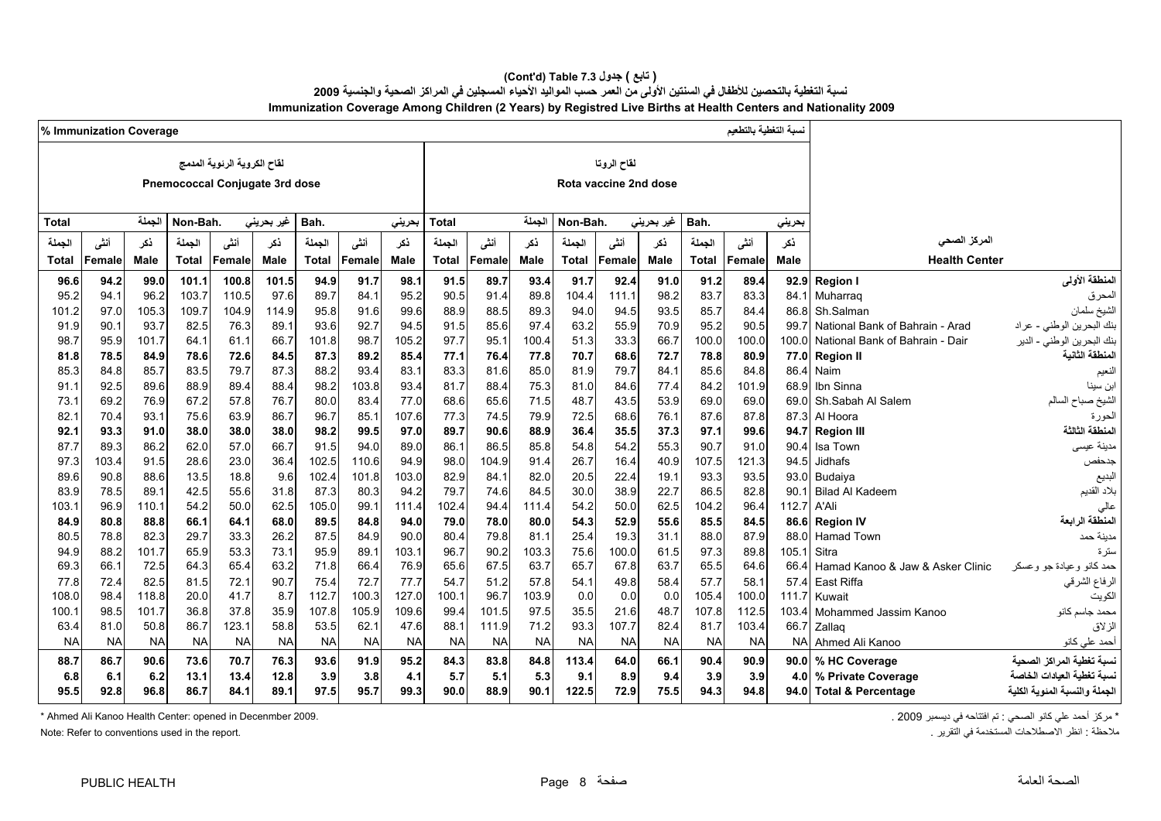**(Cont'd) Table 7.3 جدول ) تابع(**  نسبة التغطية بالتحصين للأطفال في السنتين الأولى من العمر حسب المواليد الأحياء المسجلين في المراكز الصحية والجنسية 2009 **Immunization Coverage Among Children (2 Years) by Registred Live Births at Health Centers and Nationality 2009**

|              | % Immunization Coverage |             |           |                                |            |              |           |             |              |           |             |           |                       |             |              |           |                  |                                  |                              |
|--------------|-------------------------|-------------|-----------|--------------------------------|------------|--------------|-----------|-------------|--------------|-----------|-------------|-----------|-----------------------|-------------|--------------|-----------|------------------|----------------------------------|------------------------------|
|              |                         |             |           | لقاح الكروية الرئوية المدمج    |            |              |           |             |              |           |             |           | لقاح الروتا           |             |              |           |                  |                                  |                              |
|              |                         |             |           |                                |            |              |           |             |              |           |             |           |                       |             |              |           |                  |                                  |                              |
|              |                         |             |           | Pnemococcal Conjugate 3rd dose |            |              |           |             |              |           |             |           | Rota vaccine 2nd dose |             |              |           |                  |                                  |                              |
| <b>Total</b> |                         | الجملة      | Non-Bah.  |                                | غير بحريني | Bah.         |           |             | <b>Total</b> |           | الجملة      | Non-Bah.  |                       |             | Bah.         |           |                  |                                  |                              |
|              |                         |             |           |                                |            |              |           | بحريني      |              |           |             |           |                       | غیر بحرینی  |              |           | بحريني           |                                  |                              |
| الحملة       | أنشى                    | ذكر         | الجملة    | أننس                           | ذكر        | الجملة       | أنشى      | نكر         | الجملة       | أننى      | ذكر         | الحملة    | أنشى                  | ذكر         | الجملة       | أنشى      | نكر              | المركز الصحى                     |                              |
| Total        | Female                  | <b>Male</b> | Total     | Female                         | Male       | <b>Total</b> | Female    | <b>Male</b> | <b>Total</b> | Female    | <b>Male</b> | Total     | Female                | <b>Male</b> | <b>Total</b> | Female    | Male             | <b>Health Center</b>             |                              |
| 96.6         | 94.2                    | 99.0        | 101.1     | 100.8                          | 101.5      | 94.9         | 91.7      | 98.1        | 91.5         | 89.7      | 93.4        | 91.7      | 92.4                  | 91.0        | 91.2         | 89.4      | 92.9             | <b>Region I</b>                  | المنطقة الأولى               |
| 95.2         | 94.1                    | 96.2        | 103.7     | 110.5                          | 97.6       | 89.7         | 84.1      | 95.2        | 90.5         | 91.4      | 89.8        | 104.4     | 111.1                 | 98.2        | 83.7         | 83.3      | 84.1             | Muharrag                         | المحرق                       |
| 101.2        | 97.0                    | 105.3       | 109.7     | 104.9                          | 114.9      | 95.8         | 91.6      | 99.6        | 88.9         | 88.5      | 89.3        | 94.0      | 94.5                  | 93.5        | 85.7         | 84.4      | 86.8             | Sh.Salman                        | الشيخ سلمان                  |
| 91.9         | 90.1                    | 93.7        | 82.5      | 76.3                           | 89.1       | 93.6         | 92.7      | 94.5        | 91.5         | 85.6      | 97.4        | 63.2      | 55.9                  | 70.9        | 95.2         | 90.5      | 99.7             | National Bank of Bahrain - Arad  | بنك البحرين الوطني - عراد    |
| 98.7         | 95.9                    | 101.7       | 64.1      | 61.1                           | 66.7       | 101.8        | 98.7      | 105.2       | 97.7         | 95.1      | 100.4       | 51.3      | 33.3                  | 66.7        | 100.0        | 100.0     | 100.0            | National Bank of Bahrain - Dair  | بنك البحرين الوطني - الدير   |
| 81.8         | 78.5                    | 84.9        | 78.6      | 72.6                           | 84.5       | 87.3         | 89.2      | 85.4        | 77.1         | 76.4      | 77.8        | 70.7      | 68.6                  | 72.7        | 78.8         | 80.9      | 77.0             | <b>Region II</b>                 | لمنطقة الثانية               |
| 85.3         | 84.8                    | 85.7        | 83.5      | 79.7                           | 87.3       | 88.2         | 93.4      | 83.1        | 83.3         | 81.6      | 85.0        | 81.9      | 79.7                  | 84.1        | 85.6         | 84.8      | 86.4             | Naim                             | لنعيم                        |
| 91.1         | 92.5                    | 89.6        | 88.9      | 89.4                           | 88.4       | 98.2         | 103.8     | 93.4        | 81.7         | 88.4      | 75.3        | 81.0      | 84.6                  | 77.4        | 84.2         | 101.9     | 68.9             | Ibn Sinna                        | بن سينا                      |
| 73.1         | 69.2                    | 76.9        | 67.2      | 57.8                           | 76.7       | 80.0         | 83.4      | 77.0        | 68.6         | 65.6      | 71.5        | 48.7      | 43.5                  | 53.9        | 69.0         | 69.0      | 69.0             | Sh.Sabah Al Salem                | لشيخ صباح السالم             |
| 82.1         | 70.4                    | 93.1        | 75.6      | 63.9                           | 86.7       | 96.7         | 85.1      | 107.6       | 77.3         | 74.5      | 79.9        | 72.5      | 68.6                  | 76.1        | 87.6         | 87.8      | 87.3             | Al Hoora                         | لحورة                        |
| 92.1         | 93.3                    | 91.0        | 38.0      | 38.0                           | 38.0       | 98.2         | 99.5      | 97.0        | 89.7         | 90.6      | 88.9        | 36.4      | 35.5                  | 37.3        | 97.1         | 99.6      | 94.7             | <b>Region III</b>                | لمنطقة الثالثة               |
| 87.7         | 89.3                    | 86.2        | 62.0      | 57.0                           | 66.7       | 91.5         | 94.0      | 89.0        | 86.1         | 86.5      | 85.8        | 54.8      | 54.2                  | 55.3        | 90.7         | 91.0      | 90.4             | Isa Town                         | مدينة عيسى                   |
| 97.3         | 103.4                   | 91.5        | 28.6      | 23.0                           | 36.4       | 102.5        | 110.6     | 94.9        | 98.0         | 104.9     | 91.4        | 26.7      | 16.4                  | 40.9        | 107.5        | 121.3     | 94.5             | Jidhafs                          | جدحفص                        |
| 89.6         | 90.8                    | 88.6        | 13.5      | 18.8                           | 9.6        | 102.4        | 101.8     | 103.0       | 82.9         | 84.1      | 82.0        | 20.5      | 22.4                  | 19.1        | 93.3         | 93.5      | 93.0             | Budaiya                          | البديع                       |
| 83.9         | 78.5                    | 89.1        | 42.5      | 55.6                           | 31.8       | 87.3         | 80.3      | 94.2        | 79.7         | 74.6      | 84.5        | 30.0      | 38.9                  | 22.7        | 86.5         | 82.8      | 90.1             | <b>Bilad Al Kadeem</b>           | بلاد القديم                  |
| 103.1        | 96.9                    | 110.1       | 54.2      | 50.0                           | 62.5       | 105.0        | 99.1      | 111.4       | 102.4        | 94.4      | 111.4       | 54.2      | 50.0                  | 62.5        | 104.2        | 96.4      | 112.7            | A'Ali                            |                              |
| 84.9         | 80.8                    | 88.8        | 66.1      | 64.1                           | 68.0       | 89.5         | 84.8      | 94.0        | 79.0         | 78.0      | 80.0        | 54.3      | 52.9                  | 55.6        | 85.5         | 84.5      | 86.6             | <b>Region IV</b>                 | المنطقة الرابعة              |
| 80.5         | 78.8                    | 82.3        | 29.7      | 33.3                           | 26.2       | 87.5         | 84.9      | 90.0        | 80.4         | 79.8      | 81.1        | 25.4      | 19.3                  | 31.1        | 88.0         | 87.9      | 88.0             | <b>Hamad Town</b>                | مدينة حمد                    |
| 94.9         | 88.2                    | 101.7       | 65.9      | 53.3                           | 73.1       | 95.9         | 89.1      | 103.1       | 96.7         | 90.2      | 103.3       | 75.6      | 100.0                 | 61.5        | 97.3         | 89.8      | 105.1            | Sitra                            |                              |
| 69.3         | 66.1                    | 72.5        | 64.3      | 65.4                           | 63.2       | 71.8         | 66.4      | 76.9        | 65.6         | 67.5      | 63.7        | 65.7      | 67.8                  | 63.7        | 65.5         | 64.6      | 66.4             | Hamad Kanoo & Jaw & Asker Clinic | حمد کانو و عبادة جو و عسکر   |
| 77.8         | 72.4                    | 82.5        | 81.5      | 72.1                           | 90.7       | 75.4         | 72.7      | 77.7        | 54.7         | 51.2      | 57.8        | 54.1      | 49.8                  | 58.4        | 57.7         | 58.1      | 57.4             | East Riffa                       | الرفاع الشرقي                |
| 108.0        | 98.4                    | 118.8       | 20.0      | 41.7                           | 8.7        | 112.7        | 100.3     | 127.0       | 100.1        | 96.7      | 103.9       | 0.0       | 0.0                   | 0.0         | 105.4        | 100.0     | 111.7            | Kuwait                           | الكويت                       |
| 100.1        | 98.5                    | 101.7       | 36.8      | 37.8                           | 35.9       | 107.8        | 105.9     | 109.6       | 99.4         | 101.5     | 97.5        | 35.5      | 21.6                  | 48.7        | 107.8        | 112.5     | 103.4            | Mohammed Jassim Kanoo            | محمد جاسم كانو               |
| 63.4         | 81.0                    | 50.8        | 86.7      | 123.1                          | 58.8       | 53.5         | 62.1      | 47.6        | 88.1         | 111.9     | 71.2        | 93.3      | 107.7                 | 82.4        | 81.7         | 103.4     | 66.7             | Zallaq                           | الزلاق                       |
| <b>NA</b>    | <b>NA</b>               | <b>NA</b>   | <b>NA</b> | <b>NA</b>                      | <b>NA</b>  | <b>NA</b>    | <b>NA</b> | <b>NA</b>   | <b>NA</b>    | <b>NA</b> | <b>NA</b>   | <b>NA</b> | <b>NA</b>             | <b>NA</b>   | <b>NA</b>    | <b>NA</b> | <b>NA</b>        | Ahmed Ali Kanoo                  | أحمد على كانو                |
| 88.7         | 86.7                    | 90.6        | 73.6      | 70.7                           | 76.3       | 93.6         | 91.9      | 95.2        | 84.3         | 83.8      | 84.8        | 113.4     | 64.0                  | 66.1        | 90.4         | 90.9      | 90.0             | % HC Coverage                    | نسبة تغطية المر اكز الصحبة   |
| 6.8          | 6.1                     | 6.2         | 13.1      | 13.4                           | 12.8       | 3.9          | 3.8       | 4.1         | 5.7          | 5.1       | 5.3         | 9.1       | 8.9                   | 9.4         | 3.9          | 3.9       | 4.0 <sub>1</sub> | % Private Coverage               | نسبة تغطية العبادات الخاصة   |
| 95.5         | 92.8                    | 96.8        | 86.7      | 84.1                           | 89.1       | 97.5         | 95.7      | 99.3        | 90.0         | 88.9      | 90.1        | 122.5     | 72.9                  | 75.5        | 94.3         | 94.8      | 94.0             | <b>Total &amp; Percentage</b>    | لجملة والنسبة المئوية الكلية |
|              |                         |             |           |                                |            |              |           |             |              |           |             |           |                       |             |              |           |                  |                                  |                              |

\* مركز أحمد علي كانو الصحي : تم افتتاحه في ديسمبر 2009 . 2009 . 2009 . 2009 . 2009 . 2009 . 2009 . 2009 . 2009 . 2009 . 2009 . 2009 . 2009 . 2009 .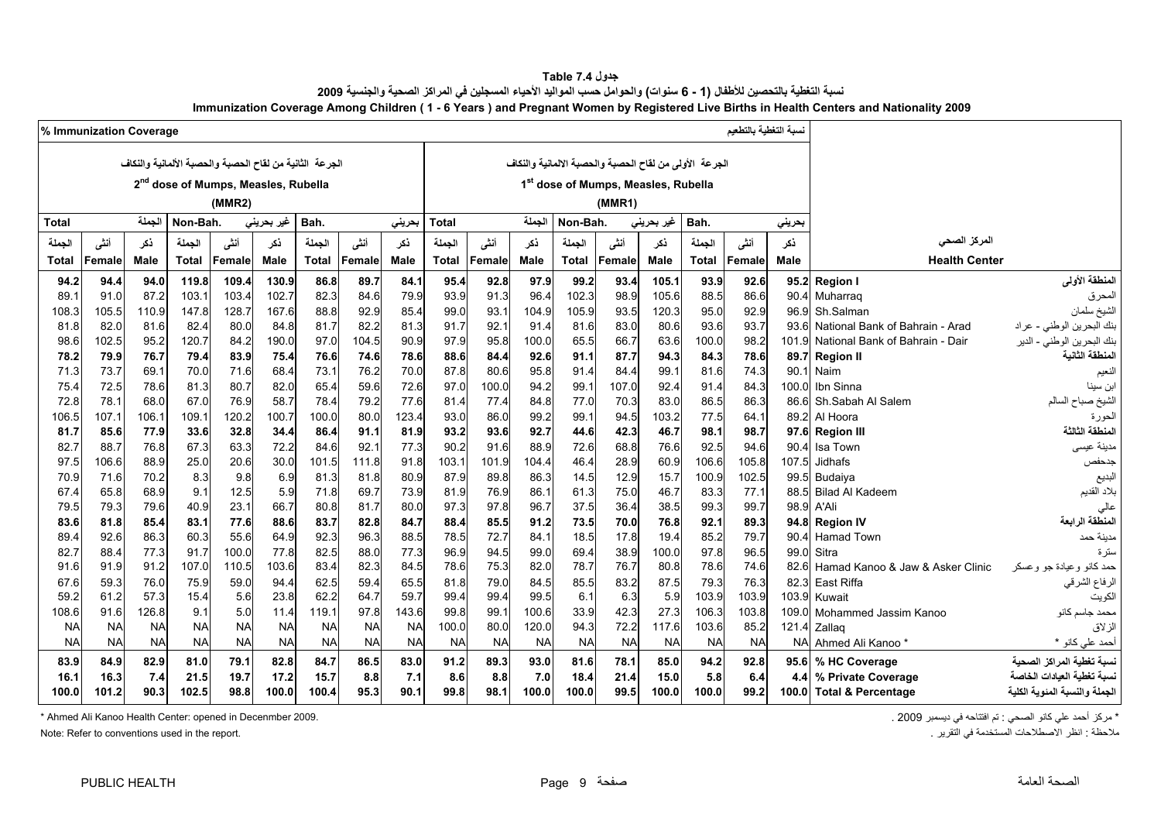| جدو ل Table 7.4                                                                                                                        |
|----------------------------------------------------------------------------------------------------------------------------------------|
| نسبة التغطية بالتحصين للأطفال (1 - 6 سنوات) والحوامل حسب المواليد الأحياء المسجلين في المراكز الصحية والجنسية 2009                     |
| Immunization Coverage Among Children (1 - 6 Years) and Pregnant Women by Registered Live Births in Health Centers and Nationality 2009 |

<span id="page-9-0"></span>

|              | % Immunization Coverage |              |                                                 |               |              |                                                         |              |              |              |              |              |              |                                                        |               |              |              |              |                                  |                               |
|--------------|-------------------------|--------------|-------------------------------------------------|---------------|--------------|---------------------------------------------------------|--------------|--------------|--------------|--------------|--------------|--------------|--------------------------------------------------------|---------------|--------------|--------------|--------------|----------------------------------|-------------------------------|
|              |                         |              |                                                 |               |              | الجرعة الثانية من لقاح الحصبة والحصبة الألمانية والنكاف |              |              |              |              |              |              | الجرعة الأولى من لقاح الحصبة والحصبة الالمانية والنكاف |               |              |              |              |                                  |                               |
|              |                         |              |                                                 |               |              |                                                         |              |              |              |              |              |              |                                                        |               |              |              |              |                                  |                               |
|              |                         |              | 2 <sup>nd</sup> dose of Mumps, Measles, Rubella |               |              |                                                         |              |              |              |              |              |              | 1 <sup>st</sup> dose of Mumps, Measles, Rubella        |               |              |              |              |                                  |                               |
|              |                         |              |                                                 | (MMR2)        |              |                                                         |              |              |              |              |              |              | (MMR1)                                                 |               |              |              |              |                                  |                               |
| <b>Total</b> |                         | الجملة       | Non-Bah.                                        |               | غير بحريني   | Bah.                                                    |              | بحرينى       | <b>Total</b> |              | الجملة       | Non-Bah.     |                                                        | غير بحريني    |              |              |              |                                  |                               |
| الجملة       | أنشى                    | نكر          | الجملة                                          | أننى          | ذكر          | الجملة                                                  | أنشى         | نكر          | الجملة       | أننى         | نكر          | الجملة       | أنشى                                                   | نكر           | الجملة       | أننى         | نكر          | المركز الصحى                     |                               |
| Total        | Female                  | <b>Male</b>  | <b>Total</b>                                    | Female        | Male         | <b>Total</b>                                            | Female       | <b>Male</b>  | <b>Total</b> | Female       | <b>Male</b>  | Total        | Female                                                 | <b>Male</b>   | <b>Total</b> | Female       | Male         | <b>Health Center</b>             |                               |
| 94.2         | 94.4                    | 94.0         | 119.8                                           | 109.4         | 130.9        | 86.8                                                    | 89.7         | 84.1         | 95.4         | 92.8         | 97.9         | 99.2         | 93.4                                                   | 105.1         | 93.9         | 92.6         | 95.2         | <b>Region</b>                    | المنطقة الأولى                |
| 89.7         | 91.0                    | 87.2         | 103.1                                           | 103.4         | 102.7        | 82.3                                                    | 84.6         | 79.9         | 93.9         | 91.3         | 96.4         | 102.3        | 98.9                                                   | 105.6         | 88.5         | 86.6         | 90.4         | Muharrag                         | المحرق                        |
| 108.3        | 105.5                   | 110.9        | 147.8                                           | 128.7         | 167.6        | 88.8                                                    | 92.9         | 85.4         | 99.0         | 93.1         | 104.9        | 105.9        | 93.5                                                   | 120.3         | 95.0         | 92.9         | 96.9         | Sh.Salman                        | الشيخ سلمان                   |
| 81.8         | 82.0                    | 81.6         | 82.4                                            | 80.0          | 84.8         | 81.7                                                    | 82.2         | 81.3         | 91.7         | 92.1         | 91.4         | 81.6         | 83.0                                                   | 80.6          | 93.6         | 93.7         | 93.6         | National Bank of Bahrain - Arad  | بنك البحرين الوطني - عراد     |
| 98.6         | 102.5                   | 95.2         | 120.7                                           | 84.2          | 190.0        | 97.0                                                    | 104.5        | 90.9         | 97.9         | 95.8         | 100.0        | 65.5         | 66.7                                                   | 63.6          | 100.0        | 98.2         | 101.9        | National Bank of Bahrain - Dair  | بنك البحرين الوطني - الدير    |
| 78.2         | 79.9                    | 76.7         | 79.4                                            | 83.9          | 75.4         | 76.6                                                    | 74.6         | 78.6         | 88.6         | 84.4         | 92.6         | 91.1         | 87.7                                                   | 94.3          | 84.3         | 78.6         | 89.7         | <b>Region II</b>                 | لمنطقة الثانية                |
| 71.3         | 73.7                    | 69.1         | 70.0                                            | 71.6          | 68.4         | 73.1                                                    | 76.2         | 70.0         | 87.8         | 80.6         | 95.8         | 91.4         | 84.4                                                   | 99.1          | 81.6         | 74.3         | 90.1         | Naim                             | لنعيم                         |
| 75.4         | 72.5                    | 78.6         | 81.3                                            | 80.7          | 82.0         | 65.4                                                    | 59.6         | 72.6         | 97.0         | 100.0        | 94.2         | 99.          | 107.0                                                  | 92.4          | 91.4         | 84.3         | 100.0        | Ibn Sinna                        | بن سينا                       |
| 72.8         | 78.1                    | 68.0         | 67.0                                            | 76.9          | 58.7         | 78.4                                                    | 79.2         | 77.6         | 81.4         | 77.4         | 84.8         | 77.0         | 70.3                                                   | 83.0          | 86.5         | 86.3         | 866          | Sh.Sabah Al Salem                | لشيخ صباح السالم              |
| 106.5        | 107.1                   | 106.1        | 109.1                                           | 120.2         | 100.7        | 100.0                                                   | 80.0         | 123.4        | 93.0         | 86.0         | 99.2         | 99.          | 94.5                                                   | 103.2         | 77.5         | 64.1         | 89.2         | Al Hoora                         | لحورة                         |
| 81.7         | 85.6                    | 77.9         | 33.6                                            | 32.8          | 34.4         | 86.4                                                    | 91.1         | 81.9         | 93.2         | 93.6         | 92.7         | 44.6         | 42.3                                                   | 46.7          | 98.1         | 98.7         | 97.6         | <b>Region III</b>                | المنطقة الثالثة               |
| 82.7         | 88.7                    | 76.8         | 67.3                                            | 63.3          | 72.2         | 84.6                                                    | 92.1         | 77.3         | 90.2         | 91.6         | 88.9         | 72.6         | 68.8                                                   | 76.6          | 92.5         | 94.6         | 90.4         | Isa Town                         | مدينة عيسى                    |
| 97.5         | 106.6                   | 88.9         | 25.0                                            | 20.6          | 30.0         | 101.5                                                   | 111.8        | 91.8         | 103.1        | 101.9        | 104.4        | 46.4         | 28.9                                                   | 60.9          | 106.6        | 105.8        | 107.5        | Jidhafs                          | جدحفص                         |
| 70.9         | 71.6                    | 70.2         | 8.3                                             | 9.8           | 6.9          | 81.3                                                    | 81.8         | 80.9         | 87.9         | 89.8         | 86.3         | 14.5         | 12.9                                                   | 15.7          | 100.9        | 102.5        | 99.5         | Budaiya                          | البديع                        |
| 67.4         | 65.8                    | 68.9         | 9.1                                             | 12.5          | 5.9          | 71.8                                                    | 69.7         | 73.9         | 81.9         | 76.9         | 86.1         | 61.3         | 75.0                                                   | 46.7          | 83.3         | 77.1         | 88.5         | <b>Bilad Al Kadeem</b>           | بلاد القديم                   |
| 79.5         | 79.3                    | 79.6         | 40.9                                            | 23.1          | 66.7         | 80.8                                                    | 81.7         | 80.0         | 97.3         | 97.8         | 96.7         | 37.5         | 36.4                                                   | 38.5          | 99.3         | 99.7         | 98.9         | A'Ali                            |                               |
| 83.6         | 81.8                    | 85.4         | 83.1                                            | 77.6          | 88.6         | 83.7                                                    | 82.8         | 84.7         | 88.4         | 85.5         | 91.2         | 73.5         | 70.0                                                   | 76.8          | 92.1         | 89.3         | 94.8         | <b>Region IV</b>                 | المنطقة الرابعة               |
| 89.4<br>82.7 | 92.6                    | 86.3<br>77.3 | 60.3<br>91.7                                    | 55.6<br>100.0 | 64.9<br>77.8 | 92.3<br>82.5                                            | 96.3         | 88.5<br>77.3 | 78.5<br>96.9 | 72.7<br>94.5 | 84.1<br>99.0 | 18.5<br>69.4 | 17.8<br>38.9                                           | 19.4<br>100.0 | 85.2<br>97.8 | 79.7<br>96.5 | 90.4<br>99.0 | <b>Hamad Town</b><br>Sitra       | مدينة حمد<br>سترة             |
| 91.6         | 88.4<br>91.9            | 91.2         | 107.0                                           | 110.5         | 103.6        | 83.4                                                    | 88.0<br>82.3 | 84.5         | 78.6         | 75.3         | 82.0         | 78.7         | 76.7                                                   | 80.8          | 78.6         | 74.6         | 82.6         | Hamad Kanoo & Jaw & Asker Clinic | حمد کانو و عبادة جو و عسکر    |
| 67.6         | 59.3                    | 76.0         | 75.9                                            | 59.0          | 94.4         | 62.5                                                    | 59.4         | 65.5         | 81.8         | 79.0         | 84.5         | 85.5         | 83.2                                                   | 87.5          | 79.3         | 76.3         | 82.3         | East Riffa                       | الرفاع الشرقي                 |
| 59.2         | 61.2                    | 57.3         | 15.4                                            | 5.6           | 23.8         | 62.2                                                    | 64.7         | 59.7         | 99.4         | 99.4         | 99.5         | 6.7          | 6.3                                                    | 5.9           | 103.9        | 103.9        | 103.9        | Kuwait                           | الكويت                        |
| 108.6        | 91.6                    | 126.8        | 9.1                                             | 5.0           | 11.4         | 119.1                                                   | 97.8         | 143.6        | 99.8         | 99.1         | 100.6        | 33.9         | 42.3                                                   | 27.3          | 106.3        | 103.8        | 109.0        | Mohammed Jassim Kanoo            | محمد جاسم كانو                |
| <b>NA</b>    | <b>NA</b>               | <b>NA</b>    | <b>NA</b>                                       | <b>NA</b>     | <b>NA</b>    | <b>NA</b>                                               | <b>NA</b>    | <b>NA</b>    | 100.0        | 80.0         | 120.0        | 94.3         | 72.2                                                   | 117.6         | 103.6        | 85.2         |              | 121.4 Zallaq                     | الز لاق                       |
| <b>NA</b>    | <b>NA</b>               | <b>NA</b>    | <b>NA</b>                                       | <b>NA</b>     | <b>NA</b>    | <b>NA</b>                                               | <b>NA</b>    | <b>NA</b>    | <b>NA</b>    | <b>NA</b>    | <b>NA</b>    | <b>NA</b>    | <b>NA</b>                                              | <b>NA</b>     | <b>NA</b>    | <b>NA</b>    |              | NA Ahmed Ali Kanoo*              | أحمد على كانو *               |
| 83.9         | 84.9                    | 82.9         | 81.0                                            | 79.1          | 82.8         | 84.7                                                    | 86.5         | 83.0         | 91.2         | 89.3         | 93.0         | 81.6         | 78.1                                                   | 85.0          | 94.2         | 92.8         |              | 95.6 % HC Coverage               | نسبة تغطية المراكز الصحية     |
| 16.1         | 16.3                    | 7.4          | 21.5                                            | 19.7          | 17.2         | 15.7                                                    | 8.8          | 7.1          | 8.6          | 8.8          | 7.0          | 18.4         | 21.4                                                   | 15.0          | 5.8          | 6.4          |              | 4.4 % Private Coverage           | نسبة تغطية العبادات الخاصة    |
| 100.0        | 101.2                   | 90.3         | 102.5                                           | 98.8          | 100.0        | 100.4                                                   | 95.3         | 90.1         | 99.8         | 98.1         | 100.0        | 100.0        | 99.5                                                   | 100.0         | 100.0        | 99.2         |              | 100.0 Total & Percentage         | الجملة والنسبة المئوية الكلية |
|              |                         |              |                                                 |               |              |                                                         |              |              |              |              |              |              |                                                        |               |              |              |              |                                  |                               |

\* مركز أحمد علي كانو الصحي : تم افتتاحه في ديسمبر 2009 . 2009 . 2009 . 2009 . 2009 . 2009 . 2009 . 2009 . 2009 . مركز أحمد علي كانو الصحي : تم افتتاحه في ديسمبر 2009 . Ahmed Ali Kanoo Health Center: opened in Decenmber 20

. التظر الاصطلاحات المستخدمة في الثقرير في التقرير التقرير التقرير التقرير التقرير في المستخدمة الاصطلاحات المستخدمة العقل التقرير . التقرير المستخدمة العقل التقرير المستخدمة التقرير المستخدمة الاصطلاحات المستخدمة العقل ا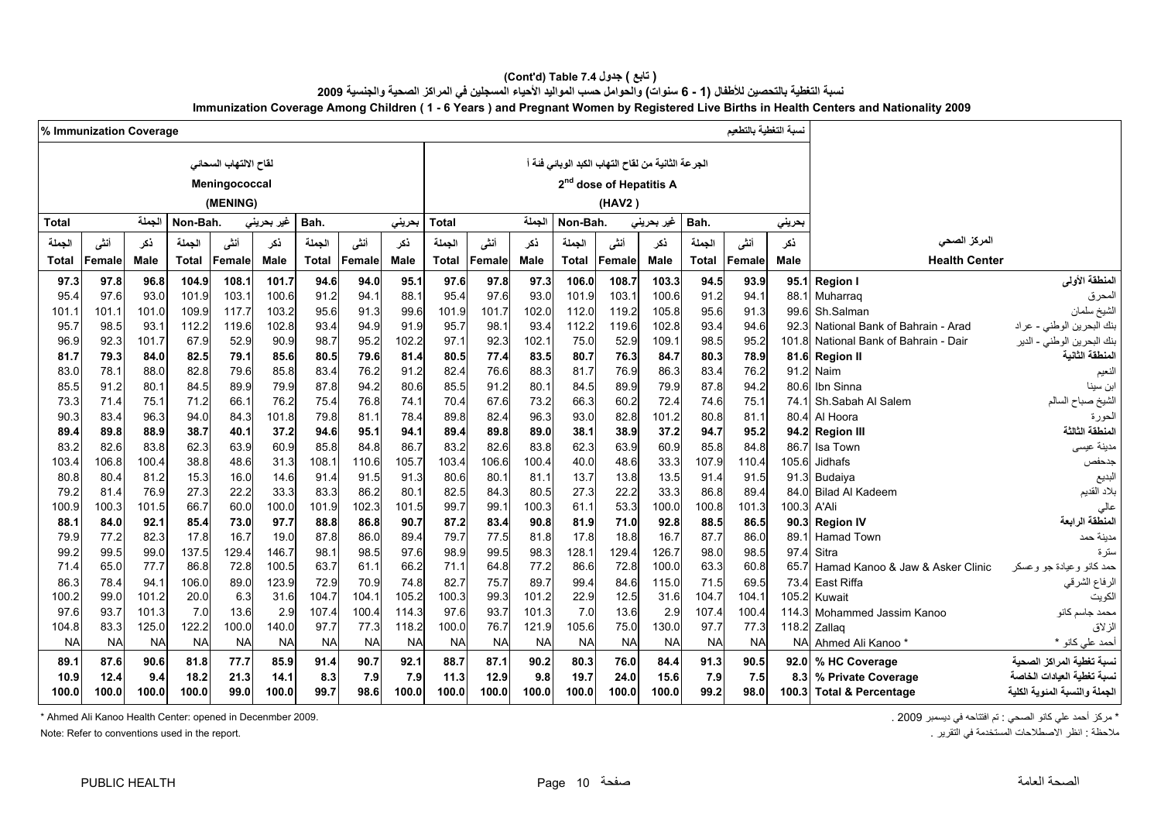| ( تابع ) جدول 7.4 (Cont'd) Table)                                                                                                      |
|----------------------------------------------------------------------------------------------------------------------------------------|
| نسبة التغطية بالتحصين للأطفال (1 - 6 سنوات) والحوامل حسب المواليد الأحياء المسجلين في المراكز الصحية والجنسية 2009                     |
| Immunization Coverage Among Children (1 - 6 Years) and Pregnant Women by Registered Live Births in Health Centers and Nationality 2009 |

|              | % Immunization Coverage |              |              |                       |              |              |              |              |              |              |              |              |                                                  |              |              | نسبة التغطية بالتطعيم |              |                                       |                              |
|--------------|-------------------------|--------------|--------------|-----------------------|--------------|--------------|--------------|--------------|--------------|--------------|--------------|--------------|--------------------------------------------------|--------------|--------------|-----------------------|--------------|---------------------------------------|------------------------------|
|              |                         |              |              | لقاح الالتهاب السحائي |              |              |              |              |              |              |              |              | لجرعة الثانية من لقاح التهاب الكبد الوبائي فئة أ |              |              |                       |              |                                       |                              |
|              |                         |              |              |                       |              |              |              |              |              |              |              |              |                                                  |              |              |                       |              |                                       |                              |
|              |                         |              |              | Meningococcal         |              |              |              |              |              |              |              |              | 2 <sup>nd</sup> dose of Hepatitis A              |              |              |                       |              |                                       |                              |
|              |                         |              |              | (MENING)              |              |              |              |              |              |              |              |              | (HAV2)                                           |              |              |                       |              |                                       |                              |
| <b>Total</b> |                         | الجملة       | Non-Bah.     |                       | غير بحريني   | Bah.         |              | حريني        | Total        |              | الجملة       | Non-Bah.     |                                                  | غیر بحرینی   | Bah.         |                       | بحريني       |                                       |                              |
| الجملة       | أنشى                    | ذكر          | الجملة       | أنشى                  | ذكر          | الجملة       | أننى         | نكر          | الجملة       | أنشى         | ذكر          | الجملة       | أننى                                             | ذكر          | الجملة       | أنشى                  | ذكر          | المركز الصحى                          |                              |
| Total        | Female                  | Male         | <b>Total</b> | Female                | Male         | <b>Total</b> | Female       | <b>Male</b>  | Total        | Female       | <b>Male</b>  | Total        | Female                                           | <b>Male</b>  | Total        | Female                | <b>Male</b>  | <b>Health Center</b>                  |                              |
| 97.3         | 97.8                    | 96.8         | 104.9        | 108.1                 | 101.7        | 94.6         | 94.0         | 95.1         | 97.6         | 97.8         | 97.3         | 106.0        | 108.7                                            | 103.3        | 94.5         | 93.9                  | 95.1         | <b>Region I</b>                       | المنطقة الأولى               |
| 95.4         | 97.6                    | 93.0         | 101.9        | 103.1                 | 100.6        | 91.2         | 94.1         | 88.1         | 95.4         | 97.6         | 93.0         | 101.9        | 103.1                                            | 100.6        | 91.2         | 94.1                  | 88.1         | Muharrag                              | المحرق                       |
| 101.1        | 101.1                   | 101.0        | 109.9        | 117.7                 | 103.2        | 95.6         | 91.3         | 99.6         | 101.9        | 101.7        | 102.0        | 112.0        | 119.2                                            | 105.8        | 95.6         | 91.3                  | 99.6         | Sh.Salman                             | الشيخ سلمان                  |
| 95.7         | 98.5                    | 93.1         | 112.2        | 119.6                 | 102.8        | 93.4         | 94.9         | 91.9         | 95.7         | 98.1         | 93.4         | 112.2        | 119.6                                            | 102.8        | 93.4         | 94.6                  | 92.3         | National Bank of Bahrain - Arad       | بنك البحرين الوطني - عراد    |
| 96.9         | 92.3                    | 101.7        | 67.9         | 52.9                  | 90.9         | 98.7         | 95.2         | 102.2        | 97.1         | 92.3         | 102.7        | 75.0         | 52.9                                             | 109.1        | 98.5         | 95.2                  | 101.8        | National Bank of Bahrain - Dair       | بنك البحرين الوطني - الدير   |
| 81.7         | 79.3                    | 84.0         | 82.5         | 79.1                  | 85.6         | 80.5         | 79.6         | 81.4         | 80.5         | 77.4         | 83.5         | 80.7         | 76.3                                             | 84.7         | 80.3         | 78.9                  | 81.6         | <b>Region II</b>                      | لمنطقة الثانية               |
| 83.0         | 78.1                    | 88.0         | 82.8         | 79.6                  | 85.8         | 83.4         | 76.2         | 91.2         | 82.4         | 76.6         | 88.3         | 81.7         | 76.9                                             | 86.3         | 83.4         | 76.2                  | 91.2         | Naim                                  | لنعيم                        |
| 85.5         | 91.2                    | 80.1         | 84.5         | 89.9                  | 79.9         | 87.8         | 94.2         | 80.6         | 85.5         | 91.2         | 80.7         | 84.5         | 89.9                                             | 79.9         | 87.8         | 94.2                  | 80.6         | Ibn Sinna                             | بن سينا                      |
| 73.3         | 71.4                    | 75.1         | 71.2         | 66.1                  | 76.2         | 75.4         | 76.8         | 74.1         | 70.4         | 67.6         | 73.2         | 66.3         | 60.2                                             | 72.4         | 74.6         | 75.1                  | 74.1         | Sh.Sabah Al Salem                     | لشيخ صباح السالم             |
| 90.3         | 83.4                    | 96.3         | 94.0         | 84.3                  | 101.8        | 79.8         | 81.1         | 78.4         | 89.8         | 82.4         | 96.3         | 93.0         | 82.8                                             | 101.2        | 80.8         | 81.1                  | 80.4         | Al Hoora                              | لحورة                        |
| 89.4         | 89.8                    | 88.9         | 38.7         | 40.1                  | 37.2         | 94.6         | 95.1         | 94.1         | 89.4         | 89.8         | 89.0         | 38.1         | 38.9                                             | 37.2         | 94.7         | 95.2                  | 94.2         | <b>Region III</b>                     | المنطقة الثالثة              |
| 83.2         | 82.6                    | 83.8         | 62.3         | 63.9                  | 60.9         | 85.8         | 84.8         | 86.7         | 83.2         | 82.6         | 83.8         | 62.3         | 63.9                                             | 60.9         | 85.8         | 84.8                  | 86.7         | Isa Town                              | مدينة عيسى                   |
| 103.4        | 106.8                   | 100.4        | 38.8         | 48.6                  | 31.3         | 108.1        | 110.6        | 105.7        | 103.4        | 106.6        | 100.4        | 40.0         | 48.6                                             | 33.3         | 107.9        | 110.4                 | 105.6        | Jidhafs                               | جدحفص                        |
| 80.8         | 80.4                    | 81.2         | 15.3         | 16.0                  | 14.6         | 91.4         | 91.5         | 91.3         | 80.6         | 80.1         | 81.1         | 13.7         | 13.8                                             | 13.5         | 91.4         | 91.5                  | 91.3         | Budaiya                               | البديع                       |
| 79.2         | 81.4                    | 76.9         | 27.3         | 22.2                  | 33.3         | 83.3         | 86.2         | 80.1         | 82.5         | 84.3         | 80.5         | 27.3         | 22.2                                             | 33.3         | 86.8         | 89.4                  | 84.0         | <b>Bilad Al Kadeem</b>                | بلاد القديم                  |
| 100.9        | 100.3                   | 101.5        | 66.7         | 60.0                  | 100.0        | 101.9        | 102.3        | 101.5        | 99.7         | 99.1         | 100.3        | 61.1         | 53.3                                             | 100.0        | 100.8        | 101.3                 | 100.3        | A'Ali                                 | عالى<br>المنطقة الر ابعة     |
| 88.1<br>79.9 | 84.0<br>77.2            | 92.1<br>82.3 | 85.4<br>17.8 | 73.0<br>16.7          | 97.7<br>19.0 | 88.8<br>87.8 | 86.8<br>86.0 | 90.7<br>89.4 | 87.2<br>79.7 | 83.4<br>77.5 | 90.8<br>81.8 | 81.9<br>17.8 | 71.0<br>18.8                                     | 92.8<br>16.7 | 88.5<br>87.7 | 86.5<br>86.0          | 90.3<br>89.1 | <b>Region IV</b><br><b>Hamad Town</b> | مدينة حمد                    |
| 99.2         | 99.5                    | 99.0         | 137.5        | 129.4                 | 146.7        | 98.1         | 98.5         | 97.6         | 98.9         | 99.5         | 98.3         | 128.7        | 129.4                                            | 126.7        | 98.0         | 98.5                  | 97.4         | Sitra                                 | ىئز ة                        |
| 71.4         | 65.0                    | 77.7         | 86.8         | 72.8                  | 100.5        | 63.7         | 61.1         | 66.2         | 71.1         | 64.8         | 77.2         | 86.6         | 72.8                                             | 100.0        | 63.3         | 60.8                  | 65.7         | Hamad Kanoo & Jaw & Asker Clinic      | حمد کانو و عبادة جو و عسکر   |
| 86.3         | 78.4                    | 94.1         | 106.0        | 89.C                  | 123.9        | 72.9         | 70.9         | 74.8         | 82.7         | 75.7         | 89.7         | 99.4         | 84.6                                             | 115.0        | 71.5         | 69.5                  | 73.4         | East Riffa                            | الرفاع الشرقي                |
| 100.2        | 99.0                    | 101.2        | 20.0         | 6.3                   | 31.6         | 104.7        | 104.1        | 105.2        | 100.3        | 99.3         | 101.2        | 22.9         | 12.5                                             | 31.6         | 104.7        | 104.1                 | 105.2        | Kuwait                                | الكويت                       |
| 97.6         | 93.7                    | 101.3        | 7.0          | 13.6                  | 2.9          | 107.4        | 100.4        | 114.3        | 97.6         | 93.7         | 101.3        | 7.0          | 13.6                                             | 2.9          | 107.4        | 100.4                 | 114.3        | Mohammed Jassim Kanoo                 | محمد جاسم كانو               |
| 104.8        | 83.3                    | 125.0        | 122.2        | 100.0                 | 140.0        | 97.7         | 77.3         | 118.2        | 100.0        | 76.7         | 121.9        | 105.6        | 75.0                                             | 130.0        | 97.7         | 77.3                  | 118.2        | Zallag                                | الزلاق                       |
| <b>NA</b>    | <b>NA</b>               | <b>NA</b>    | <b>NA</b>    | <b>NA</b>             | <b>NA</b>    | <b>NA</b>    | <b>NA</b>    | <b>NA</b>    | <b>NA</b>    | <b>NA</b>    | <b>NA</b>    | <b>NA</b>    | <b>NA</b>                                        | <b>NA</b>    | <b>NA</b>    | <b>NA</b>             | <b>NA</b>    | Ahmed Ali Kanoo*                      | أحمد على كانو *              |
| 89.1         | 87.6                    | 90.6         | 81.8         | 77.7                  | 85.9         | 91.4         | 90.7         | 92.1         | 88.7         | 87.1         | 90.2         | 80.3         | 76.0                                             | 84.4         | 91.3         | 90.5                  | 92.0         | % HC Coverage                         | نسبة تغطية المراكز الصحية    |
| 10.9         | 12.4                    | 9.4          | 18.2         | 21.3                  | 14.1         | 8.3          | 7.9          | 7.9          | 11.3         | 12.9         | 9.8          | 19.7         | 24.0                                             | 15.6         | 7.9          | 7.5                   | 8.3          | % Private Coverage                    | سسة تغطبة العبادات الخاصة    |
| 100.0        | 100.0                   | 100.0        | 100.0        | 99.0                  | 100.0        | 99.7         | 98.6         | 100.0        | 100.0        | 100.0        | 100.0        | 100.0        | 100.0                                            | 100.0        | 99.2         | 98.0                  | 100.3        | <b>Total &amp; Percentage</b>         | لجملة والنسبة المئوية الكلية |

\* مركز أحمد علي كانو الصحي : تم افتتاحه في ديسمبر 2009 . 2009 . 2009 . 2009 . 2009 . 2009 . 2009 . 2009 . 2009 . 2009 . 2009 . 2009 . 2009 . 2009 . 2009 . 2009 . كانو الصحي : تم افتتاحه في ديسمبر 2009 . Ahmed Ali Kanoo He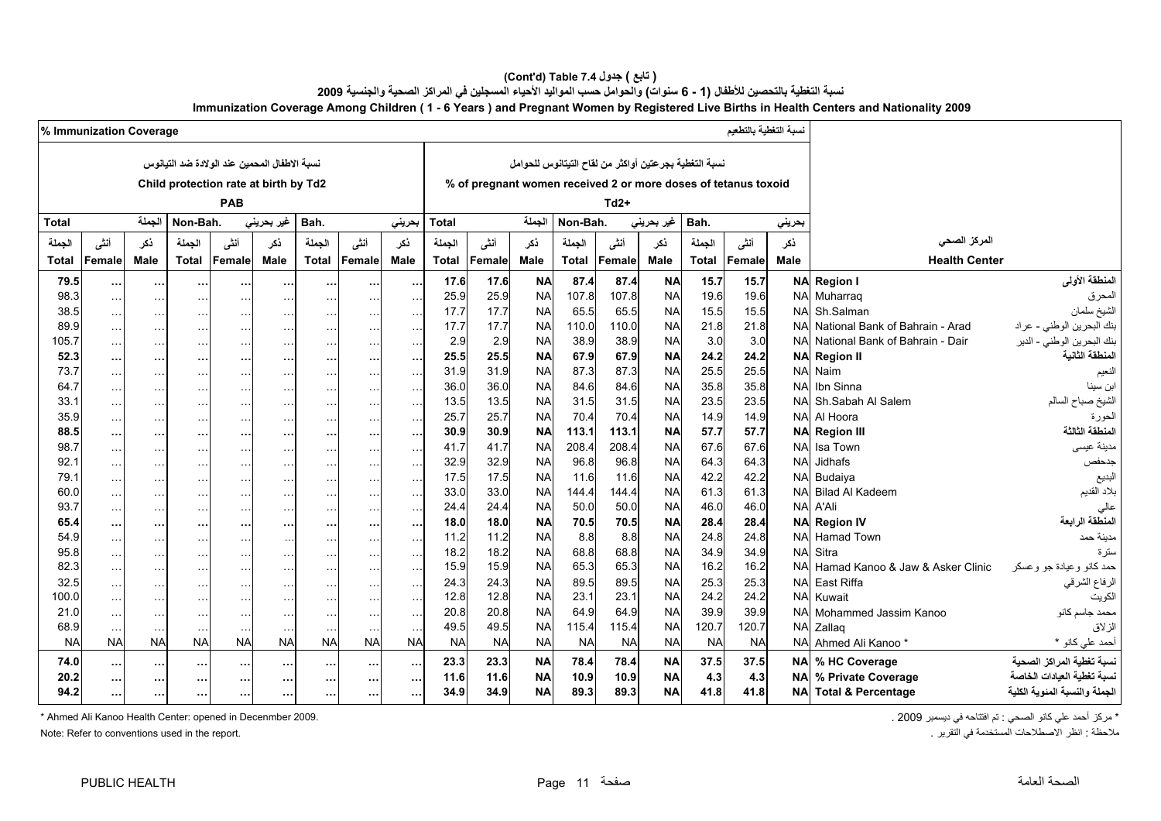#### **(Cont'd) Table 7.4 جدول ) تابع(**  نسبة التغطية بالتحصين للأطفال (1 - 6 سنوات) والحوامل حسب المواليد الأحياء المسجلين في المراكز الصحية والجنسية 2009 **Immunization Coverage Among Children ( 1 - 6 Years ) and Pregnant Women by Registered Live Births in Health Centers and Nationality 2009**

|              | % Immunization Coverage |                           |                         |                                              |                            |                                              |                                |                                       |              |                                                                |                        |              |                                                       |                        |              | نسبة التغطية بالتطعيم |                        |                                       |                               |
|--------------|-------------------------|---------------------------|-------------------------|----------------------------------------------|----------------------------|----------------------------------------------|--------------------------------|---------------------------------------|--------------|----------------------------------------------------------------|------------------------|--------------|-------------------------------------------------------|------------------------|--------------|-----------------------|------------------------|---------------------------------------|-------------------------------|
|              |                         |                           |                         | نسبة الاطفال المحمين عند الولادة ضد التيانوس |                            |                                              |                                |                                       |              |                                                                |                        |              | نسبة التغطية بجرعتين أواكثر من لقاح التيتانوس للحوامل |                        |              |                       |                        |                                       |                               |
|              |                         |                           |                         |                                              |                            |                                              |                                |                                       |              |                                                                |                        |              |                                                       |                        |              |                       |                        |                                       |                               |
|              |                         |                           |                         | Child protection rate at birth by Td2        |                            |                                              |                                |                                       |              | % of pregnant women received 2 or more doses of tetanus toxoid |                        |              |                                                       |                        |              |                       |                        |                                       |                               |
|              |                         |                           |                         | PAB                                          |                            |                                              |                                |                                       |              |                                                                |                        |              | $Td2+$                                                |                        |              |                       |                        |                                       |                               |
| <b>Total</b> |                         | الجملة                    | Non-Bah.                |                                              | غير بحريني                 | Bah.                                         |                                | بحريني                                | <b>Total</b> |                                                                | الجملة                 | Non-Bah.     |                                                       | غير بحريني             | Bah.         |                       | بحريني                 |                                       |                               |
| الحملة       | أنشى                    | ذكر                       | الجملة                  | أنشى                                         | نكر                        | الجملة                                       | أنشى                           | نكر                                   | الجملة       | أنشى                                                           | ذكر                    | الحملة       | أنشى                                                  | نكر                    | الجملة       | أنشى                  | نكر                    | المركز الصحى                          |                               |
| <b>Total</b> | Female                  | <b>Male</b>               | <b>Total</b>            | Female                                       | Male                       | <b>Total</b>                                 | Female                         | <b>Male</b>                           | <b>Total</b> | Female                                                         | <b>Male</b>            | <b>Total</b> | Female                                                | <b>Male</b>            | <b>Total</b> | Female                | <b>Male</b>            | <b>Health Center</b>                  |                               |
| 79.5         |                         |                           |                         |                                              |                            |                                              |                                |                                       | 17.6         | 17.6                                                           | <b>NA</b>              | 87.4         | 87.4                                                  | <b>NA</b>              | 15.7         | 15.7                  | <b>NA</b>              | <b>Region I</b>                       | المنطقة الأولى                |
| 98.3         | $\ddotsc$<br>$\sim$     | $\cdots$<br>$\sim$ $\sim$ | $\sim$<br>$\sim$ $\sim$ | $\cdots$<br>$\sim$ $\sim$                    | $\cdots$                   | $\cdots$<br>$\sim$ $\sim$ $\sim$             | $\cdots$<br>$\ldots$           | $\sim$ $\sim$<br>$\sim$ $\sim$        | 25.9         | 25.9                                                           | <b>NA</b>              | 107.8        | 107.8                                                 | <b>NA</b>              | 19.6         | 19.6                  | <b>NA</b>              | Muharraq                              | المحرق                        |
| 38.5         | $\sim$ $\sim$           | $\sim$ $\sim$             | $\cdots$                | $\cdots$                                     | $\cdots$                   | $\ldots$                                     | $\sim$ $\sim$                  | $\sim$ $\sim$                         | 17.7         | 17.7                                                           | <b>NA</b>              | 65.5         | 65.5                                                  | <b>NA</b>              | 15.5         | 15.5                  | <b>NA</b>              | Sh.Salman                             | الشيخ سلمان                   |
| 89.9         | $\ddotsc$               | $\sim$                    | $\sim$ $\sim$           | $\cdots$                                     | $\cdots$                   | $\sim$ $\sim$                                | $\ldots$                       | $\sim$                                | 17.7         | 17.7                                                           | <b>NA</b>              | 110.0        | 110.0                                                 | <b>NA</b>              | 21.8         | 21.8                  | <b>NA</b>              | National Bank of Bahrain - Arad       | بنك البحرين الوطني - عراد     |
| 105.7        | $\ddotsc$               | $\ddotsc$                 | $\sim$ $\sim$ $\sim$    | $\sim$ $\sim$                                | $\sim$ $\sim$ $\sim$       | $\cdots$                                     | $\ddotsc$                      | $\sim$ $\sim$ $\sim$                  | 2.9          | 2.9                                                            | <b>NA</b>              | 38.9         | 38.9                                                  | <b>NA</b>              | 3.0          | 3.0                   | <b>NA</b>              | National Bank of Bahrain - Dair       | بنك البحرين الوطني - الدير    |
| 52.3         | $\ddotsc$               | $\cdots$                  | $\cdots$                | $\cdots$                                     |                            | $\cdots$                                     | $\cdots$                       | $\cdots$                              | 25.5         | 25.5                                                           | <b>NA</b>              | 67.9         | 67.9                                                  | <b>NA</b>              | 24.2         | 24.2                  | <b>NA</b>              | <b>Region II</b>                      | المنطقة الثانية               |
| 73.7         | $\sim$ $\sim$           | $\sim$ $\sim$             | $\sim$                  | $\sim$ $\sim$                                |                            | $\cdots$                                     | $\cdots$                       | $\sim$ .                              | 31.9         | 31.9                                                           | <b>NA</b>              | 87.3         | 87.3                                                  | <b>NA</b>              | 25.5         | 25.5                  | <b>NA</b>              | Naim                                  | النعيم                        |
| 64.7         | $\ddotsc$               | $\ldots$                  | $\sim$ $\sim$ $\sim$    | $\cdots$                                     | $\sim$ $\sim$              | $\sim$ $\sim$ $\sim$                         | $\cdots$                       | $\sim$ $\sim$ $\sim$                  | 36.0         | 36.0                                                           | <b>NA</b>              | 84.6         | 84.6                                                  | <b>NA</b>              | 35.8         | 35.8                  | <b>NA</b>              | Ibn Sinna                             | ابن سينا                      |
| 33.1         | $\sim$                  | $\sim$                    | $\sim$ $\sim$           | $\cdots$                                     |                            | $\ldots$                                     | $\sim$ $\sim$                  | $\sim$ $\sim$                         | 13.5         | 13.5                                                           | <b>NA</b>              | 31.5         | 31.5                                                  | <b>NA</b>              | 23.5         | 23.5                  | <b>NA</b>              | Sh.Sabah Al Salem                     | لشيخ صباح السالم              |
| 35.9         | $\ddotsc$               | $\sim$ $\sim$             | $\sim$ $\sim$           | $\cdots$                                     |                            | $\sim$ $\sim$ $\sim$                         | $\sim$ $\sim$ $\sim$           | $\sim$ $\sim$                         | 25.7         | 25.7                                                           | <b>NA</b>              | 70.4         | 70.4                                                  | <b>NA</b>              | 14.9         | 14.9                  | <b>NA</b>              | Al Hoora                              | الحورة                        |
| 88.5         | $\ddotsc$               | $\cdots$                  | $\cdots$                | $\sim$                                       | $\cdots$                   | $\cdots$                                     | $\cdots$                       | $\cdots$                              | 30.9         | 30.9                                                           | <b>NA</b>              | 113.1        | 113.1                                                 | <b>NA</b>              | 57.7         | 57.7                  | <b>NA</b>              | <b>Region III</b>                     | المنطقة الثالثة               |
| 98.7         | $\ddotsc$               | $\sim$ $\sim$             | $\sim$ $\sim$           | $\sim$ $\sim$                                |                            | $\sim$ $\sim$                                | $\cdots$                       | $\sim$ $\sim$                         | 41.7         | 41.7                                                           | <b>NA</b>              | 208.4        | 208.4                                                 | <b>NA</b>              | 67.6         | 67.6                  | <b>NA</b>              | Isa Town                              | مدينة عيسى                    |
| 92.1         | $\ddotsc$               | $\sim$ $\sim$             | $\cdots$                | $\cdots$                                     |                            | $\cdots$                                     | $\cdots$                       | $\sim$ $\sim$ $\sim$                  | 32.9         | 32.9                                                           | <b>NA</b>              | 96.8         | 96.8                                                  | <b>NA</b>              | 64.3         | 64.3                  | <b>NA</b>              | Jidhafs                               | جدحفص                         |
| 79.1         | $\ddotsc$               | $\sim$ $\sim$             | $\sim$ $\sim$ $\sim$    | $\sim$ $\sim$                                | $\sim$ $\sim$ $\sim$       | $\cdots$                                     | $\ldots$                       | $\ldots$                              | 17.5         | 17.5                                                           | <b>NA</b>              | 11.6         | 11.6                                                  | <b>NA</b>              | 42.2         | 42.2                  | <b>NA</b>              | Budaiya                               | البديع                        |
| 60.0         | $\sim$                  | $\sim$ $\sim$             | $\cdots$                | $\sim$ $\sim$                                | $\cdots$                   | $\ldots$                                     | $\ldots$                       | $\sim$ $\sim$                         | 33.0         | 33.0                                                           | <b>NA</b>              | 144.4        | 144.4                                                 | <b>NA</b>              | 61.3         | 61.3                  | <b>NA</b>              | <b>Bilad Al Kadeem</b>                | بلاد القديم                   |
| 93.7         | $\sim$                  | $\sim$ $\sim$             | $\sim$ $\sim$           | $\sim$ $\sim$                                |                            | $\sim$ $\sim$                                | $\ldots$                       | $\sim$ $\sim$                         | 24.4         | 24.4                                                           | <b>NA</b>              | 50.0         | 50.0                                                  | <b>NA</b>              | 46.0         | 46.0                  | <b>NA</b>              | A'Ali                                 | عالى<br>المنطقة الرابعة       |
| 65.4<br>54.9 | $\ddotsc$               | $\cdots$                  | $\cdots$                | $\sim$                                       | $\cdots$                   | $\cdots$                                     | $\cdots$                       | $\cdots$                              | 18.0<br>11.2 | 18.0<br>11.2                                                   | <b>NA</b><br><b>NA</b> | 70.5<br>8.8  | 70.5<br>8.8                                           | <b>NA</b><br><b>NA</b> | 28.4<br>24.8 | 28.4<br>24.8          | <b>NA</b><br><b>NA</b> | <b>Region IV</b><br><b>Hamad Town</b> | مدبنة حمد                     |
| 95.8         | $\ddotsc$               | $\ldots$                  |                         | $\sim$ .                                     |                            | $\ddotsc$                                    | $\ddotsc$                      | $\ldots$                              | 18.2         | 18.2                                                           | <b>NA</b>              | 68.8         | 68.8                                                  | <b>NA</b>              | 34.9         | 34.9                  | <b>NA</b>              | Sitra                                 | ستر ۃ                         |
| 82.3         | $\ddotsc$               | $\sim$ $\sim$             | $\sim$ .                | $\sim$ $\sim$                                |                            | $\cdots$                                     | $\sim$ $\sim$                  | $\sim$ .                              | 15.9         | 15.9                                                           | <b>NA</b>              | 65.3         | 65.3                                                  | <b>NA</b>              | 16.2         | 16.2                  | <b>NA</b>              | Hamad Kanoo & Jaw & Asker Clinic      | حمد كانو وعيادة جو وعسكر      |
| 32.5         | $\sim$                  | $\sim$ $\sim$             | $\cdots$                | $\sim$ $\sim$                                |                            | $\ldots$                                     | $\sim$ $\sim$                  | $\sim$ $\sim$                         | 24.3         | 24.3                                                           | <b>NA</b>              | 89.5         | 89.5                                                  | <b>NA</b>              | 25.3         | 25.3                  | <b>NA</b>              | East Riffa                            | الرفاع الشرقي                 |
| 100.0        | $\sim$                  | $\sim$ $\sim$             | $\sim$                  | $\cdots$                                     | $\cdots$                   | $\sim$ $\sim$ $\sim$                         | $\sim$ $\sim$<br>$\sim$ $\sim$ | $\sim$ $\sim$ $\sim$<br>$\sim$ $\sim$ | 12.8         | 12.8                                                           | <b>NA</b>              | 23.7         | 23.1                                                  | <b>NA</b>              | 24.2         | 24.2                  | <b>NA</b>              | Kuwait                                | الكويت                        |
| 21.0         | $\ddotsc$<br>$\ddotsc$  | $\sim$ $\sim$<br>$\ldots$ | $\sim$ $\sim$<br>$\sim$ | $\cdots$<br>$\sim$ $\sim$                    | $\ddotsc$<br>$\sim$ $\sim$ | $\sim$ $\sim$ $\sim$<br>$\sim$ $\sim$ $\sim$ | $\ddotsc$                      | $\sim$ $\sim$ $\sim$                  | 20.8         | 20.8                                                           | <b>NA</b>              | 64.9         | 64.9                                                  | <b>NA</b>              | 39.9         | 39.9                  | <b>NA</b>              | Mohammed Jassim Kanoo                 | محمد جاسم كانو                |
| 68.9         | $\sim$ $\sim$           | $\sim$ $\sim$             | $\sim$ $\sim$           | $\sim$ $\sim$                                |                            | $\sim$ $\sim$                                | $\ddotsc$                      | $\sim$ $\sim$                         | 49.5         | 49.5                                                           | <b>NA</b>              | 115.4        | 115.4                                                 | <b>NA</b>              | 120.7        | 120.7                 | <b>NA</b>              | Zallaq                                | الزلاق                        |
| <b>NA</b>    | <b>NA</b>               | <b>NA</b>                 | <b>NA</b>               | <b>NA</b>                                    | <b>NA</b>                  | <b>NA</b>                                    | <b>NA</b>                      | <b>NA</b>                             | <b>NA</b>    | <b>NA</b>                                                      | <b>NA</b>              | <b>NA</b>    | <b>NA</b>                                             | <b>NA</b>              | <b>NA</b>    | <b>NA</b>             | <b>NA</b>              | Ahmed Ali Kanoo*                      | أحمد على كانو *               |
| 74.0         | $\ddotsc$               | $\sim$ $\sim$             | $\sim$ $\sim$           | $\cdots$                                     | $\cdots$                   | $\cdots$                                     | $\cdots$                       | $\cdots$                              | 23.3         | 23.3                                                           | <b>NA</b>              | 78.4         | 78.4                                                  | <b>NA</b>              | 37.5         | 37.5                  |                        | NA % HC Coverage                      | نسبة تغطية المراكز الصحية     |
| 20.2         | $\ddotsc$               | $\cdots$                  | $\cdots$                | $\cdots$                                     | $\cdots$                   | $\cdots$                                     | $\cdots$                       | $\cdots$                              | 11.6         | 11.6                                                           | <b>NA</b>              | 10.9         | 10.9                                                  | <b>NA</b>              | 4.3          | 4.3                   | <b>NA</b>              | % Private Coverage                    | نسدة تغطبة العبادات الخاصة    |
| 94.2         | $\cdots$                | $\cdots$                  | $\cdots$                | $\cdots$                                     | $\cdots$                   | $\cdots$                                     | $\cdots$                       | $\cdots$                              | 34.9         | 34.9                                                           | <b>NA</b>              | 89.3         | 89.3                                                  | <b>NA</b>              | 41.8         | 41.8                  | <b>NA</b>              | <b>Total &amp; Percentage</b>         | الجملة والنسبة المئوية الكلية |
|              |                         |                           |                         |                                              |                            |                                              |                                |                                       |              |                                                                |                        |              |                                                       |                        |              |                       |                        |                                       |                               |

\* مركز أحمد علي كانو الصحي : تم افتتاحه في ديسمبر 2009 . 2009 . 2009 . 2009 . 2009 . 2009 . 2009 . 2009 . 2009 . حجم المسمبر 2009 . 2009 . 2009 . 2009 . 2009 . 2009 . كانو الصحي : تم افتتاحه في ديسمبر 2009 . Ahmed Ali Kan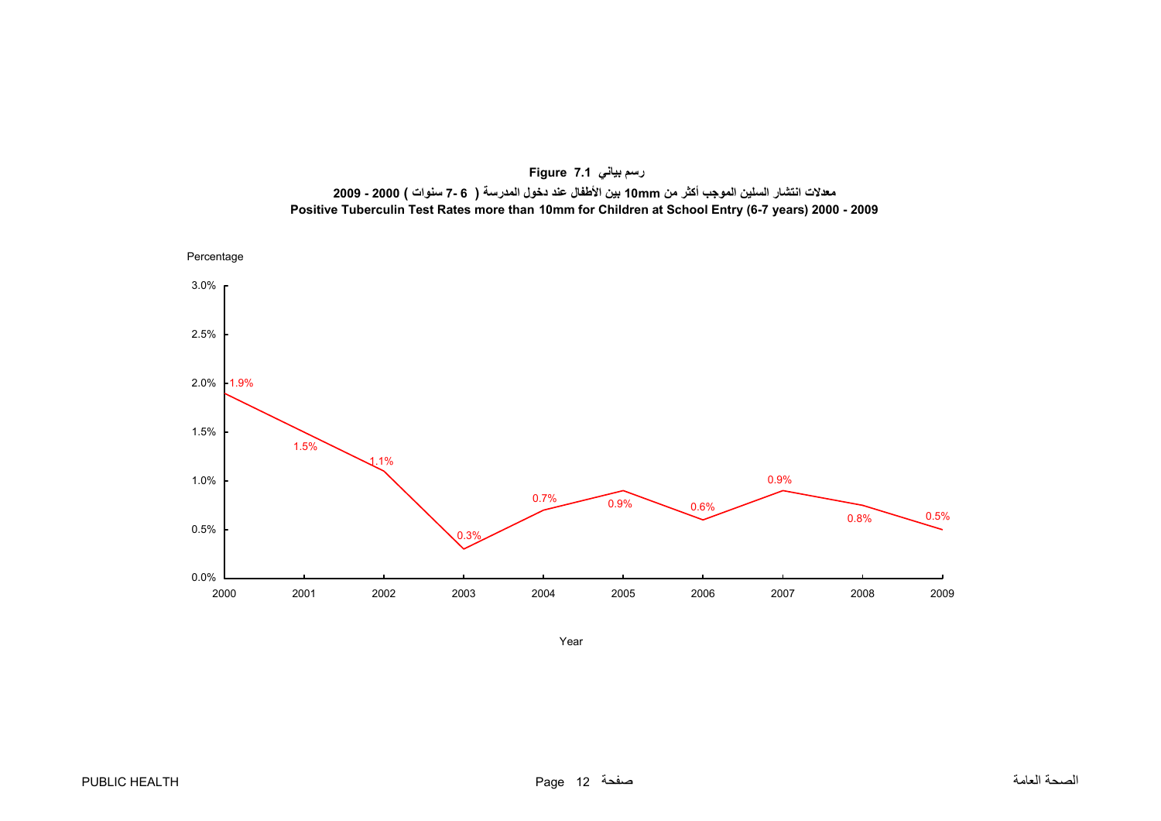<span id="page-12-0"></span>



Year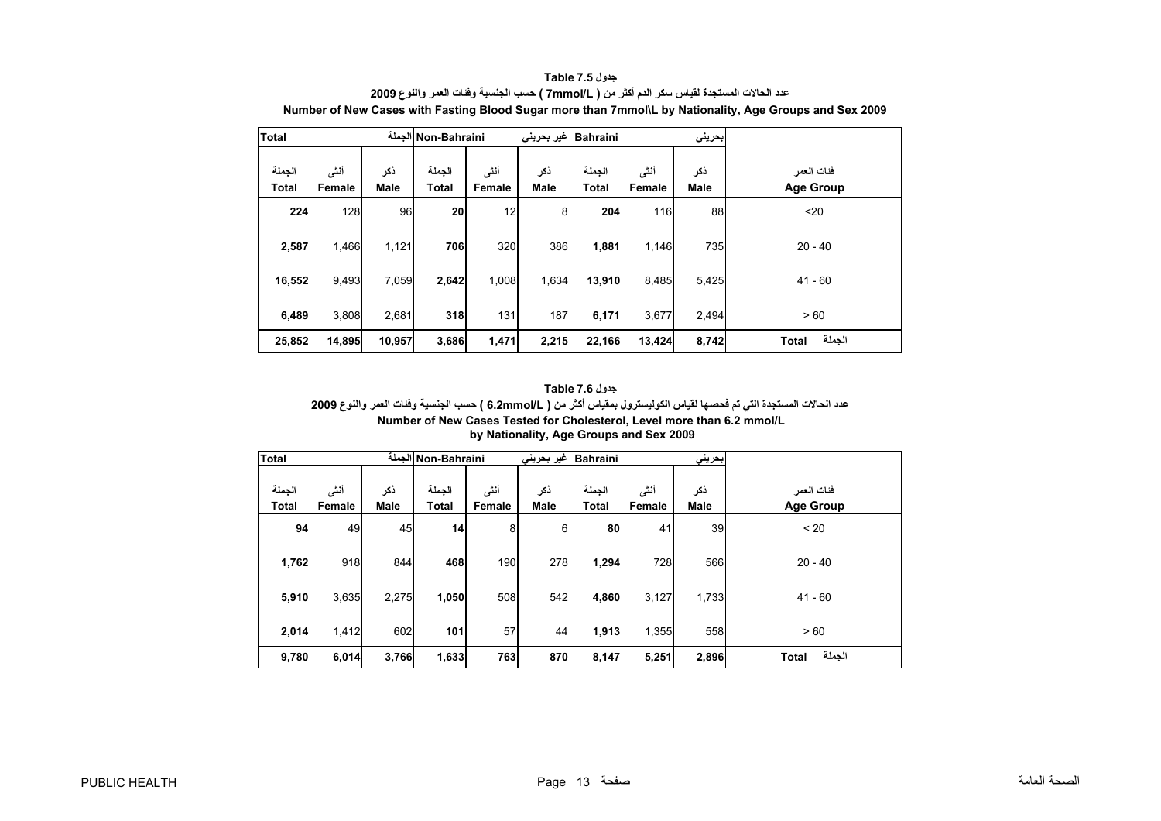<span id="page-13-0"></span>

| <b>Total</b>           |                |                    | Non-Bahraini الجملة    |                | غير بحريني         | <b>Bahraini</b>        |                 | بحريني      |                                |
|------------------------|----------------|--------------------|------------------------|----------------|--------------------|------------------------|-----------------|-------------|--------------------------------|
| الجملة<br><b>Total</b> | أنشى<br>Female | ذكر<br><b>Male</b> | الجملة<br><b>Total</b> | أنثى<br>Female | ذكر<br><b>Male</b> | الجملة<br><b>Total</b> | أنشى<br>Female  | ذكر<br>Male | فئات العمر<br><b>Age Group</b> |
| 224                    | 128            | 96                 | 20                     | 12             | 8                  | 204                    | 116             | 88          | $20$                           |
| 2,587                  | 1,466          | 1,121              | 706                    | 320            | 386                | 1,881                  | 1,146           | 735         | $20 - 40$                      |
| 16,552                 | 9,493          | 7,059              | 2,642                  | 1,008          | 1,634              | 13,910                 | 8,485<br>5,425  |             | $41 - 60$                      |
| 6,489                  | 3,808          | 2,681              | 318                    | 131            | 187                | 6,171                  | 3,677<br>2,494  |             | > 60                           |
| 25,852                 | 14,895         | 10,957             | 3,686                  | 1,471          | 2,215              | 22,166                 | 13,424<br>8,742 |             | الجملة<br><b>Total</b>         |

**جدول 7.5 Table عدد الحالات المستجدة لقياس سكر الدم أآثر من ( L/mmoI7 ( حسب الجنسية وفئات العمر والنوع <sup>2009</sup> Number of New Cases with Fasting Blood Sugar more than 7mmol\L by Nationality, Age Groups and Sex 2009**

| جدول Table 7.6                                                                                                        |
|-----------------------------------------------------------------------------------------------------------------------|
| عدد الحالات المستجدة التي تم فحصها لقياس الكوليسترول بمقياس أكثر من ( 6.2mmol/L ) حسب الجنسية وفنات العمر والنوع 2009 |
| Number of New Cases Tested for Cholesterol. Level more than 6.2 mmol/L                                                |
| by Nationality, Age Groups and Sex 2009                                                                               |

| <b>Total</b>           |                |                    | Non-Bahraini الجملة    |                | غير بحريني         | <b>Bahraini</b>        |                | بحرينى             |                                |
|------------------------|----------------|--------------------|------------------------|----------------|--------------------|------------------------|----------------|--------------------|--------------------------------|
| الجملة<br><b>Total</b> | أنشى<br>Female | ذكر<br><b>Male</b> | الجملة<br><b>Total</b> | أننى<br>Female | ذكر<br><b>Male</b> | الجملة<br><b>Total</b> | أنشى<br>Female | ذكر<br><b>Male</b> | فئات العمر<br><b>Age Group</b> |
|                        | 94<br>49       | 45                 | 14                     | 8              | 6                  | 80                     | 41             | 39                 | < 20                           |
| 1,762                  | 918            | 844                | 468                    | 190            | 278                | 1,294                  | 728            | 566                | $20 - 40$                      |
| 5,910                  | 3,635          | 2,275              | 1,050                  | 508            | 542                | 4,860                  | 3,127          | 1,733              | $41 - 60$                      |
| 2,014                  | 1,412          | 602                | 101                    | 57             | 44                 | 1,913                  | 1,355          | 558                | > 60                           |
| 9,780                  | 6,014          | 3,766              | 1,633                  | 763            | 870                | 8,147                  | 5,251<br>2,896 |                    | الجملة<br><b>Total</b>         |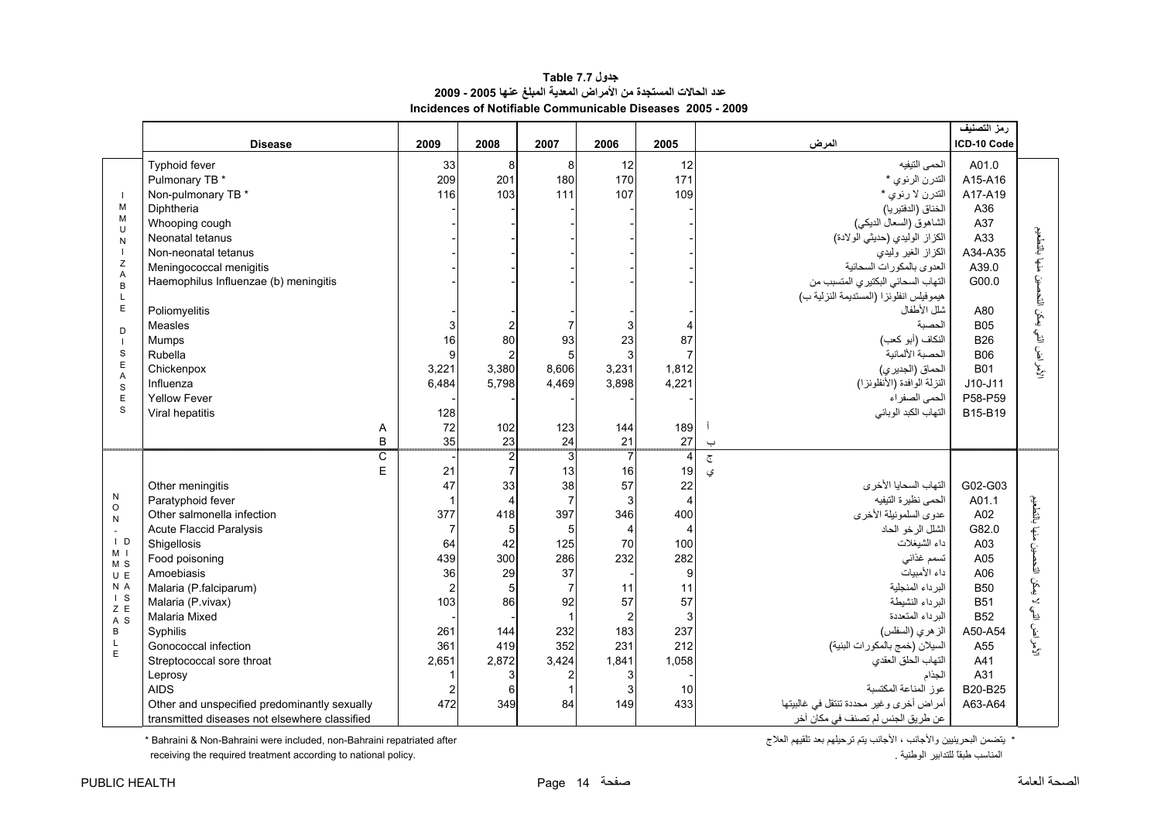#### **جدول 7.7 Table عدد الحالات المستجدة من الأمراض المعدية المبلغ عنها 2005 - 2009 Incidences of Notifiable Communicable Diseases 2005 - 2009**

<span id="page-14-0"></span>

|                       |                                               |                |                         |                         |                |                |                                         | رمز التصنيف |                     |
|-----------------------|-----------------------------------------------|----------------|-------------------------|-------------------------|----------------|----------------|-----------------------------------------|-------------|---------------------|
|                       | <b>Disease</b>                                | 2009           | 2008                    | 2007                    | 2006           | 2005           | المرض                                   | ICD-10 Code |                     |
|                       | Typhoid fever                                 | 33             | 8                       | 8                       | 12             | 12             | الحمى النيفيه                           | A01.0       |                     |
|                       | Pulmonary TB *                                | 209            | 201                     | 180                     | 170            | 171            | التدرن الرئوي *                         | A15-A16     |                     |
| $\blacksquare$        | Non-pulmonary TB *                            | 116            | 103                     | 111                     | 107            | 109            | التدرن لا رئوي *                        | A17-A19     |                     |
| M<br>M                | Diphtheria                                    |                |                         |                         |                |                | الخناق (الدفتيريا)                      | A36         |                     |
| U                     | Whooping cough                                |                |                         |                         |                |                | الشاهوق (السعال الديكي)                 | A37         |                     |
| N                     | Neonatal tetanus                              |                |                         |                         |                |                | الكزاز الوليدي (حديثي الولادة)          | A33         |                     |
| Z                     | Non-neonatal tetanus                          |                |                         |                         |                |                | الكزاز الغير وليدي                      | A34-A35     | منها بالتطعيم       |
| A                     | Meningococcal menigitis                       |                |                         |                         |                |                | العدوى بالمكورات السحائية               | A39.0       |                     |
| $\overline{B}$        | Haemophilus Influenzae (b) meningitis         |                |                         |                         |                |                | التهاب السحائي البكتيري المتسبب من      | G00.0       | Ė.                  |
| $\mathsf{L}$          |                                               |                |                         |                         |                |                | هيموفيلس انفلونزا (المستديمة النزلية ب) |             | Ŀ                   |
| E                     | Poliomyelitis                                 |                |                         |                         |                |                | شلل الأطفال                             | A80         | التي يمكن           |
| D                     | Measles                                       | 3              |                         |                         | 3              |                | الحصية                                  | <b>B05</b>  |                     |
|                       | Mumps                                         | 16             | 80                      | 93                      | 23             | 87             | النكاف (أبو كعب)                        | <b>B26</b>  |                     |
| S<br>$\mathsf E$      | Rubella                                       | $\mathbf{Q}$   |                         | 5                       | 3              |                | الحصبة الألمانية                        | <b>B06</b>  | لأمر اض ا           |
| A                     | Chickenpox                                    | 3,221          | 3,380                   | 8,606                   | 3,231          | 1,812          | الحماق (الجديري)                        | <b>B01</b>  |                     |
| S                     | Influenza                                     | 6,484          | 5,798                   | 4,469                   | 3,898          | 4,221          | النزلة الوافدة (الأنفلونزا)             | $J10-J11$   |                     |
| E<br>S                | <b>Yellow Fever</b>                           |                |                         |                         |                |                | الحمى الصفراء                           | P58-P59     |                     |
|                       | Viral hepatitis                               | 128            |                         |                         |                |                | التهاب الكبد الوبائي                    | B15-B19     |                     |
|                       | Α                                             | 72<br>35       | 102<br>23               | 123                     | 144<br>21      | 189<br>27      |                                         |             |                     |
|                       | $\sf B$<br>$\overline{\mathsf{C}}$            |                |                         | 24<br>$\overline{3}$    | 7              | $\overline{4}$ | $\overline{\phantom{0}}$                |             |                     |
|                       | E                                             | 21             |                         | 13                      | 16             | 19             | $\overline{\mathbb{C}}$                 |             |                     |
|                       | Other meningitis                              | 47             | 33                      | 38                      | 57             | 22             | ى<br>التهاب السحايا الأخرى              | G02-G03     |                     |
| $\mathsf{N}$          | Paratyphoid fever                             |                | $\overline{\mathbf{A}}$ | $\overline{7}$          | 3              | $\overline{4}$ | الحمى نظيرة التيفيه                     | A01.1       |                     |
| $\circ$               | Other salmonella infection                    | 377            | 418                     | 397                     | 346            | 400            | عدوى السلمونيلة الأخرى                  | A02         | بالنطعيم            |
| N<br>$\sim$           | <b>Acute Flaccid Paralysis</b>                | $\overline{7}$ | 5                       | 5                       | $\overline{4}$ | $\overline{4}$ | الشلل الرخو الحاد                       | G82.0       |                     |
| $\vert$ D             | Shigellosis                                   | 64             | 42                      | 125                     | 70             | 100            | داء الشيغلات                            | A03         | f.                  |
| M <sub>1</sub>        | Food poisoning                                | 439            | 300                     | 286                     | 232            | 282            | تسمم غذائى                              | A05         | Ė.                  |
| M <sub>S</sub><br>U E | Amoebiasis                                    | 36             | 29                      | 37                      |                | 9              | داء الأميبات                            | A06         | Ŀ                   |
| N A                   | Malaria (P.falciparum)                        | $\overline{2}$ |                         | 7                       | 11             | 11             | البرداء المنجلية                        | <b>B50</b>  | ېغنې                |
| $\vert$ S             | Malaria (P.vivax)                             | 103            | 86                      | 92                      | 57             | 57             | البرداء النشيطة                         | <b>B51</b>  | $\mathcal{L}$       |
| Z E<br>A S            | <b>Malaria Mixed</b>                          |                |                         | $\overline{1}$          | $\overline{2}$ | 3              | البرداء المتعددة                        | <b>B52</b>  | هيي                 |
| B                     | Syphilis                                      | 261            | 144                     | 232                     | 183            | 237            | الز هري (السفلس)                        | A50-A54     | $\bar{\mathcal{E}}$ |
| Г                     | Gonococcal infection                          | 361            | 419                     | 352                     | 231            | 212            | السيلان (خمج بالمكورات البنية)          | A55         | الأمرا              |
| E                     | Streptococcal sore throat                     | 2,651          | 2,872                   | 3,424                   | 1,841          | 1,058          | التهاب الحلق العقدي                     | A41         |                     |
|                       | Leprosy                                       |                |                         |                         | 3              |                | الجذام                                  | A31         |                     |
|                       | <b>AIDS</b>                                   | $\overline{2}$ | 6                       | $\overline{\mathbf{1}}$ | 3              | 10             | عوز المناعة المكتسبة                    | B20-B25     |                     |
|                       | Other and unspecified predominantly sexually  | 472            | 349                     | 84                      | 149            | 433            | أمراض أخرى وغير محددة تنتقل في غالبيتها | A63-A64     |                     |
|                       | transmitted diseases not elsewhere classified |                |                         |                         |                |                | عن طريق الجنس لم تصنف في مكان آخر       |             |                     |

 $*$  Bahraini & Non-Bahraini were included, non-Bahraini repatriated after

receiving the required treatment according to national policy.

\* يتضمن البحرينيين والأجانب ، الأجانب يتم ترحيلهم بعد تلقيهم العلاج<br>المناسب طبقاً للتدابير الوطنية .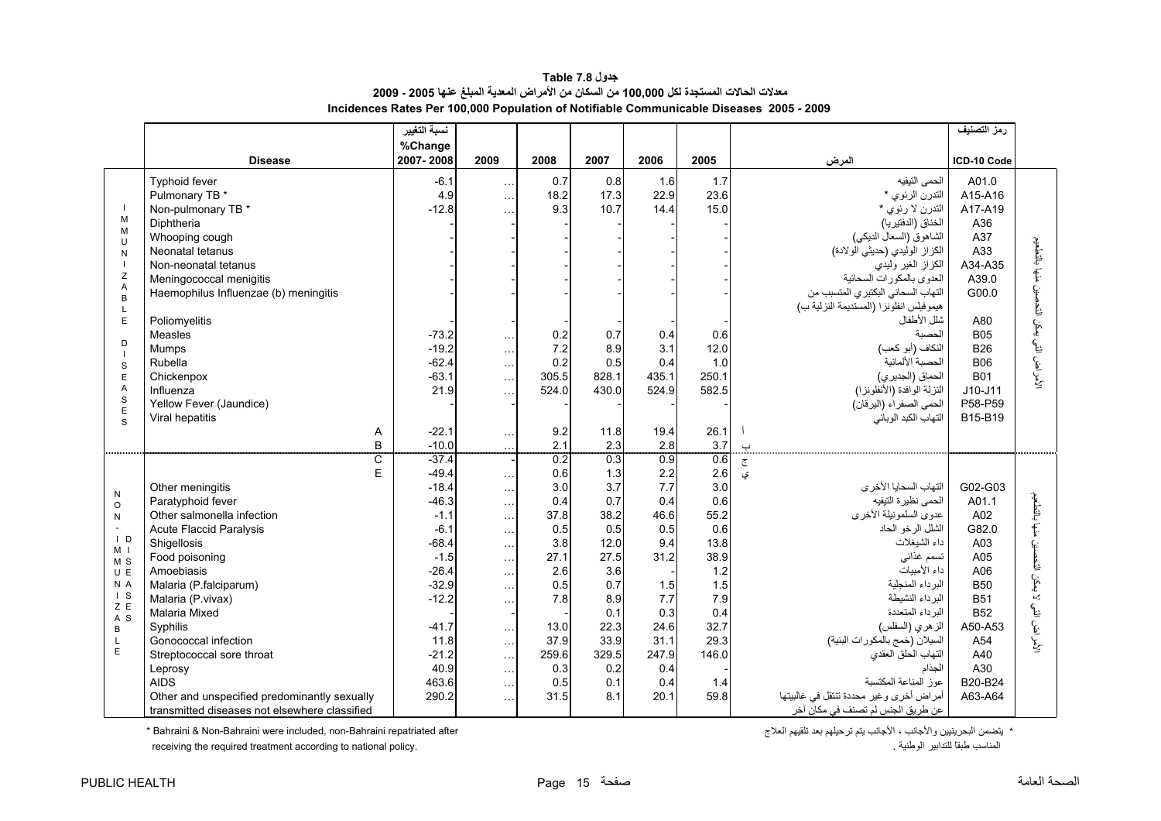#### **جدول 7.8 Table معدلات الحالات المستجدة لكل 100,000 من السكان من الأمراض المعدية المبلغ عنها 2005 - 2009 Incidences Rates Per 100,000 Population of Notifiable Communicable Diseases 2005 - 2009**

<span id="page-15-0"></span>

|                                  |                                                                                               | نسبة التغيير               |                      |                       |                       |                       |                       |                                                                                              | رمز التصنيف                         |                              |
|----------------------------------|-----------------------------------------------------------------------------------------------|----------------------------|----------------------|-----------------------|-----------------------|-----------------------|-----------------------|----------------------------------------------------------------------------------------------|-------------------------------------|------------------------------|
|                                  |                                                                                               | %Change                    |                      |                       |                       |                       |                       |                                                                                              |                                     |                              |
|                                  | <b>Disease</b>                                                                                | 2007-2008                  | 2009                 | 2008                  | 2007                  | 2006                  | 2005                  | المرض                                                                                        | ICD-10 Code                         |                              |
| $\blacksquare$                   | <b>Typhoid fever</b><br>Pulmonary TB *<br>Non-pulmonary TB *                                  | $-6.1$<br>4.9<br>$-12.8$   | $\ldots$<br>$\cdots$ | 0.7<br>18.2<br>9.3    | 0.8<br>17.3<br>10.7   | 1.6<br>22.9<br>14.4   | 1.7<br>23.6<br>15.0   | الحمى النيفيه<br>التدرن الرئوي *<br>التدرن لا رئوي *                                         | A01.0<br>A15-A16<br>A17-A19         |                              |
| M<br>M<br>$\cup$                 | Diphtheria<br>Whooping cough<br>Neonatal tetanus                                              |                            |                      |                       |                       |                       |                       | الخناق (الدفتيريا)<br>الشاهوق (السعال الديكي)<br>الكزاز الوليدي (حديثي الولادة)              | A36<br>A37<br>A33                   |                              |
| N<br>$\overline{1}$<br>Z<br>Α    | Non-neonatal tetanus<br>Meningococcal menigitis                                               |                            |                      |                       |                       |                       |                       | الكزاز الغير وليدي<br>العدوى بالمكورات السحائية                                              | A34-A35<br>A39.0                    | منها بالتطعيم                |
| B<br>L<br>E                      | Haemophilus Influenzae (b) meningitis<br>Poliomyelitis                                        |                            |                      |                       |                       |                       |                       | التهاب السحائي البكتيري المتسبب من<br>هيموفيلس انفلونزا (المستديمة النزلية ب)<br>شلل الأطفال | G00.0<br>A80                        |                              |
| D<br>$\blacksquare$              | Measles<br>Mumps                                                                              | $-73.2$<br>$-19.2$         | $\ldots$<br>$\cdots$ | 0.2<br>7.2            | 0.7<br>8.9            | 0.4<br>3.1            | 0.6<br>12.0           | الحصية<br>النكاف (أبو كعب)                                                                   | <b>B05</b><br><b>B26</b>            | لأمراض التي يمكن التحصين     |
| S<br>E<br>A                      | Rubella<br>Chickenpox<br>Influenza                                                            | $-62.4$<br>$-63.1$<br>21.9 | $\cdots$<br>$\cdots$ | 0.2<br>305.5<br>524.0 | 0.5<br>828.1<br>430.0 | 0.4<br>435.1<br>524.9 | 1.0<br>250.1<br>582.5 | الحصبة الألمانية<br>الحماق (الجديري)<br>النزلة الوافدة (الأنفلونزا)                          | <b>B06</b><br><b>B01</b><br>J10-J11 |                              |
| $\mathbf S$<br>E<br>S            | Yellow Fever (Jaundice)<br>Viral hepatitis                                                    |                            |                      |                       |                       |                       |                       | الحمى الصفراء (اليرقان)<br>التهاب الكبد الوبائي                                              | P58-P59<br>B15-B19                  |                              |
|                                  | Α<br>B                                                                                        | $-22.1$<br>$-10.0$         | $\ldots$<br>$\ldots$ | 9.2<br>2.1            | 11.8<br>2.3           | 19.4<br>2.8           | 26.1<br>3.7           | $\overline{\phantom{0}}$                                                                     |                                     |                              |
|                                  | $\overline{\text{c}}$                                                                         | $-37.4$                    |                      | 0.2                   | 0.3                   | 0.9                   | 0.6                   | $\overline{c}$                                                                               |                                     |                              |
|                                  | E                                                                                             | $-49.4$                    | $\ldots$             | 0.6                   | 1.3                   | 2.2<br>7.7            | 2.6                   | ی                                                                                            | G02-G03                             |                              |
| ${\sf N}$                        | Other meningitis<br>Paratyphoid fever                                                         | $-18.4$<br>$-46.3$         | $\cdots$             | 3.0<br>0.4            | 3.7<br>0.7            | 0.4                   | 3.0<br>0.6            | التهاب السحايا الأخرى<br>الحمى نظيرة التيفيه                                                 | A01.1                               |                              |
| $\circ$<br>${\sf N}$             | Other salmonella infection                                                                    | $-1.1$                     | $\cdots$<br>$\ldots$ | 37.8                  | 38.2                  | 46.6                  | 55.2                  | عدوى السلمونيلة الأخرى                                                                       | A02                                 | منها بالتطعيم                |
| $\blacksquare$                   | <b>Acute Flaccid Paralysis</b>                                                                | $-6.1$                     | $\cdots$             | 0.5                   | 0.5                   | 0.5                   | 0.6                   | الشلل الرخو الحاد                                                                            | G82.0                               |                              |
| $\overline{1}$ D                 | Shigellosis                                                                                   | $-68.4$                    | $\cdots$             | 3.8                   | 12.0                  | 9.4                   | 13.8                  | داء الشيغلات                                                                                 | A03                                 |                              |
| M <sub>1</sub><br>M <sub>S</sub> | Food poisoning                                                                                | $-1.5$                     | $\ldots$             | 27.1                  | 27.5                  | 31.2                  | 38.9                  | تسمم غذائي                                                                                   | A05                                 | لأمر اض التي لا يمكن التحصين |
| U E                              | Amoebiasis                                                                                    | $-26.4$                    | $\ddotsc$            | 2.6                   | 3.6                   |                       | 1.2                   | داء الأمبيات                                                                                 | A06                                 |                              |
| N A                              | Malaria (P.falciparum)                                                                        | $-32.9$                    | $\ldots$             | 0.5                   | 0.7                   | 1.5                   | 1.5                   | البرداء المنجلية                                                                             | <b>B50</b>                          |                              |
| $\vert$ S<br>Z E                 | Malaria (P.vivax)                                                                             | $-12.2$                    | $\cdots$             | 7.8                   | 8.9                   | 7.7                   | 7.9                   | البرداء النشيطة                                                                              | <b>B51</b>                          |                              |
| A S                              | Malaria Mixed                                                                                 |                            |                      |                       | 0.1                   | 0.3                   | 0.4                   | البر داء المتعددة                                                                            | <b>B52</b>                          |                              |
| B                                | Syphilis                                                                                      | $-41.7$                    |                      | 13.0                  | 22.3                  | 24.6                  | 32.7                  | الزهري (السفلس)                                                                              | A50-A53                             |                              |
| L<br>$\mathsf E$                 | Gonococcal infection                                                                          | 11.8                       | $\cdots$             | 37.9                  | 33.9                  | 31.1                  | 29.3                  | السيلان (خمج بالمكورات البنية)                                                               | A54                                 |                              |
|                                  | Streptococcal sore throat                                                                     | $-21.2$                    | $\cdots$             | 259.6                 | 329.5                 | 247.9                 | 146.0                 | التهاب الحلق العقدي                                                                          | A40                                 |                              |
|                                  | Leprosy                                                                                       | 40.9                       | $\cdots$             | 0.3                   | 0.2                   | 0.4                   |                       | الجذام                                                                                       | A30                                 |                              |
|                                  | <b>AIDS</b>                                                                                   | 463.6                      | $\ddotsc$            | 0.5                   | 0.1<br>8.1            | 0.4                   | 1.4                   | عوز المناعة المكتسبة                                                                         | B20-B24                             |                              |
|                                  | Other and unspecified predominantly sexually<br>transmitted diseases not elsewhere classified | 290.2                      | $\cdots$             | 31.5                  |                       | 20.1                  | 59.8                  | أمراض أخرى وغير محددة تنتقل في غالبيتها<br>عن طريق الجنس لم تصنف في مكان أخر                 | A63-A64                             |                              |

يتضمن البحرينيين والأجانب ، الأجانب يتم ترحيلهم بعد تلقيهم العلاج after repatriated Bahraini-non ,included were Bahraini-Non & Bahraini\*

receiving the required treatment according to national policy.

\* يتضمن البحرينيين والأجانب ، الأجانب يتم ترحيلهم بعد تلقيهم العلاج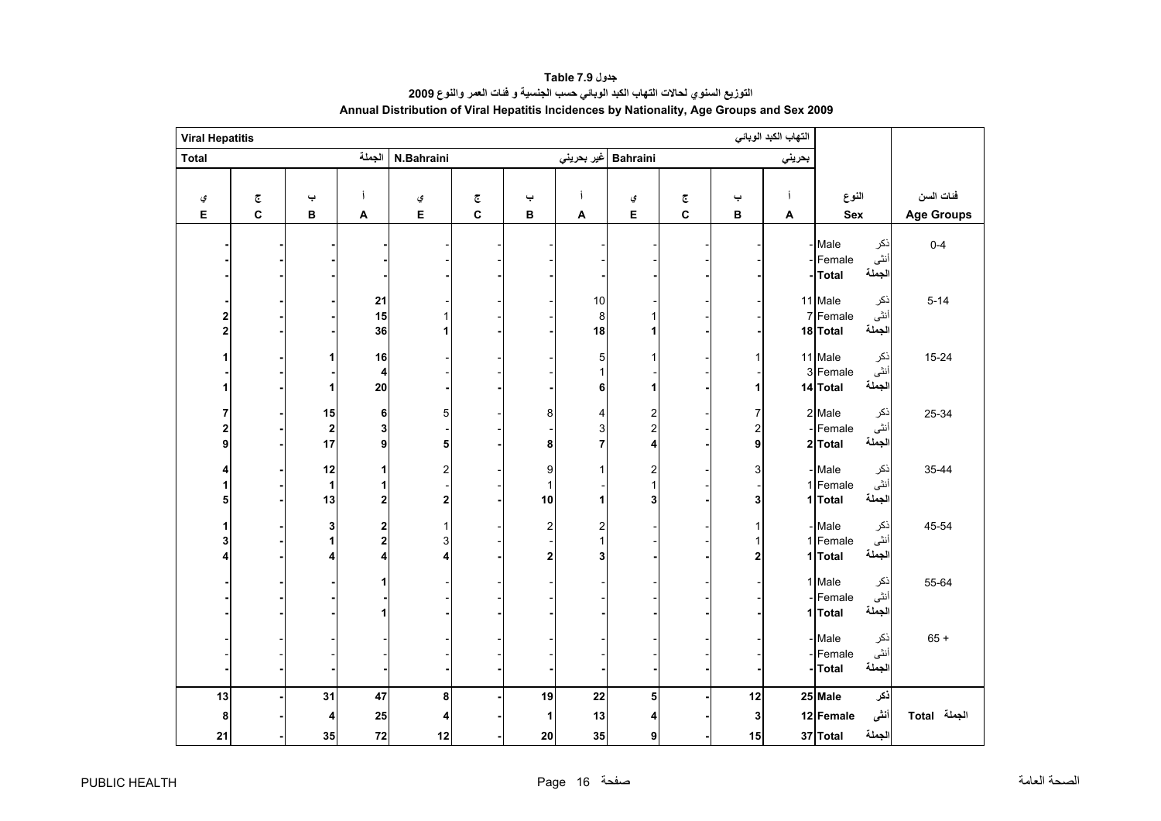<span id="page-16-0"></span>

| <b>Viral Hepatitis</b> |                         |                              |                              |                              |                         |                                      |                        |                          |                         |               | التهاب الكبد الوبائي |                                                           |                   |
|------------------------|-------------------------|------------------------------|------------------------------|------------------------------|-------------------------|--------------------------------------|------------------------|--------------------------|-------------------------|---------------|----------------------|-----------------------------------------------------------|-------------------|
| <b>Total</b>           |                         |                              | الجملة                       | N.Bahraini                   |                         |                                      |                        | Bahraini  غیر بحرینی     |                         |               | بحريني               |                                                           |                   |
|                        |                         |                              |                              |                              |                         |                                      |                        |                          |                         |               |                      |                                                           |                   |
| ي                      | $\overline{\mathbb{C}}$ | پ                            | j                            | ي                            | $\overline{\mathbb{C}}$ | پ                                    |                        | ي                        | $\overline{\mathbb{C}}$ | پ             | j                    | النوع                                                     | فئات السن         |
| Е                      | C                       | В                            | A                            | E                            | C                       | $\, {\bf B}$                         | A                      | E                        | C                       | в             | A                    | Sex                                                       | <b>Age Groups</b> |
|                        |                         |                              |                              |                              |                         |                                      |                        |                          |                         |               |                      | - Male<br>ذكر<br>أنثى<br>Female<br>الجملة<br>-Total       | $0 - 4$           |
| 2                      |                         |                              | 21<br>15<br>36               | 1<br>1                       |                         |                                      | $10$<br>$\bf 8$<br>18  |                          |                         |               |                      | 11 Male<br>ذكر<br>أنثى<br>7 Female<br>الجملة<br>18 Total  | $5 - 14$          |
|                        |                         | 1<br>1                       | 16<br>4<br>20                |                              |                         |                                      | 5<br>1<br>6            | 1                        |                         |               |                      | 11 Male<br>نكر<br>أنثى<br>3 Female<br>الجملة<br>14 Total  | $15 - 24$         |
| 7<br>9                 |                         | 15<br>$\boldsymbol{2}$<br>17 | 6<br>3<br>9                  | 5<br>5                       |                         | 8<br>8                               | 4<br>3<br>7            | 2<br>$\overline{c}$<br>4 |                         | 7<br>2<br>9   |                      | 2 Male<br>ذكر<br>أنثى<br>- Female<br>الجملة<br>2 Total    | 25-34             |
|                        |                         | 12<br>$\mathbf{1}$<br>13     | 1<br>1<br>$\mathbf 2$        | $\overline{\mathbf{c}}$<br>2 |                         | 9<br>$\mathbf{1}$<br>10              | 1<br>1                 | 2<br>1<br>3              |                         | 3<br>3        |                      | - Male<br>ذكر<br>أنثى<br>1 Female<br>الجملة<br>1 Total    | 35-44             |
|                        |                         | 3<br>$\mathbf{1}$<br>4       | 2<br>$\overline{\mathbf{2}}$ | 1<br>3<br>4                  |                         | $\boldsymbol{2}$<br>$\boldsymbol{2}$ | 2<br>1<br>3            |                          |                         | 2             |                      | - Male<br>نكر<br>أنثى<br>1 Female<br>الجملة<br>1 Total    | 45-54             |
|                        |                         |                              |                              |                              |                         |                                      |                        |                          |                         |               |                      | 1 Male<br>ذكر<br>أنثى<br>Female<br>الجملة<br>1 Total      | 55-64             |
|                        |                         |                              |                              |                              |                         |                                      |                        |                          |                         |               |                      | نكر<br>- Male<br>أنثى<br>Female<br>الجملة<br>-Total       | $65 +$            |
| 13<br>8<br>21          |                         | 31<br>4<br>35                | 47<br>25<br>${\bf 72}$       | 8<br>4<br>12                 |                         | 19<br>1<br>${\bf 20}$                | ${\bf 22}$<br>13<br>35 | 5<br>Δ<br>9              |                         | 12<br>3<br>15 |                      | 25 Male<br>ذكر<br>أنثى<br>12 Female<br>الجملة<br>37 Total | الجملة Total      |

**Annual Distribution of Viral Hepatitis Incidences by Nationality, Age Groups and Sex 2009 التوزيع السنوي لحالات التهاب الكبد الوبائي حسب الجنسية <sup>و</sup> فئات العمر والنوع <sup>2009</sup> جدول 7.9 Table**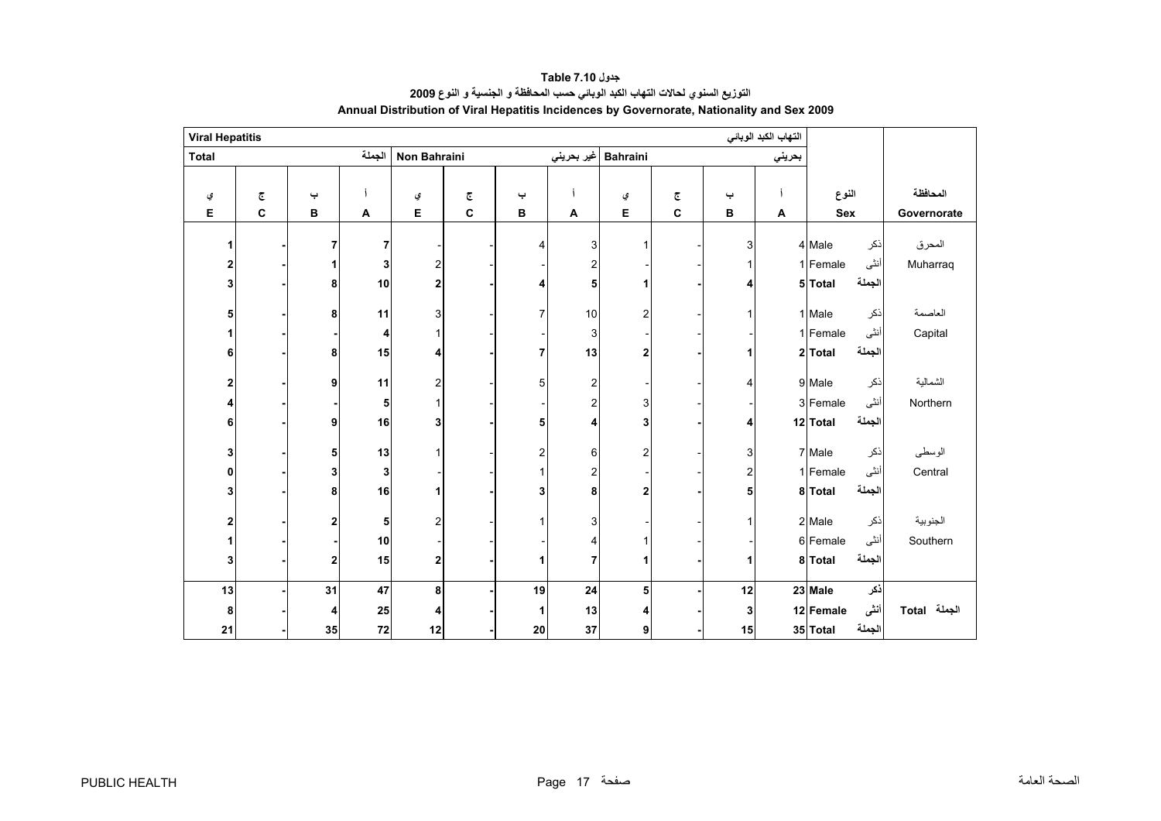<span id="page-17-0"></span>

| <b>Viral Hepatitis</b>  |                         |              |                           |                         |              |                         |                |                         |                         |                         | التهاب الكبد الوبائي |           |        |              |
|-------------------------|-------------------------|--------------|---------------------------|-------------------------|--------------|-------------------------|----------------|-------------------------|-------------------------|-------------------------|----------------------|-----------|--------|--------------|
| <b>Total</b>            |                         |              | الجملة                    | Non Bahraini            |              |                         | غير بحريني     | <b>Bahraini</b>         |                         |                         | بحريني               |           |        |              |
|                         |                         |              |                           |                         |              |                         |                |                         |                         |                         |                      |           |        |              |
| ي                       | $\overline{\mathbb{C}}$ | پ            |                           | ي                       | چ            | پ                       |                | ي                       | $\overline{\mathbb{C}}$ | پ                       | Í                    | النوع     |        | المحافظة     |
| Е                       | $\mathbf c$             | $\, {\bf B}$ | $\boldsymbol{\mathsf{A}}$ | E                       | $\mathbf{C}$ | в                       | A              | E                       | C                       | в                       | Α                    | Sex       |        | Governorate  |
| 1                       |                         | 7            | 7                         |                         |              | 4                       | 3              | 1                       |                         | 3                       |                      | 4 Male    | ذكر    | المحرق       |
| $\overline{\mathbf{2}}$ |                         |              | 3                         | $\boldsymbol{2}$        |              |                         |                |                         |                         |                         |                      | 1 Female  | أنثى   | Muharraq     |
|                         |                         | 1<br>8       | 10                        |                         |              |                         | 2<br>5         | 1                       |                         |                         |                      | 5 Total   | الجملة |              |
| 3                       |                         |              |                           | $\mathbf 2$             |              | 4                       |                |                         |                         | 4                       |                      |           |        |              |
| 5                       |                         | 8            | 11                        | 3                       |              | $\overline{7}$          | 10             | $\overline{2}$          |                         | 1                       |                      | 1 Male    | ذكر    | العاصمة      |
| 1                       |                         |              | 4                         | $\mathbf{1}$            |              |                         | 3              |                         |                         |                         |                      | 1 Female  | أنثى   | Capital      |
| 6                       |                         | 8            | 15                        | 4                       |              | $\overline{7}$          | 13             | $\overline{\mathbf{2}}$ |                         |                         |                      | 2 Total   | الجملة |              |
|                         |                         |              |                           |                         |              |                         |                |                         |                         |                         |                      |           |        |              |
| 2                       |                         | 9            | 11                        | $\overline{\mathbf{c}}$ |              | 5                       | 2              |                         |                         | 4                       |                      | 9 Male    | ذكر    | الشمالية     |
| 4                       |                         |              | 5                         | $\mathbf{1}$            |              |                         | $\overline{2}$ | 3                       |                         |                         |                      | 3 Female  | أنثى   | Northern     |
| 6                       |                         | 9            | 16                        | 3                       |              | 5                       | 4              | 3                       |                         | 4                       |                      | 12 Total  | الجملة |              |
| 3                       |                         | 5            | 13                        | $\mathbf{1}$            |              | $\overline{\mathbf{c}}$ | 6              | $\overline{2}$          |                         | 3                       |                      | 7 Male    | ذكر    | الوسطى       |
| 0                       |                         | 3            | 3                         |                         |              | $\mathbf{1}$            | $\overline{2}$ |                         |                         | $\overline{\mathbf{c}}$ |                      | 1 Female  | أنثى   | Central      |
| 3                       |                         | 8            | 16                        | 1                       |              | 3                       | 8              | $\overline{2}$          |                         | 5                       |                      | 8 Total   | الجملة |              |
|                         |                         |              |                           |                         |              |                         |                |                         |                         |                         |                      |           |        |              |
| $\overline{\mathbf{2}}$ |                         | $\mathbf 2$  | 5                         | $\mathbf 2$             |              | 1                       | 3              |                         |                         | 1                       |                      | 2 Male    | ذكر    | الجنوبية     |
| 1                       |                         |              | 10                        |                         |              |                         | 4              | 1                       |                         |                         |                      | 6 Female  | أنثى   | Southern     |
| 3                       |                         | $\mathbf 2$  | 15                        | $\mathbf 2$             |              | 1                       | 7              | 1                       |                         | 1                       |                      | 8 Total   | الجملة |              |
|                         |                         |              |                           |                         |              |                         |                |                         |                         |                         |                      |           |        |              |
| 13                      |                         | 31           | 47                        | 8                       |              | 19                      | 24             | 5                       |                         | 12                      |                      | 23 Male   | ذكر    |              |
| 8                       |                         | 4            | 25                        | 4                       |              | 1                       | 13             | 4                       |                         | 3                       |                      | 12 Female | أننى   | الجملة Total |
| 21                      |                         | 35           | 72                        | 12                      |              | 20                      | 37             | 9                       |                         | 15                      |                      | 35 Total  | الجملة |              |

#### **Annual Distribution of Viral Hepatitis Incidences by Governorate, Nationality and Sex 2009 التوزيع السنوي لحالات التهاب الكبد الوبائي حسب المحافظة <sup>و</sup> الجنسية <sup>و</sup> النوع <sup>2009</sup> جدول 7.10 Table**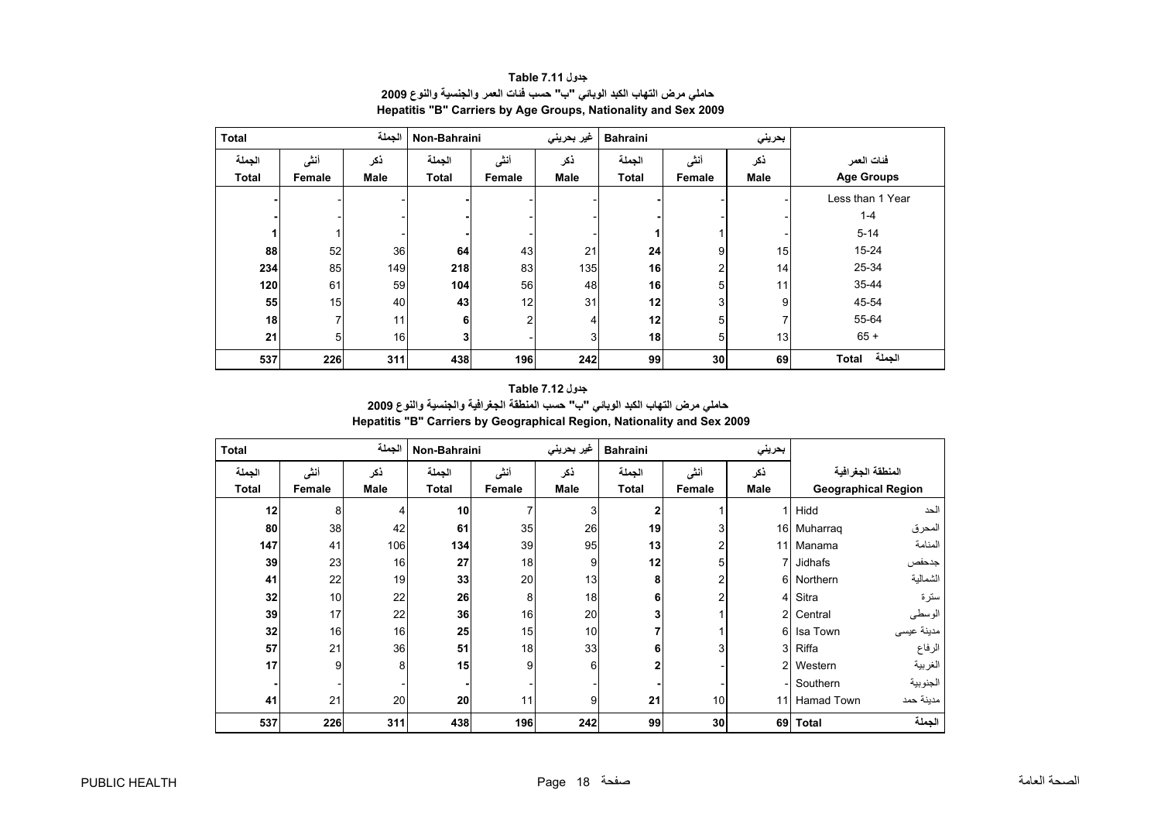<span id="page-18-0"></span>

| <b>Total</b> |        | الجملة      | Non-Bahraini |                | غیر بحرینی     | <b>Bahraini</b> |                | بحريني          |                   |
|--------------|--------|-------------|--------------|----------------|----------------|-----------------|----------------|-----------------|-------------------|
| الجملة       | أنشى   | ذكر         | الجملة       | أنشى           | ذكر            | الجملة          | أنشى           | ذكر             | فئات العمر        |
| <b>Total</b> | Female | <b>Male</b> | <b>Total</b> | Female         | <b>Male</b>    | <b>Total</b>    | Female         | <b>Male</b>     | <b>Age Groups</b> |
|              |        |             |              |                |                |                 |                |                 | Less than 1 Year  |
|              |        |             |              |                |                |                 |                |                 | $1 - 4$           |
|              |        |             |              |                |                |                 |                |                 | $5 - 14$          |
| 88           | 52     | 36          | 64           | 43             | 21             | 24              | 9              | 15 <sub>l</sub> | 15-24             |
| 234          | 85     | 149         | 218          | 83             | 135            | 16              | $\overline{2}$ | 14              | 25-34             |
| 120          | 61     | 59          | 104          | 56             | 48             | 16              | 5              | 11 <sub>1</sub> | 35-44             |
| 55           | 15     | 40          | 43           | 12             | 31             | 12              | 3              | 9               | 45-54             |
| 18           |        | 11          | 6            | $\overline{2}$ | 4              | 12              | 5              | 7               | 55-64             |
| 21           | 5      | 16          | 3            |                | 3 <sub>1</sub> | 18              | 5              | 13              | $65 +$            |
| 537          | 226    | 311         | 438          | 196            | 242            | 99              | 30             | 69              | الجملة<br>Total   |

**جدول 7.11 Table حاملي مرض التهاب الكبد الوبائي "ب" حسب فئات العمر والجنسية والنوع <sup>2009</sup> Hepatitis "B" Carriers by Age Groups, Nationality and Sex 2009**

#### **Hepatitis "B" Carriers by Geographical Region, Nationality and Sex 2009 جدول 7.12 Table حاملي مرض التهاب الكبد الوبائي "ب" حسب المنطقة الجغرافية والجنسية والنوع <sup>2009</sup>**

| <b>Total</b> |        | الجملة | Non-Bahraini |        | غير بحريني     | <b>Bahraini</b> |        | بحريني         |                   |                            |
|--------------|--------|--------|--------------|--------|----------------|-----------------|--------|----------------|-------------------|----------------------------|
| الجملة       | أنشى   | ذكر    | الجملة       | أنشى   | ذكر            | الجملة          | أنشى   | نكر            | المنطقة الجغرافية |                            |
| <b>Total</b> | Female | Male   | <b>Total</b> | Female | Male           | Total           | Female | Male           |                   | <b>Geographical Region</b> |
| 12           | 8      |        | 10           |        | 3              | 2               |        | 1              | Hidd              | الحد                       |
| 80           | 38     | 42     | 61           | 35     | 26             | 19              | 3      | 16             | Muharrag          | المحرق                     |
| 147          | 41     | 106    | 134          | 39     | 95             | 13              |        | 11             | Manama            | المنامة                    |
| 39           | 23     | 16     | 27           | 18     | 9              | 12              | 5      |                | 7 Jidhafs         | جدحفص                      |
| 41           | 22     | 19     | 33           | 20     | 13             | 8               | 2      | 6              | Northern          | الشمالية                   |
| 32           | 10     | 22     | 26           | 8      | 18             | 6               | 2      | $\overline{4}$ | Sitra             | سترة                       |
| 39           | 17     | 22     | 36           | 16     | 20             |                 |        | $\overline{2}$ | Central           | الوسطى                     |
| 32           | 16     | 16     | 25           | 15     | 10             |                 |        | 6              | Isa Town          | مدينة عيسى                 |
| 57           | 21     | 36     | 51           | 18     | 33             | 6               | 3      | 3              | Riffa             | الرفاع                     |
| 17           | 9      | 8      | 15           | 9      | 6              |                 |        | $\overline{2}$ | Western           | الغربية                    |
|              |        |        |              |        |                |                 |        |                | Southern          | الجنوبية                   |
| 41           | 21     | 20     | 20           | 11     | 9 <sub>l</sub> | 21              | 10     | 11             | <b>Hamad Town</b> | مدينة حمد                  |
| 537          | 226    | 311    | 438          | 196    | 242            | 99              | 30     | 69             | <b>Total</b>      | الجملة                     |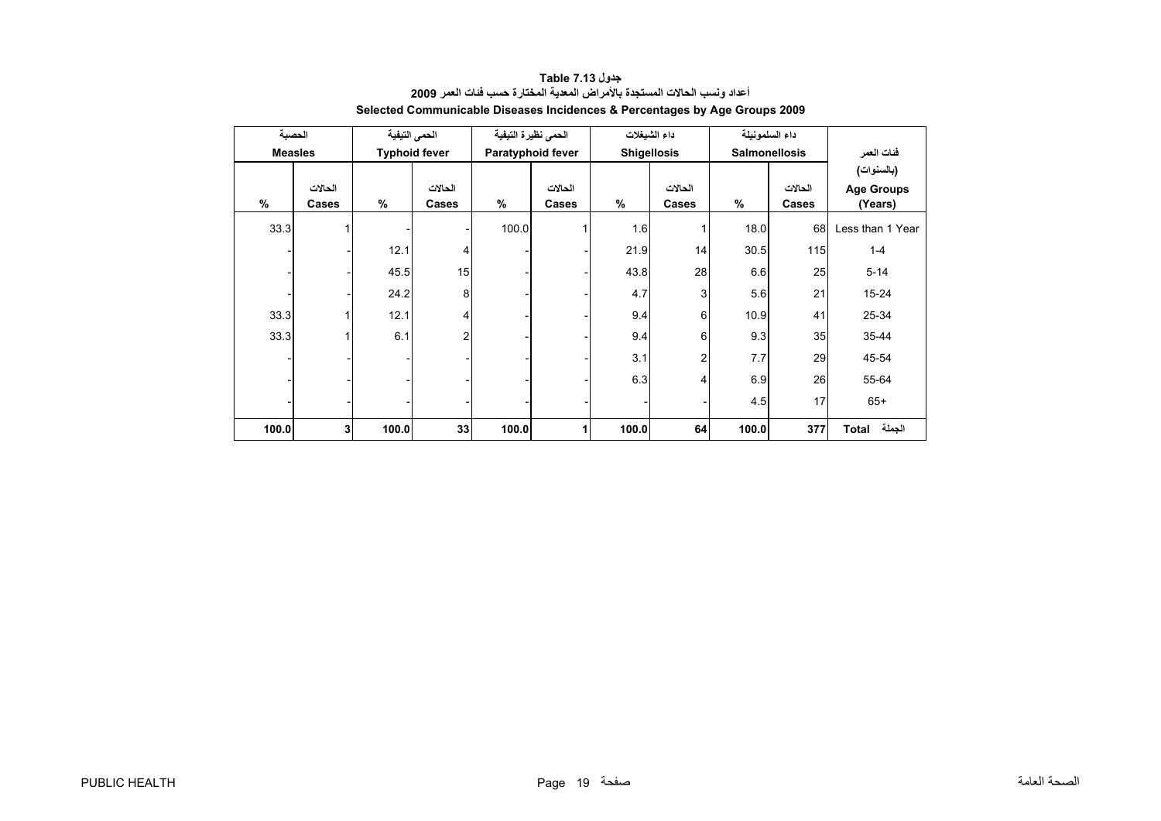<span id="page-19-0"></span>

| الحصبة         |                |       | الحمى التيفية        | الحمى نظيرة التيفية |                   | داء الشيغلات       |                | داء السلمونيلة       |         |                   |
|----------------|----------------|-------|----------------------|---------------------|-------------------|--------------------|----------------|----------------------|---------|-------------------|
| <b>Measles</b> |                |       | <b>Typhoid fever</b> |                     | Paratyphoid fever | <b>Shigellosis</b> |                | <b>Salmonellosis</b> |         | فئات العمر        |
|                |                |       |                      |                     |                   |                    |                |                      |         | (بالسنوات)        |
|                | الحالات        |       | الحالات              |                     | الحالات           |                    | الحالات        |                      | الحالات | <b>Age Groups</b> |
| $\frac{9}{6}$  | Cases          | $\%$  | Cases                | $\frac{9}{6}$       | Cases             | $\frac{9}{6}$      | Cases          | %                    | Cases   | (Years)           |
| 33.3           |                |       |                      | 100.0               |                   | 1.6                |                | 18.0                 | 68      | Less than 1 Year  |
|                |                | 12.1  | 4                    |                     |                   | 21.9               | 14             | 30.5                 | 115     | $1 - 4$           |
|                |                | 45.5  | 15                   |                     |                   | 43.8               | 28             | 6.6                  | 25      | $5 - 14$          |
|                |                | 24.2  | 8                    |                     |                   | 4.7                | 3              | 5.6                  | 21      | 15-24             |
| 33.3           |                | 12.1  | 4                    |                     |                   | 9.4                | 6              | 10.9                 | 41      | 25-34             |
| 33.3           | 1              | 6.1   | $\overline{2}$       |                     |                   | 9.4                | 6              | 9.3                  | 35      | 35-44             |
|                |                |       |                      |                     |                   | 3.1                | $\overline{2}$ | 7.7                  | 29      | 45-54             |
|                |                |       |                      |                     |                   | 6.3                | 4              | 6.9                  | 26      | 55-64             |
|                |                |       |                      |                     |                   |                    |                | 4.5                  | 17      | $65+$             |
| 100.0          | 3 <sup>1</sup> | 100.0 | 33                   | 100.0               |                   | 100.0              | 64             | 100.0                | 377     | الجملة Total      |

#### **جدول 7.13 Table أعداد ونسب الحالات المستجدة بالأمراض المعدية المختارة حسب فئات العمر <sup>2009</sup> Selected Communicable Diseases Incidences & Percentages by Age Groups 2009**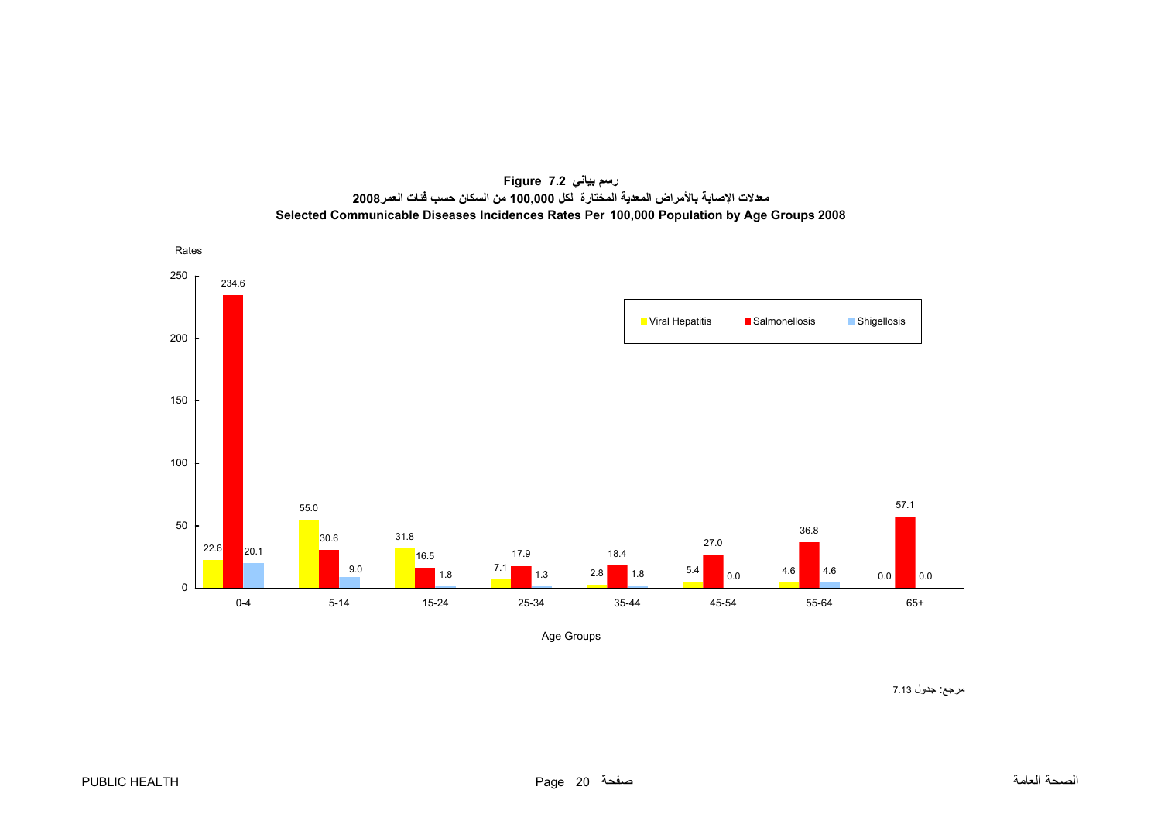

<span id="page-20-0"></span>

Age Groups

مرجع: جدول 7.13 Table : جدول 7.13 Table : جدول 7.13 Table : Reference : Reference : Reference : Reference : Re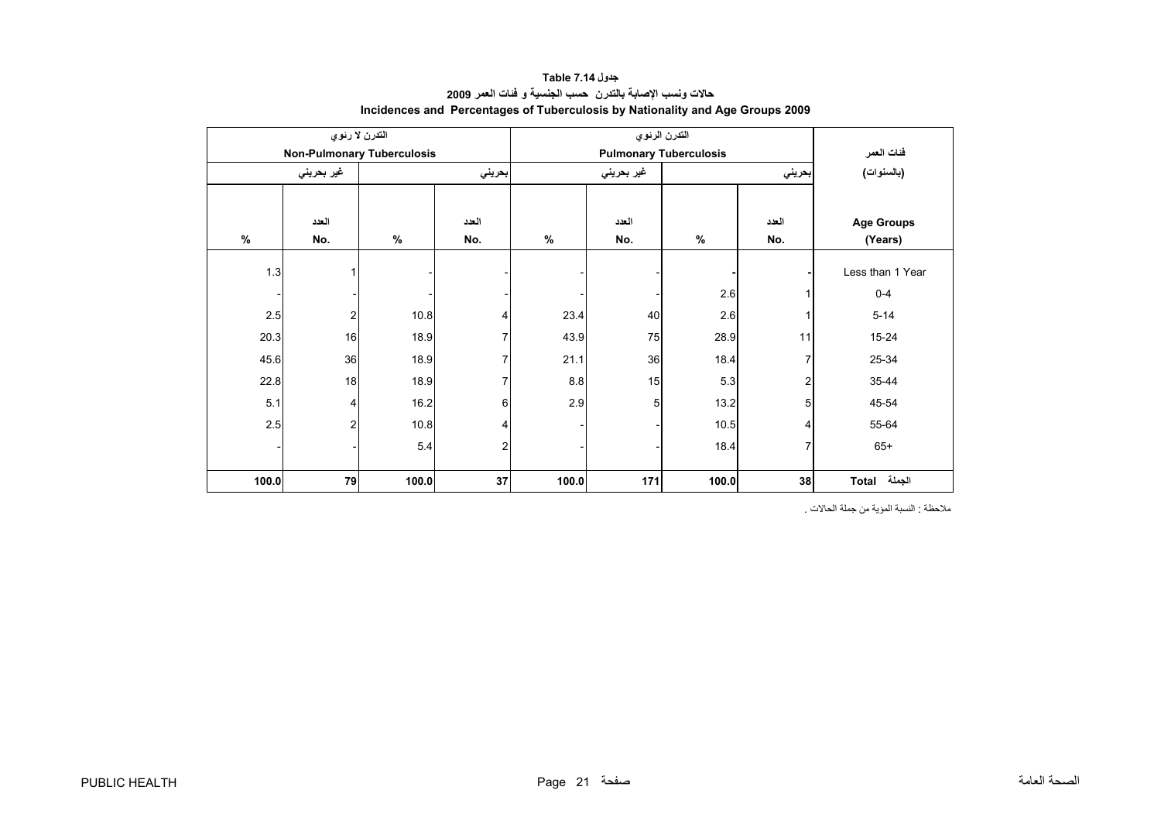<span id="page-21-0"></span>

|       | التدرن لا رئوي                    |       |        |       | التدرن الرئوي |                               |        |                   |
|-------|-----------------------------------|-------|--------|-------|---------------|-------------------------------|--------|-------------------|
|       | <b>Non-Pulmonary Tuberculosis</b> |       |        |       |               | <b>Pulmonary Tuberculosis</b> |        | فئات العمر        |
|       | غير بحريني                        |       | بحريني |       | غير بحريني    |                               | بحريني | (بالسنوات)        |
|       |                                   |       |        |       |               |                               |        |                   |
|       | العدد                             |       | العدد  |       | العدد         |                               | العدد  | <b>Age Groups</b> |
| $\%$  | No.                               | $\%$  | No.    | $\%$  | No.           | $\%$                          | No.    | (Years)           |
| 1.3   |                                   |       |        |       |               |                               |        | Less than 1 Year  |
|       |                                   |       |        |       |               | 2.6                           |        | $0 - 4$           |
| 2.5   | $\overline{2}$                    | 10.8  | 4      | 23.4  | 40            | 2.6                           |        | $5 - 14$          |
| 20.3  | 16                                | 18.9  |        | 43.9  | 75            | 28.9                          | 11     | 15-24             |
| 45.6  | 36                                | 18.9  | 7      | 21.1  | 36            | 18.4                          | 7      | 25-34             |
| 22.8  | 18                                | 18.9  | 7      | 8.8   | 15            | 5.3                           | 2      | 35-44             |
| 5.1   | $\overline{4}$                    | 16.2  | 6      | 2.9   | 5             | 13.2                          | 5      | 45-54             |
| 2.5   | $\overline{2}$                    | 10.8  | 4      |       |               | 10.5                          | 4      | 55-64             |
|       |                                   | 5.4   | 2      |       |               | 18.4                          | 7      | $65+$             |
| 100.0 | 79                                | 100.0 | 37     | 100.0 | 171           | 100.0                         | 38     | الجملة<br>Total   |

#### **جدول 7.14 Table حالات ونسب الإصابة بالتدرن حسب الجنسية <sup>و</sup> فئات العمر <sup>2009</sup> Incidences and Percentages of Tuberculosis by Nationality and Age Groups 2009**

ملاحظة : النسبة المؤية من جملة الحالات .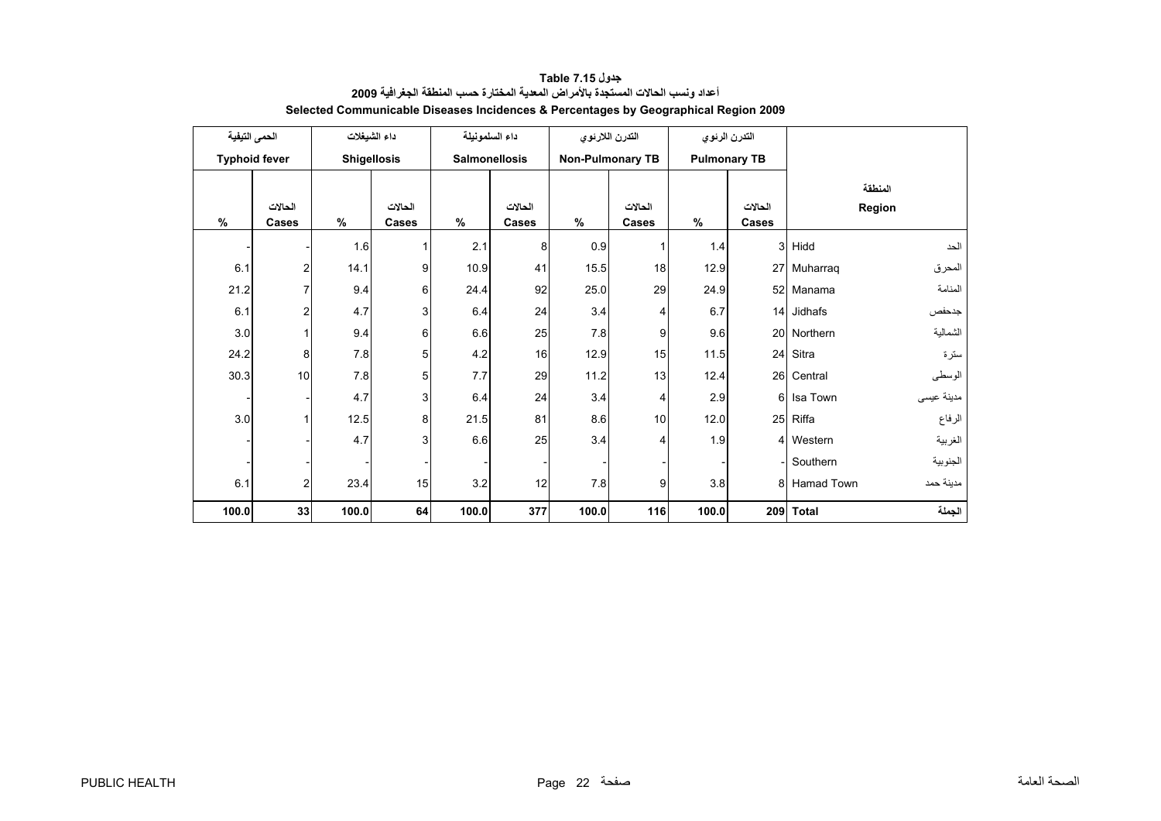<span id="page-22-0"></span>

|       | الحمى التيفية        |       | داء الشيغلات       | داء السلمونيلة       |         | التدرن اللارئوي |                         |       | التدرن الرئوي       |              |            |
|-------|----------------------|-------|--------------------|----------------------|---------|-----------------|-------------------------|-------|---------------------|--------------|------------|
|       | <b>Typhoid fever</b> |       | <b>Shigellosis</b> | <b>Salmonellosis</b> |         |                 | <b>Non-Pulmonary TB</b> |       | <b>Pulmonary TB</b> |              |            |
|       |                      |       |                    |                      |         |                 |                         |       |                     |              | المنطقة    |
|       | الحالات              |       | الحالات            |                      | الحالات |                 | الحالات                 |       | الحالات             |              | Region     |
| $\%$  | Cases                | $\%$  | Cases              | $\%$                 | Cases   | $\%$            | Cases                   | %     | Cases               |              |            |
|       |                      | 1.6   | 1                  | 2.1                  | 8       | 0.9             |                         | 1.4   | 3                   | Hidd         | الحد       |
| 6.1   | $\overline{c}$       | 14.1  | 9                  | 10.9                 | 41      | 15.5            | 18                      | 12.9  | 27                  | Muharraq     | المحرق     |
| 21.2  | $\overline{7}$       | 9.4   | 6                  | 24.4                 | 92      | 25.0            | 29                      | 24.9  | 52                  | Manama       | المنامة    |
| 6.1   | $\overline{c}$       | 4.7   | 3                  | 6.4                  | 24      | 3.4             | 4                       | 6.7   | 14                  | Jidhafs      | جدحفص      |
| 3.0   |                      | 9.4   | 6                  | 6.6                  | 25      | 7.8             | 9                       | 9.6   | 20                  | Northern     | الشمالية   |
| 24.2  | 8                    | 7.8   | 5                  | 4.2                  | 16      | 12.9            | 15                      | 11.5  | 24                  | Sitra        | سترة       |
| 30.3  | 10                   | 7.8   | 5                  | 7.7                  | 29      | 11.2            | 13                      | 12.4  | 26                  | Central      | الوسطى     |
|       |                      | 4.7   | 3                  | 6.4                  | 24      | 3.4             | 4                       | 2.9   | 6                   | Isa Town     | مدينة عيسى |
| 3.0   |                      | 12.5  | 8                  | 21.5                 | 81      | 8.6             | 10                      | 12.0  | 25                  | Riffa        | الرفاع     |
|       |                      | 4.7   | 3                  | 6.6                  | 25      | 3.4             | 4                       | 1.9   | 4                   | Western      | الغربية    |
|       |                      |       |                    |                      |         |                 |                         |       |                     | Southern     | الجنوبية   |
| 6.1   | 2                    | 23.4  | 15                 | $3.2\,$              | 12      | 7.8             | 9                       | 3.8   | 8                   | Hamad Town   | مدينة حمد  |
| 100.0 | 33                   | 100.0 | 64                 | 100.0                | 377     | 100.0           | 116                     | 100.0 | 209                 | <b>Total</b> | الجملة     |

#### **جدول 7.15 Table أعداد ونسب الحالات المستجدة بالأمراض المعدية المختارة حسب المنطقة الجغرافية <sup>2009</sup> Selected Communicable Diseases Incidences & Percentages by Geographical Region 2009**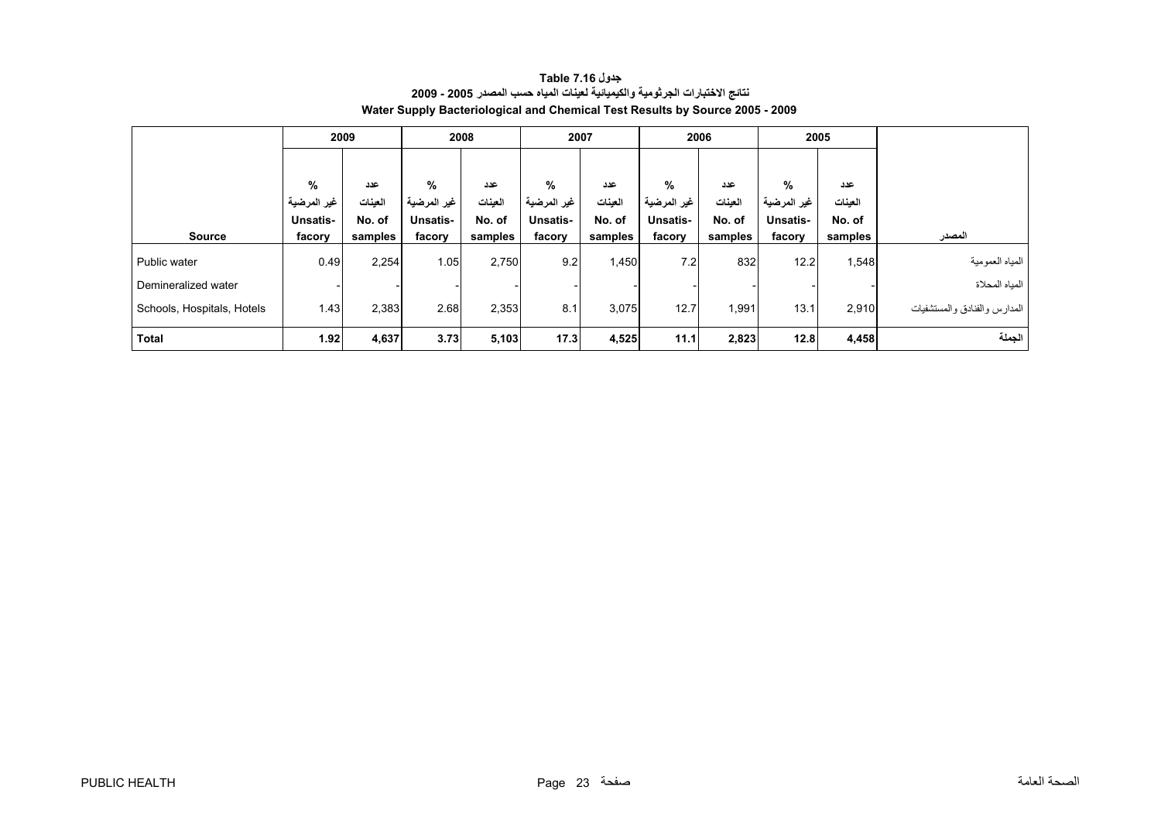<span id="page-23-0"></span>

|                            |                 | 2009    |                  | 2008    |                 | 2007    |             | 2006    |             | 2005    |                              |
|----------------------------|-----------------|---------|------------------|---------|-----------------|---------|-------------|---------|-------------|---------|------------------------------|
|                            |                 |         |                  |         |                 |         |             |         |             |         |                              |
|                            | %               | عدد     | %                | عدد     | %               | عدد     | %           | عدد     | %           | عدد     |                              |
|                            | غير المرضية     | العينات | ِ المرضية<br>غير | العينات | غير المرضية     | العينات | غير المرضية | العينات | غير المرضية | العينات |                              |
|                            | <b>Unsatis-</b> | No. of  | Unsatis-         | No. of  | <b>Unsatis-</b> | No. of  | Unsatis-    | No. of  | Unsatis-    | No. of  |                              |
| <b>Source</b>              | facory          | samples | facory           | samples | facory          | samples | facory      | samples | facory      | samples | المصدر                       |
| Public water               | 0.49            | 2,254   | 1.05             | 2,750   | 9.2             | 1,450   | 7.2         | 832     | 12.2        | 1,548   | المياه العمومية              |
| Demineralized water        |                 |         |                  |         |                 |         |             |         |             |         | المياه المحلاة               |
| Schools, Hospitals, Hotels | 1.43            | 2,383   | 2.68             | 2,353   | 8.1             | 3,075   | 12.7        | 1,991   | 13.1        | 2,910   | المدارس والفنادق والمستشفيات |
| <b>Total</b>               | 1.92            | 4,637   | 3.73             | 5,103   | 17.3            | 4,525   | 11.1        | 2,823   | 12.8        | 4,458   | الجملة                       |

#### **جدول 7.16 Table نتائج الاختبارات الجرثومية والكيميائية لعينات المياه حسب المصدر 2005 - 2009 Water Supply Bacteriological and Chemical Test Results by Source 2005 - 2009**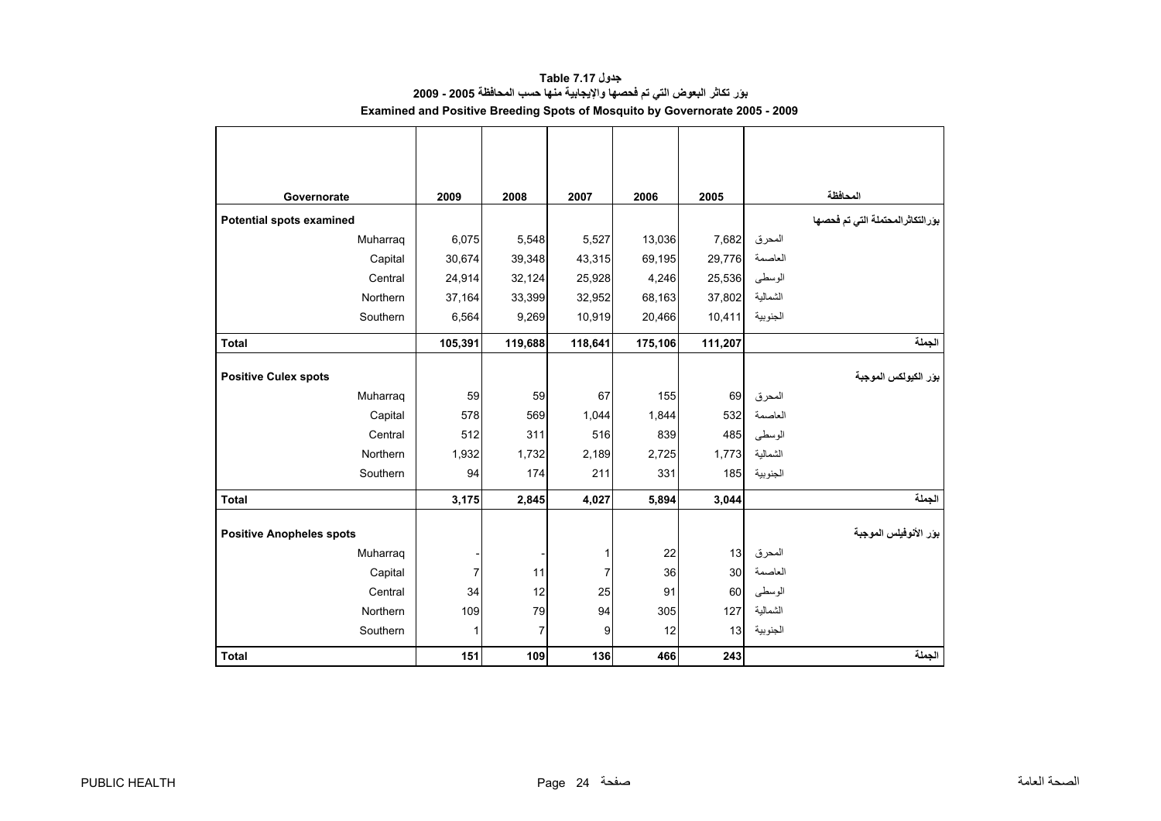<span id="page-24-0"></span>

| Governorate                     | 2009           | 2008    | 2007    | 2006    | 2005     |                   | المحافظة                            |
|---------------------------------|----------------|---------|---------|---------|----------|-------------------|-------------------------------------|
| Potential spots examined        |                |         |         |         |          |                   | بوَر التكاثر المحتملة التي تم فحصها |
| Muharraq                        | 6,075          | 5,548   | 5,527   | 13,036  | 7,682    | المحرق            |                                     |
| Capital                         | 30,674         | 39,348  | 43,315  | 69,195  | 29,776   | العاصمة           |                                     |
| Central                         | 24,914         | 32,124  | 25,928  | 4,246   | 25,536   | الوسطى            |                                     |
| Northern                        | 37,164         | 33,399  | 32,952  | 68,163  | 37,802   | الشمالية          |                                     |
| Southern                        | 6,564          | 9,269   | 10,919  | 20,466  | 10,411   | الجنوبية          |                                     |
| <b>Total</b>                    | 105,391        | 119,688 | 118,641 | 175,106 | 111,207  |                   | الجملة                              |
|                                 |                |         |         |         |          |                   |                                     |
| <b>Positive Culex spots</b>     |                |         |         |         |          |                   | بور الكيولكس الموجبة                |
| Muharraq                        | 59             | 59      | 67      | 155     | 69       | المحرق            |                                     |
| Capital                         | 578            | 569     | 1,044   | 1,844   | 532      | العاصمة           |                                     |
| Central                         | 512            | 311     | 516     | 839     | 485      | الوسطى            |                                     |
| Northern                        | 1,932          | 1,732   | 2,189   | 2,725   | 1,773    | الشمالية          |                                     |
| Southern                        | 94             | 174     | 211     | 331     | 185      | الجنوبية          |                                     |
| <b>Total</b>                    | 3,175          | 2,845   | 4,027   | 5,894   | 3,044    |                   | الجملة                              |
|                                 |                |         |         |         |          |                   | بور الأنوفيلس الموجبة               |
| <b>Positive Anopheles spots</b> |                |         |         |         |          |                   |                                     |
| Muharraq                        |                |         | 1       | 22      | 13<br>30 | المحرق<br>العاصمة |                                     |
| Capital                         | $\overline{7}$ | 11      | 7       | 36      |          |                   |                                     |
| Central                         | 34             | 12      | 25      | 91      | 60       | الوسطى            |                                     |
| Northern                        | 109            | 79      | 94      | 305     | 127      | الشمالية          |                                     |
| Southern                        | 1              | 7       | 9       | 12      | 13       | الجنوبية          |                                     |
| <b>Total</b>                    | 151            | 109     | 136     | 466     | 243      |                   | الجملة                              |

**جدول 7.17 Table بؤر تكاثر البعوض التي تم فحصها والإيجابية منها حسب المحافظة 2005 - 2009 Examined and Positive Breeding Spots of Mosquito by Governorate 2005 - 2009**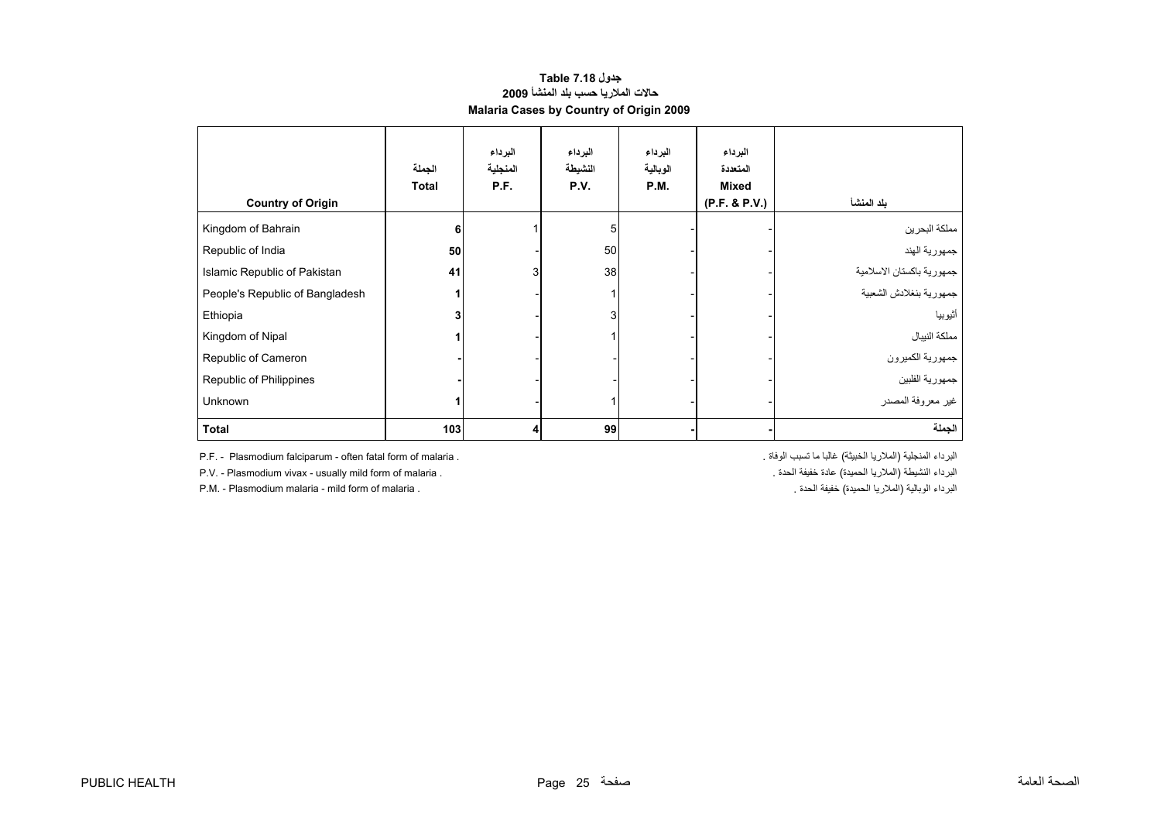#### **حالات الملاريا حسب بلد المنشأ <sup>2009</sup> Malaria Cases by Country of Origin 2009 جدول 7.18 Table**

<span id="page-25-0"></span>

| <b>Country of Origin</b>        | الجملة<br><b>Total</b> | البرداء<br>المنجلية<br>P.F. | البرداء<br>النشيطة<br>P.V. | البرداء<br>الوبالية<br>P.M. | البرداء<br>المتعددة<br><b>Mixed</b><br>(P.F. & P.V.) | بلد المنشأ                |
|---------------------------------|------------------------|-----------------------------|----------------------------|-----------------------------|------------------------------------------------------|---------------------------|
| Kingdom of Bahrain              | 6                      |                             | 5                          |                             |                                                      | مملكة البحرين             |
| Republic of India               | 50                     |                             | 50                         |                             |                                                      | جمهورية الهند             |
| Islamic Republic of Pakistan    | 41                     | 3                           | 38                         |                             |                                                      | جمهورية باكستان الاسلامية |
| People's Republic of Bangladesh |                        |                             |                            |                             |                                                      | جمهورية بنغلادش الشعبية   |
| Ethiopia                        |                        |                             | 3 <sub>l</sub>             |                             |                                                      | أثيوبيا                   |
| Kingdom of Nipal                |                        |                             |                            |                             |                                                      | مملكة النيبال             |
| Republic of Cameron             |                        |                             |                            |                             |                                                      | جمهورية الكميرون          |
| Republic of Philippines         |                        |                             |                            |                             |                                                      | جمهورية الفلبين           |
| <b>Unknown</b>                  |                        |                             |                            |                             |                                                      | غير معروفة المصدر         |
| <b>Total</b>                    | 103                    | 4                           | 99                         |                             |                                                      | الجملة                    |

P.F. - Plasmodium falciparum - often fatal form of malaria . . الوفاة تسبب ما غالبا) الخبيثة الملاريا (المنجلية البرداء

P.M. - Plasmodium malaria - mild form of malaria .

P.V. - Plasmodium vivax - usually mild form of malaria . . الحدة خفيفة عادة) الحميدة الملاريا (النشيطة البرداء . الحدةالبرداء الوبالية (الملاريا الحميدة) خفيفة الحدة .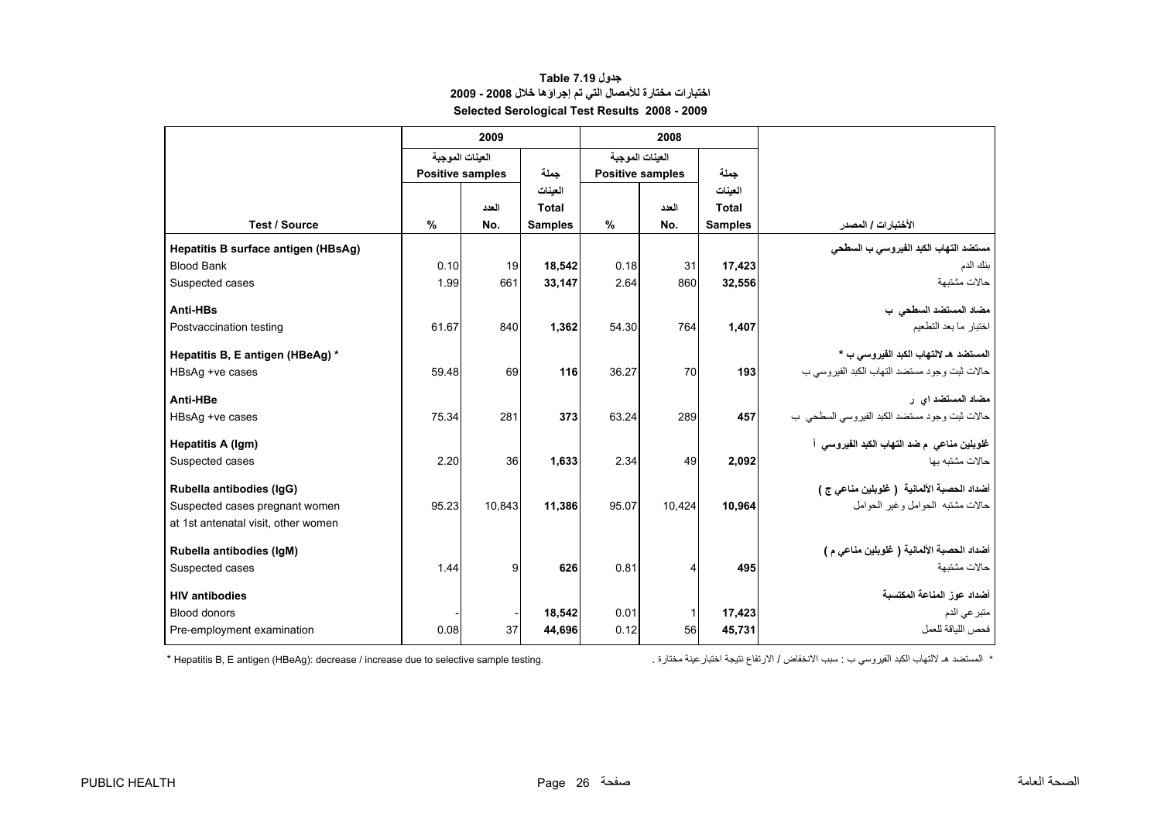### **جدول 7.19 Table اختبارات مختارة للأمصال التي تم إجراؤها خلال 2008 - 2009 Selected Serological Test Results 2008 - 2009**

<span id="page-26-0"></span>

|                                     | 2009                    |        |                |                 |                         |                |                                              |
|-------------------------------------|-------------------------|--------|----------------|-----------------|-------------------------|----------------|----------------------------------------------|
|                                     | العينات الموجبة         |        |                | العينات الموجبة |                         |                |                                              |
|                                     | <b>Positive samples</b> |        | جملة           |                 | <b>Positive samples</b> | حملة           |                                              |
|                                     |                         |        | العينات        |                 |                         | العينات        |                                              |
|                                     |                         | العدد  | Total          |                 | العدد                   | <b>Total</b>   |                                              |
| <b>Test / Source</b>                | $\frac{0}{0}$           | No.    | <b>Samples</b> | $\%$            | No.                     | <b>Samples</b> | الأختبارات / المصدر                          |
| Hepatitis B surface antigen (HBsAg) |                         |        |                |                 |                         |                | مستضد التهاب الكبد الفيروسي ب السطحي         |
| <b>Blood Bank</b>                   | 0.10                    | 19     | 18.542         | 0.18            | 31                      | 17,423         | بنك الدم                                     |
| Suspected cases                     | 1.99                    | 661    | 33,147         | 2.64            | 860                     | 32,556         | حالات مشتبهة                                 |
| Anti-HBs                            |                         |        |                |                 |                         |                | مضاد المستضد السطحي ب                        |
| Postvaccination testing             | 61.67                   | 840    | 1,362          | 54.30           | 764                     | 1,407          | اختبار ما بعد التطعيم                        |
|                                     |                         |        |                |                 |                         |                |                                              |
| Hepatitis B, E antigen (HBeAg) *    |                         |        |                |                 |                         |                | المستضد هـ لالتهاب الكبد الفيروسي ب *        |
| HBsAg +ve cases                     | 59.48                   | 69     | 116            | 36.27           | 70                      | 193            | حالات ثبت وجود مستضد التهاب الكبد الفيروسي ب |
| Anti-HBe                            |                         |        |                |                 |                         |                | مضاد المستضد اي ر                            |
| HBsAg +ve cases                     | 75.34                   | 281    | 373            | 63.24           | 289                     | 457            | حالات ثبت وجود مستضد الكبد الفيروسي السطحي ب |
| Hepatitis A (Igm)                   |                         |        |                |                 |                         |                | غلوبلين مناعي م ضد التهاب الكبد الفيروسي أ   |
| Suspected cases                     | 2.20                    | 36     | 1,633          | 2.34            | 49                      | 2,092          | حالات مشتبه بها                              |
| Rubella antibodies (IgG)            |                         |        |                |                 |                         |                | أضداد الحصبة الألمانية  ( غلوبلين مناعي ج )  |
| Suspected cases pregnant women      | 95.23                   | 10.843 | 11,386         | 95.07           | 10,424                  | 10,964         | حالات مشتبه الحوامل وغير الحوامل             |
| at 1st antenatal visit, other women |                         |        |                |                 |                         |                |                                              |
| Rubella antibodies (IqM)            |                         |        |                |                 |                         |                | أضداد الحصبة الألمانية ( غلوبلين مناعي م )   |
| Suspected cases                     | 1.44                    | 9      | 626            | 0.81            | 4                       | 495            | حالات مشتبهة                                 |
| <b>HIV antibodies</b>               |                         |        |                |                 |                         |                | أضداد عوز المناعة المكتسبة                   |
| <b>Blood donors</b>                 |                         |        | 18.542         | 0.01            | 1                       | 17,423         | متبر عي الدم                                 |
| Pre-employment examination          | 0.08                    | 37     | 44,696         | 0.12            | 56                      | 45,731         | فحص اللباقة للعمل                            |

\* المستضد هـ

 $*$  Hepatitis B, E antigen (HBeAg): decrease / increase due to selective sample testing.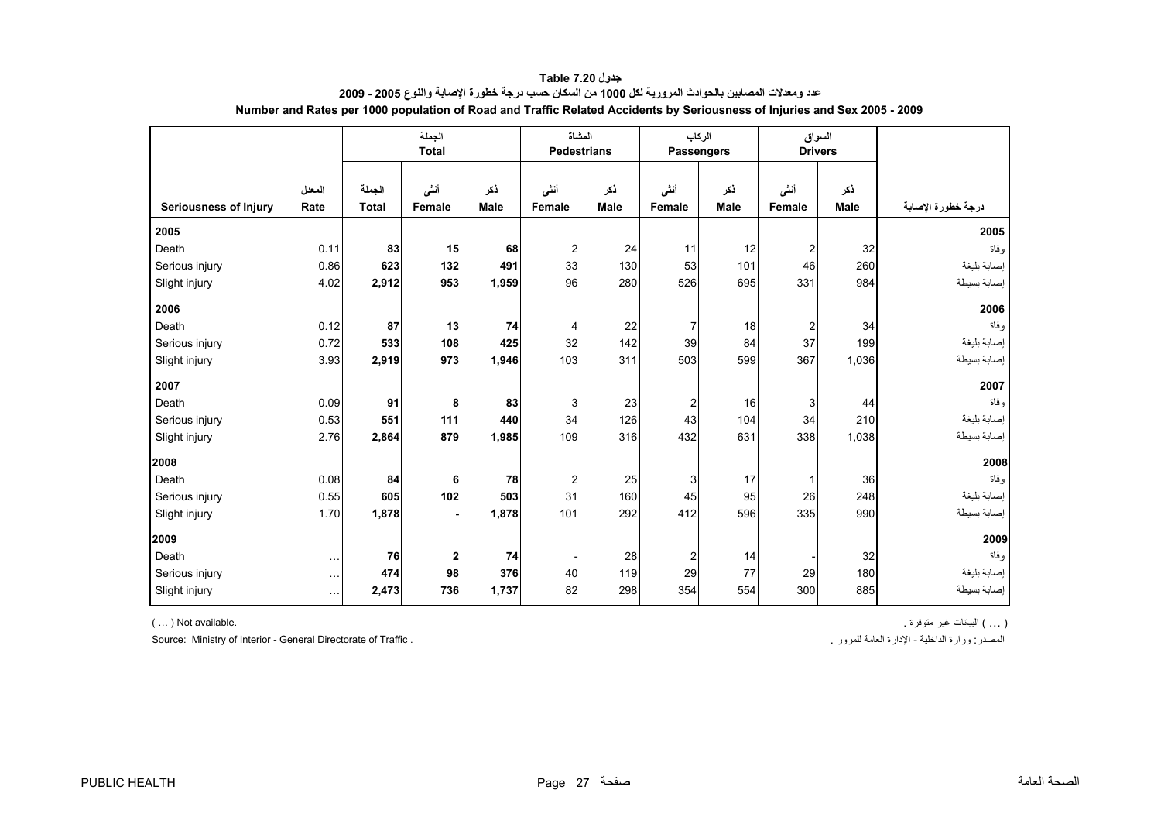<span id="page-27-0"></span>

|                              |                      |              | الجملة<br><b>Total</b> |             | المشاة         | <b>Pedestrians</b> | <b>Passengers</b> | الركاب      | السواق<br><b>Drivers</b> |             |                    |
|------------------------------|----------------------|--------------|------------------------|-------------|----------------|--------------------|-------------------|-------------|--------------------------|-------------|--------------------|
|                              | المعدل               | الجملة       | أننى                   | نكر         | أنشى           | ذكر                | أنشى              | ذكر         | أننى                     | ذكر         |                    |
| <b>Seriousness of Injury</b> | Rate                 | <b>Total</b> | Female                 | <b>Male</b> | <b>Female</b>  | <b>Male</b>        | Female            | <b>Male</b> | Female                   | <b>Male</b> | درجة خطورة الإصابة |
| 2005                         |                      |              |                        |             |                |                    |                   |             |                          |             | 2005               |
| Death                        | 0.11                 | 83           | 15                     | 68          | $\overline{2}$ | 24                 | 11                | 12          | $\overline{\mathbf{c}}$  | 32          | و فاة              |
| Serious injury               | 0.86                 | 623          | 132                    | 491         | 33             | 130                | 53                | 101         | 46                       | 260         | إصابة بليغة        |
| Slight injury                | 4.02                 | 2,912        | 953                    | 1,959       | 96             | 280                | 526               | 695         | 331                      | 984         | إصابة بسيطة        |
| 2006                         |                      |              |                        |             |                |                    |                   |             |                          |             | 2006               |
| Death                        | 0.12                 | 87           | 13                     | 74          | 4              | 22                 | $\overline{7}$    | 18          | $\overline{\mathbf{c}}$  | 34          | و فاة              |
| Serious injury               | 0.72                 | 533          | 108                    | 425         | 32             | 142                | 39                | 84          | 37                       | 199         | إصابة بليغة        |
| Slight injury                | 3.93                 | 2,919        | 973                    | 1,946       | 103            | 311                | 503               | 599         | 367                      | 1,036       | إصابة بسيطة        |
| 2007                         |                      |              |                        |             |                |                    |                   |             |                          |             | 2007               |
| Death                        | 0.09                 | 91           | 8                      | 83          | 3              | 23                 | $\overline{c}$    | 16          | 3                        | 44          | و فاة              |
| Serious injury               | 0.53                 | 551          | 111                    | 440         | 34             | 126                | 43                | 104         | 34                       | 210         | إصابة بليغة        |
| Slight injury                | 2.76                 | 2,864        | 879                    | 1,985       | 109            | 316                | 432               | 631         | 338                      | 1,038       | إصابة بسيطة        |
| 2008                         |                      |              |                        |             |                |                    |                   |             |                          |             | 2008               |
| Death                        | 0.08                 | 84           | 6                      | 78          | 2              | 25                 | 3                 | 17          | $\mathbf{1}$             | 36          | و فاة              |
| Serious injury               | 0.55                 | 605          | 102                    | 503         | 31             | 160                | 45                | 95          | 26                       | 248         | إصابة بليغة        |
| Slight injury                | 1.70                 | 1,878        |                        | 1,878       | 101            | 292                | 412               | 596         | 335                      | 990         | إصابة بسيطة        |
| 2009                         |                      |              |                        |             |                |                    |                   |             |                          |             | 2009               |
| Death                        | $\sim$               | 76           | $\mathbf 2$            | 74          |                | 28                 | $\overline{c}$    | 14          |                          | 32          | و فاة              |
| Serious injury               | $\ldots$             | 474          | 98                     | 376         | 40             | 119                | 29                | 77          | 29                       | 180         | إصابة بليغة        |
| Slight injury                | $\sim$ $\sim$ $\sim$ | 2,473        | 736                    | 1,737       | 82             | 298                | 354               | 554         | 300                      | 885         | إصابة بسيطة        |

**جدول 7.20 Table عدد ومعدلات المصابين بالحوادث المرورية لكل <sup>1000</sup> من السكان حسب درجة خطورة الإصابة والنوع 2005 - 2009 Number and Rates per 1000 population of Road and Traffic Related Accidents by Seriousness of Injuries and Sex 2005 - 2009** 

Source: Ministry of Interior - General Directorate of Traffic . . للمرور العامة الإدارة - الداخلية وزارة :المصدر

( ... ) البيانات غير متوفرة . .available Not( … )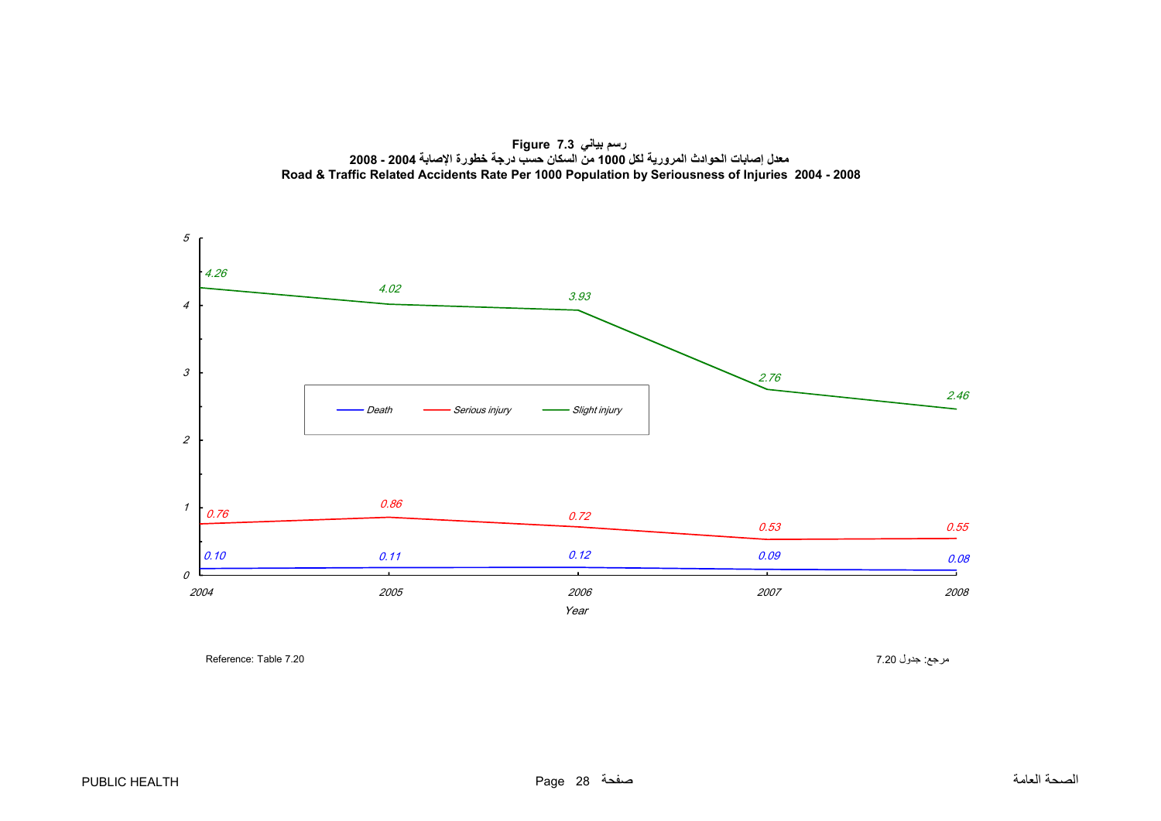**رسم بياني 7.3 Figure معدل إصابات الحوادث المرورية لكل <sup>1000</sup> من السكان حسب درجة خطورة اإلصابة 2004 - 2008 Road & Traffic Related Accidents Rate Per 1000 Population by Seriousness of Injuries 2004 - 2008**

<span id="page-28-0"></span>

مرجع: جدول 7.20 7.20 7.20 Reference: Table 7.20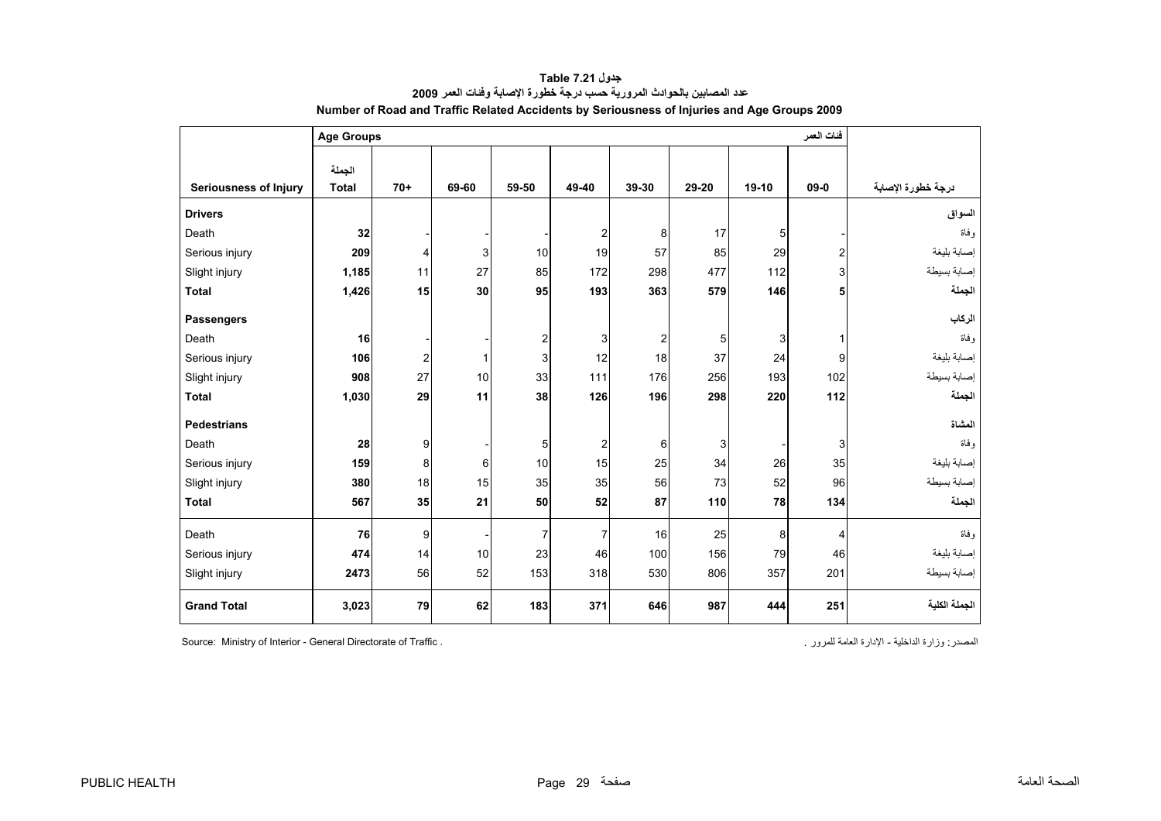<span id="page-29-0"></span>

|                              | <b>Age Groups</b> |                         | فئات العمر   |                         |                         |                         |       |         |                |                    |
|------------------------------|-------------------|-------------------------|--------------|-------------------------|-------------------------|-------------------------|-------|---------|----------------|--------------------|
|                              | الجملة            |                         |              |                         |                         |                         |       |         |                |                    |
| <b>Seriousness of Injury</b> | <b>Total</b>      | $70+$                   | 69-60        | 59-50                   | 49-40                   | 39-30                   | 29-20 | $19-10$ | $09 - 0$       | درجة خطورة الإصابة |
| <b>Drivers</b>               |                   |                         |              |                         |                         |                         |       |         |                | السواق             |
| Death                        | 32                |                         |              |                         | $\overline{c}$          | 8                       | 17    | 5       |                | وفاة               |
| Serious injury               | 209               | 4                       | 3            | 10                      | 19                      | 57                      | 85    | 29      | $\overline{c}$ | إصابة بليغة        |
| Slight injury                | 1,185             | 11                      | 27           | 85                      | 172                     | 298                     | 477   | 112     | 3              | إصابة بسيطة        |
| <b>Total</b>                 | 1,426             | 15                      | 30           | 95                      | 193                     | 363                     | 579   | 146     | 5              | الجملة             |
| <b>Passengers</b>            |                   |                         |              |                         |                         |                         |       |         |                | الركاب             |
| Death                        | 16                |                         |              | $\overline{\mathbf{c}}$ | 3                       | $\overline{\mathbf{c}}$ | 5     | 3       | 1              | وفاة               |
| Serious injury               | 106               | $\overline{\mathbf{c}}$ | $\mathbf{1}$ | 3                       | 12                      | 18                      | 37    | 24      | 9              | إصابة بليغة        |
| Slight injury                | 908               | 27                      | 10           | 33                      | 111                     | 176                     | 256   | 193     | 102            | إصابة بسيطة        |
| <b>Total</b>                 | 1,030             | 29                      | 11           | 38                      | 126                     | 196                     | 298   | 220     | 112            | الجملة             |
| <b>Pedestrians</b>           |                   |                         |              |                         |                         |                         |       |         |                | المشاة             |
| Death                        | 28                | 9                       |              | 5                       | $\overline{\mathbf{c}}$ | 6                       | 3     |         | 3              | و فاة              |
| Serious injury               | 159               | 8                       | 6            | 10                      | 15                      | 25                      | 34    | 26      | 35             | إصابة بليغة        |
| Slight injury                | 380               | 18                      | 15           | 35                      | 35                      | 56                      | 73    | 52      | 96             | إصابة بسيطة        |
| <b>Total</b>                 | 567               | 35                      | 21           | 50                      | 52                      | 87                      | 110   | 78      | 134            | الجملة             |
| Death                        | 76                | 9                       |              | $\overline{7}$          | $\overline{7}$          | 16                      | 25    | 8       | $\overline{4}$ | وفاة               |
| Serious injury               | 474               | 14                      | 10           | 23                      | 46                      | 100                     | 156   | 79      | 46             | إصابة بليغة        |
| Slight injury                | 2473              | 56                      | 52           | 153                     | 318                     | 530                     | 806   | 357     | 201            | إصابة بسيطة        |
| <b>Grand Total</b>           | 3,023             | 79                      | 62           | 183                     | 371                     | 646                     | 987   | 444     | 251            | الجملة الكلية      |

**جدول 7.21 Table عدد المصابين بالحوادث المرورية حسب درجة خطورة الإصابة وفئات العمر<sup>2009</sup> Number of Road and Traffic Related Accidents by Seriousness of Injuries and Age Groups 2009** 

Source: Ministry of Interior - General Directorate of Traffic . . للمرور العامة الإدارة - الداخلية وزارة :المصدر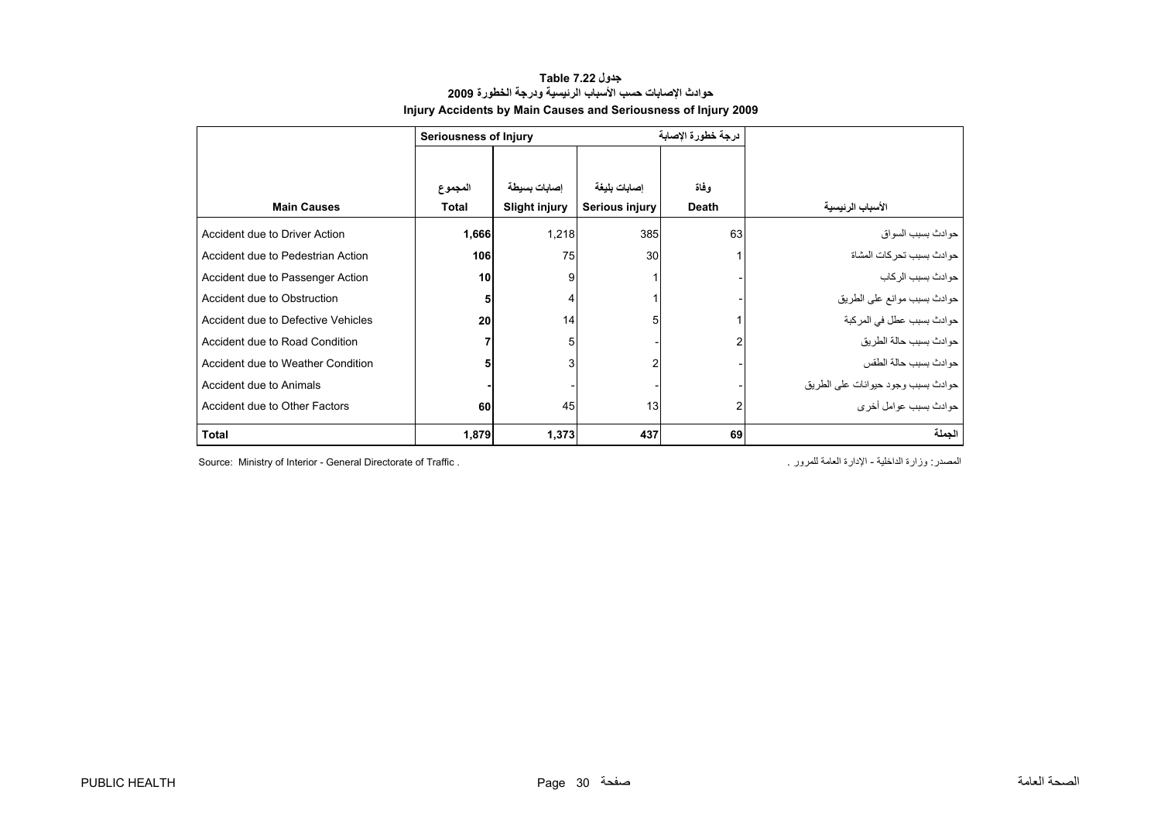#### **جدول 7.22 Table حوادث الإصابات حسب الأسباب الرئيسية ودرجة الخطورة <sup>2009</sup> Injury Accidents by Main Causes and Seriousness of Injury 2009**

<span id="page-30-0"></span>

|                                    | <b>Seriousness of Injury</b> |                      |                | درجة خطورة الإصابة |                                    |
|------------------------------------|------------------------------|----------------------|----------------|--------------------|------------------------------------|
|                                    | المجموع                      | إصابات بسيطة         | إصابات بليغة   | وفاة               |                                    |
| <b>Main Causes</b>                 | <b>Total</b>                 | <b>Slight injury</b> | Serious injury | Death              | الأسباب الرئيسية                   |
| Accident due to Driver Action      | 1,666                        | 1,218                | 385            | 63                 | ـدو ادث بسبب السو اق               |
| Accident due to Pedestrian Action  | 106                          | 75                   | 30             |                    | حو ادث بسبب تحر كات المشاة         |
| Accident due to Passenger Action   | 10                           | 9                    |                |                    | حوادث بسبب الركاب                  |
| Accident due to Obstruction        |                              | 4                    |                |                    | حوادث بسبب موانع على الطريق        |
| Accident due to Defective Vehicles | 20                           | 14                   | 5              |                    | حوادث بسبب عطل في المركبة          |
| Accident due to Road Condition     |                              | 5                    |                | 2                  | حوادث بسبب حالة الطريق             |
| Accident due to Weather Condition  |                              | 3                    | 2              |                    | حوادث بسبب حالة الطقس              |
| Accident due to Animals            |                              |                      |                |                    | حوادث بسبب وجود حيوانات على الطريق |
| Accident due to Other Factors      | 60                           | 45                   | 13             | 2                  | حو ادث بسبب عو امل اُخر ی          |
| <b>Total</b>                       | 1,879                        | 1,373                | 437            | 69                 | الجملة                             |

Source: Ministry of Interior - General Directorate of Traffic . . للمرور العامة الإدارة - الداخلية وزارة :المصدر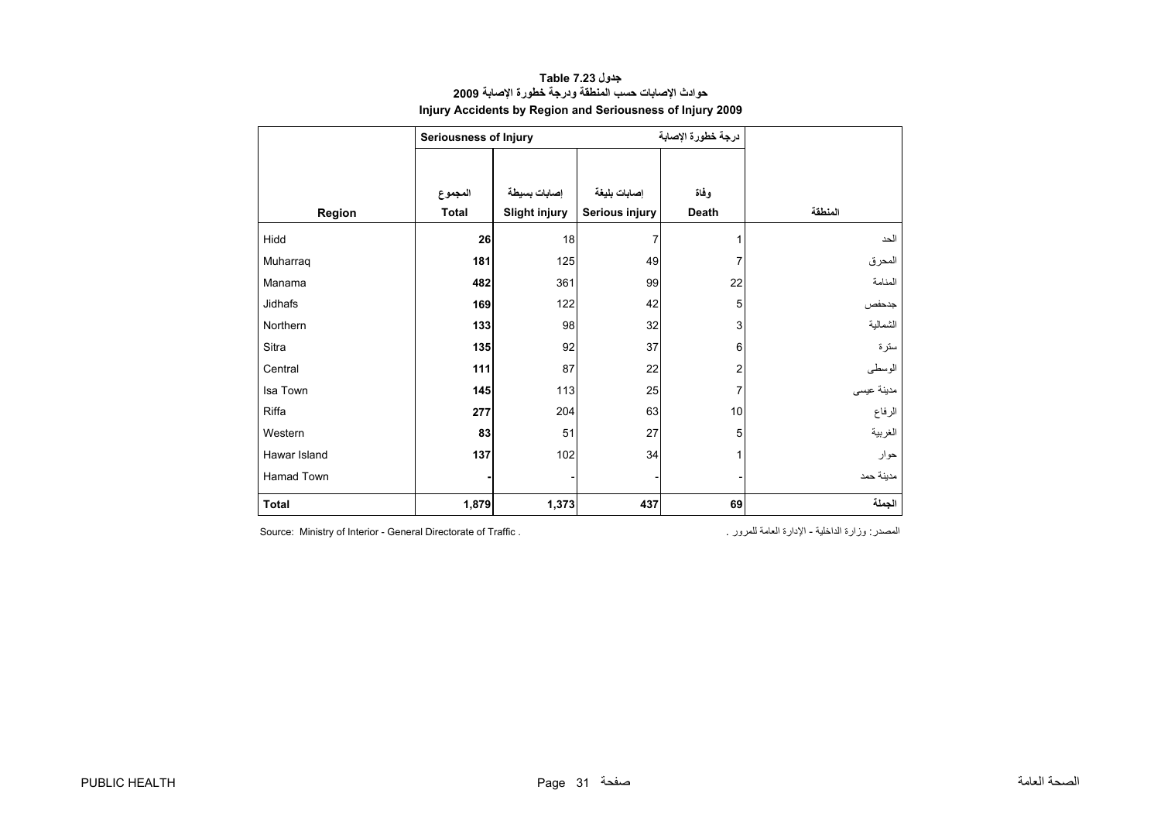#### **جدول 7.23 Table حوادث الإصابات حسب المنطقة ودرجة خطورة الإصابة <sup>2009</sup> Injury Accidents by Region and Seriousness of Injury 2009**

<span id="page-31-0"></span>

|              | Seriousness of Injury |                      |                | درجة خطورة الإصابة |            |
|--------------|-----------------------|----------------------|----------------|--------------------|------------|
|              |                       |                      |                |                    |            |
|              | المجموع               | إصابات بسيطة         | إصابات بليغة   | وفاة               |            |
| Region       | Total                 | <b>Slight injury</b> | Serious injury | Death              | المنطقة    |
| Hidd         | 26                    | 18                   | $\overline{7}$ | 1                  | الحد       |
| Muharraq     | 181                   | 125                  | 49             | 7                  | المحرق     |
| Manama       | 482                   | 361                  | 99             | 22                 | المنامة    |
| Jidhafs      | 169                   | 122                  | 42             | 5                  | جدحفص      |
| Northern     | 133                   | 98                   | 32             | 3                  | الشمالية   |
| Sitra        | 135                   | 92                   | 37             | 6                  | سترة       |
| Central      | 111                   | 87                   | 22             | 2                  | الوسطى     |
| Isa Town     | 145                   | 113                  | 25             | 7                  | مدينة عيسى |
| Riffa        | 277                   | 204                  | 63             | 10                 | الرفاع     |
| Western      | 83                    | 51                   | 27             | 5                  | الغربية    |
| Hawar Island | 137                   | 102                  | 34             | 1                  | حوار       |
| Hamad Town   |                       |                      |                |                    | مدينة حمد  |
| <b>Total</b> | 1,879                 | 1,373                | 437            | 69                 | الجملة     |

المصدر: وزارة الداخلية - الإدارة العامة للمرور . . . . . . Source: Ministry of Interior - General Directorate of Traffic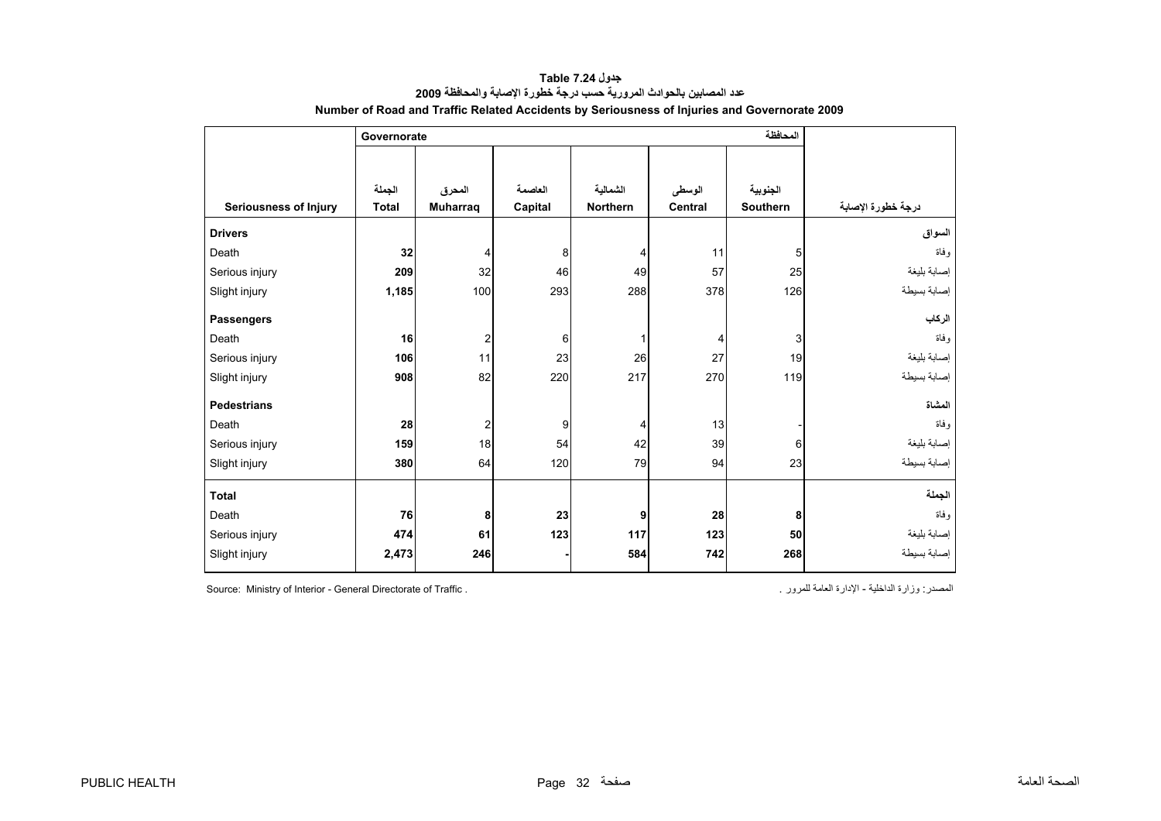<span id="page-32-0"></span>

|                       | Governorate  |                  |         |          |         |          |                    |
|-----------------------|--------------|------------------|---------|----------|---------|----------|--------------------|
|                       |              |                  |         |          |         |          |                    |
|                       | الجملة       | المحرق           | العاصمة | الشمالية | الوسطى  | الجنوبية |                    |
| Seriousness of Injury | <b>Total</b> | <b>Muharrag</b>  | Capital | Northern | Central | Southern | درجة خطورة الإصابة |
| <b>Drivers</b>        |              |                  |         |          |         |          | السواق             |
| Death                 | 32           | 4                | 8       | 4        | 11      | 5        | و فاة              |
| Serious injury        | 209          | 32               | 46      | 49       | 57      | 25       | إصابة بليغة        |
| Slight injury         | 1,185        | 100              | 293     | 288      | 378     | 126      | إصابة بسيطة        |
| <b>Passengers</b>     |              |                  |         |          |         |          | الركاب             |
| Death                 | 16           | $\boldsymbol{2}$ | 6       | 1        | 4       | 3        | وفاة               |
| Serious injury        | 106          | 11               | 23      | 26       | 27      | 19       | إصابة بليغة        |
| Slight injury         | 908          | 82               | 220     | 217      | 270     | 119      | إصابة بسيطة        |
| <b>Pedestrians</b>    |              |                  |         |          |         |          | المشاة             |
| Death                 | 28           | $\overline{2}$   | 9       | 4        | 13      |          | وفاة               |
| Serious injury        | 159          | 18               | 54      | 42       | 39      | 6        | إصابة بليغة        |
| Slight injury         | 380          | 64               | 120     | 79       | 94      | 23       | إصابة بسيطة        |
| <b>Total</b>          |              |                  |         |          |         |          | الجملة             |
| Death                 | 76           | 8                | 23      | 9        | 28      | 8        | و فاة              |
| Serious injury        | 474          | 61               | 123     | 117      | 123     | 50       | إصابة بليغة        |
| Slight injury         | 2,473        | 246              |         | 584      | 742     | 268      | إصابة بسيطة        |

**جدول 7.24 Table عدد المصابين بالحوادث المرورية حسب درجة خطورة الإصابة والمحافظة<sup>2009</sup> Number of Road and Traffic Related Accidents by Seriousness of Injuries and Governorate 2009** 

Source: Ministry of Interior - General Directorate of Traffic . . للمرور العامة الإدارة - الداخلية وزارة :المصدر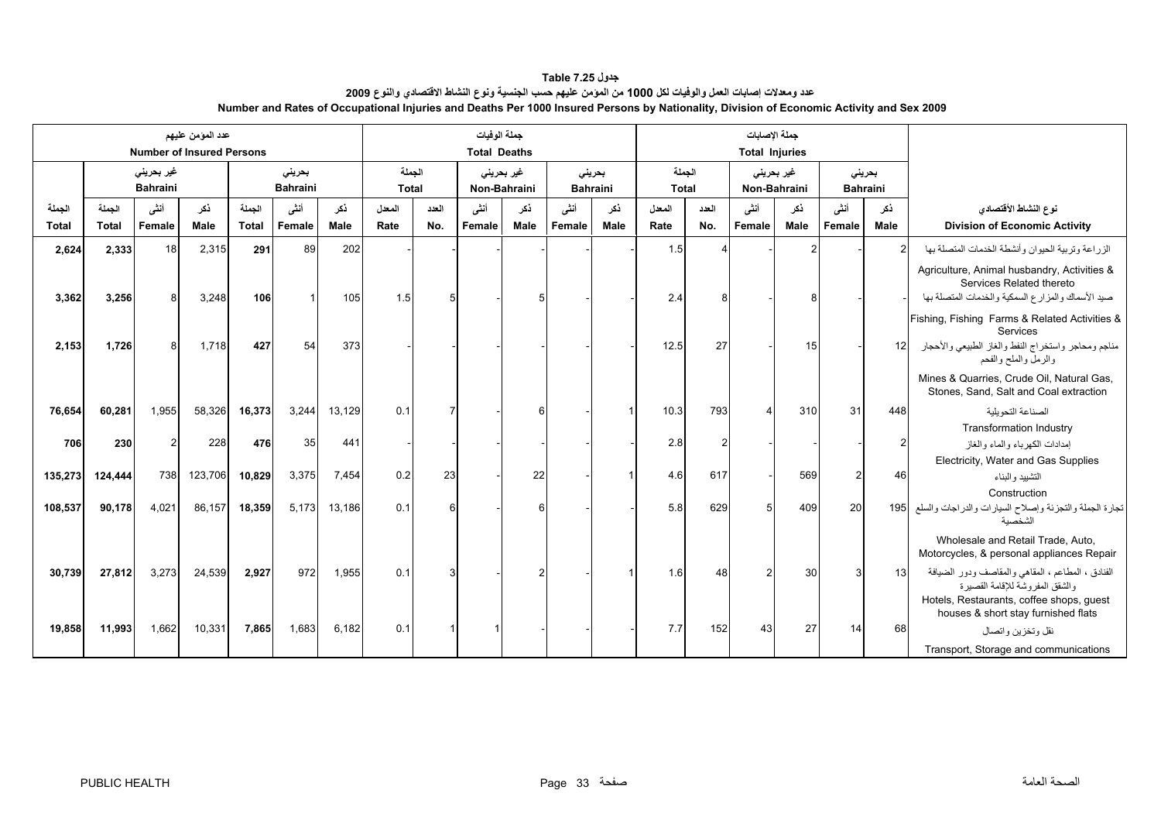#### **جدول 7.25 Table عدد ومعدلات إصابات العمل والوفيات لكل 1000 من المؤمن عليهم حسب الجنسية ونوع النشاط الاقتصادي والنوع <sup>2009</sup> Number and Rates of Occupational Injuries and Deaths Per 1000 Insured Persons by Nationality, Division of Economic Activity and Sex 2009**

<span id="page-33-0"></span>

|                        |                        |                                       | عدد المؤمن عليهم<br><b>Number of Insured Persons</b> |                        |                           |             | جملة الوفيات<br><b>Total Deaths</b> |              |                |                            |                           |             |                        | جملة الإصابات<br><b>Total Injuries</b> |                                    |             |                |                           |                                                                                                                              |
|------------------------|------------------------|---------------------------------------|------------------------------------------------------|------------------------|---------------------------|-------------|-------------------------------------|--------------|----------------|----------------------------|---------------------------|-------------|------------------------|----------------------------------------|------------------------------------|-------------|----------------|---------------------------|------------------------------------------------------------------------------------------------------------------------------|
|                        |                        | غیر بحرین <i>ی</i><br><b>Bahraini</b> |                                                      |                        | بحريني<br><b>Bahraini</b> |             | الجملة<br><b>Total</b>              |              |                | غير بحريني<br>Non-Bahraini | بحريني<br><b>Bahraini</b> |             | الجملة<br><b>Total</b> |                                        | غیر بحرین <i>ی</i><br>Non-Bahraini |             |                | بحريني<br><b>Bahraini</b> |                                                                                                                              |
| الجملة<br><b>Total</b> | الحملة<br><b>Total</b> | أنشى<br>Female                        | ذكر<br>Male                                          | الجملة<br><b>Total</b> | أنشى<br>Female            | ذكر<br>Male | المعدل<br>Rate                      | العدد<br>No. | أنشى<br>Female | نكر<br>Male                | أننسى<br>Female           | نكر<br>Male | المعدل<br>Rate         | العدد<br>No.                           | أنشى<br>Female                     | نكر<br>Male | أنشى<br>Female | نكر<br>Male               | نوع النشاط الأقتصادي<br><b>Division of Economic Activity</b>                                                                 |
| 2,624                  | 2,333                  | 18 <sup>1</sup>                       | 2,315                                                | 291                    | 89                        | 202         |                                     |              |                |                            |                           |             | 1.5                    |                                        |                                    |             |                | $\mathcal{P}$             | الزراعة وتربية الحيوان وأنشطة الخدمات المتصلة بها                                                                            |
| 3,362                  | 3,256                  | 8                                     | 3,248                                                | 106                    |                           | 105         | 1.5                                 | 5            |                |                            |                           |             | 2.4                    | R                                      |                                    |             |                |                           | Agriculture, Animal husbandry, Activities &<br>Services Related thereto<br>صيد الأسماك والمزارع السمكية والخدمات المتصلة بها |
|                        |                        |                                       |                                                      |                        |                           |             |                                     |              |                |                            |                           |             |                        |                                        |                                    |             |                |                           | Fishing, Fishing Farms & Related Activities &<br>Services                                                                    |
| 2,153                  | 1,726                  |                                       | 1,718                                                | 427                    | 54                        | 373         |                                     |              |                |                            |                           |             | 12.5                   | 27                                     |                                    | 15          |                | 12 <sup>1</sup>           | مناجم ومحاجر واستخراج النفط والغاز الطبيعي والأحجار<br>والرمل والملح والفحم                                                  |
|                        |                        |                                       |                                                      |                        |                           |             |                                     |              |                |                            |                           |             |                        |                                        |                                    |             |                |                           | Mines & Quarries, Crude Oil, Natural Gas,<br>Stones, Sand, Salt and Coal extraction                                          |
| 76,654                 | 60,281                 | 1,955                                 | 58,326                                               | 16,373                 | 3,244                     | 13,129      | 0.1                                 |              |                |                            |                           |             | 10.3                   | 793                                    |                                    | 310         | 31             | 448                       | الصناعة التحويلية                                                                                                            |
|                        |                        |                                       |                                                      |                        |                           |             |                                     |              |                |                            |                           |             |                        |                                        |                                    |             |                |                           | <b>Transformation Industry</b>                                                                                               |
| 706                    | 230                    |                                       | 228                                                  | 476                    | 35                        | 441         |                                     |              |                |                            |                           |             | 2.8                    |                                        |                                    |             |                | $\overline{c}$            | إمدادات الكهرباء والماء والغاز                                                                                               |
|                        |                        |                                       |                                                      |                        |                           |             |                                     |              |                |                            |                           |             |                        |                                        |                                    |             |                |                           | Electricity, Water and Gas Supplies                                                                                          |
| 135,273                | 124,444                | 738                                   | 123,706                                              | 10,829                 | 3,375                     | 7,454       | 0.2                                 | 23           |                | 22                         |                           |             | 4.6                    | 617                                    |                                    | 569         |                | 46                        | التشييد والبناء                                                                                                              |
| 108,537                | 90,178                 | 4,021                                 | 86,157                                               | 18,359                 | 5,173                     | 13,186      | 0.1                                 | 6            |                |                            |                           |             | 5.8                    | 629                                    |                                    | 409         | 20             | 195                       | Construction<br>تجارة الجملة والتجزئة وإصلاح السيارات والدراجات والسلع<br>الشخصية                                            |
|                        |                        |                                       |                                                      |                        |                           |             |                                     |              |                |                            |                           |             |                        |                                        |                                    |             |                |                           | Wholesale and Retail Trade, Auto,<br>Motorcycles, & personal appliances Repair                                               |
| 30,739                 | 27,812                 | 3,273                                 | 24,539                                               | 2,927                  | 972                       | 1,955       | 0.1                                 | 3            |                |                            |                           |             | 1.6                    | 48                                     |                                    | 30          | 3              | 13                        | الفنادق ، المطاعم ، المقاهي والمقاصف ودور الضيافة<br>والشقق المفروشة للإقامة القصيرة                                         |
|                        |                        |                                       |                                                      |                        |                           |             |                                     |              |                |                            |                           |             |                        |                                        |                                    |             |                |                           | Hotels, Restaurants, coffee shops, guest<br>houses & short stay furnished flats                                              |
| 19,858                 | 11,993                 | 1,662                                 | 10,331                                               | 7,865                  | 1,683                     | 6,182       | 0.1                                 |              |                |                            |                           |             | 7.7                    | 152                                    | 43                                 | 27          | 14             | 68                        | نقل وتخزين واتصال                                                                                                            |
|                        |                        |                                       |                                                      |                        |                           |             |                                     |              |                |                            |                           |             |                        |                                        |                                    |             |                |                           | Transport, Storage and communications                                                                                        |